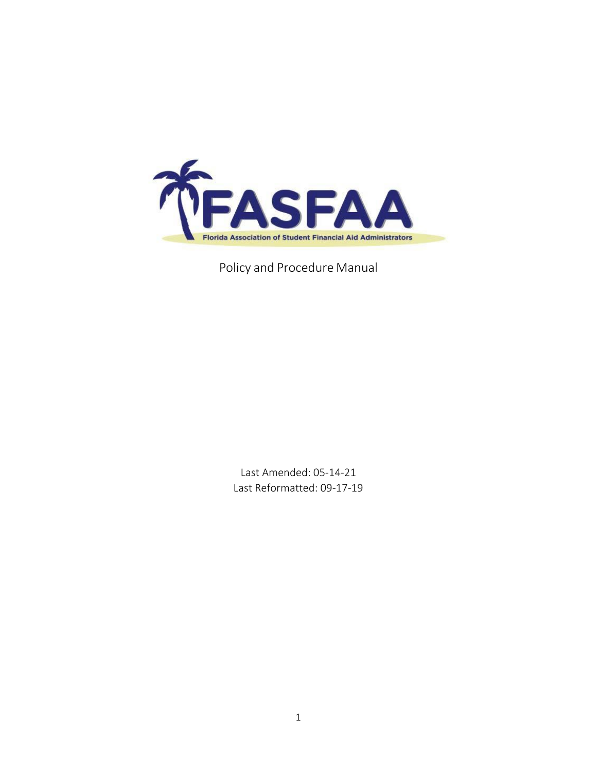

Policy and Procedure Manual

Last Amended: 05-14-21 Last Reformatted: 09-17-19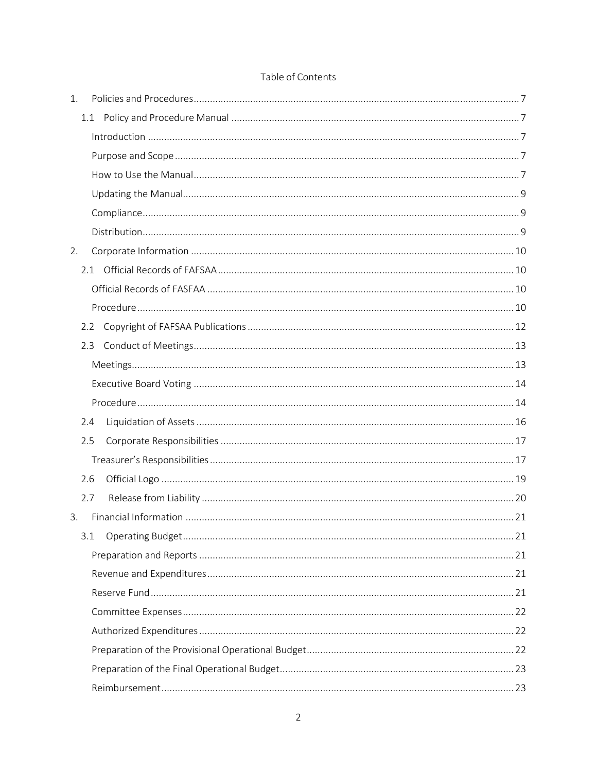| 1. |     |  |
|----|-----|--|
|    | 1.1 |  |
|    |     |  |
|    |     |  |
|    |     |  |
|    |     |  |
|    |     |  |
|    |     |  |
| 2. |     |  |
|    |     |  |
|    |     |  |
|    |     |  |
|    | 2.2 |  |
|    | 2.3 |  |
|    |     |  |
|    |     |  |
|    |     |  |
|    | 2.4 |  |
|    | 2.5 |  |
|    |     |  |
|    | 2.6 |  |
|    | 2.7 |  |
| 3. |     |  |
|    | 3.1 |  |
|    |     |  |
|    |     |  |
|    |     |  |
|    |     |  |
|    |     |  |
|    |     |  |
|    |     |  |
|    |     |  |

### Table of Contents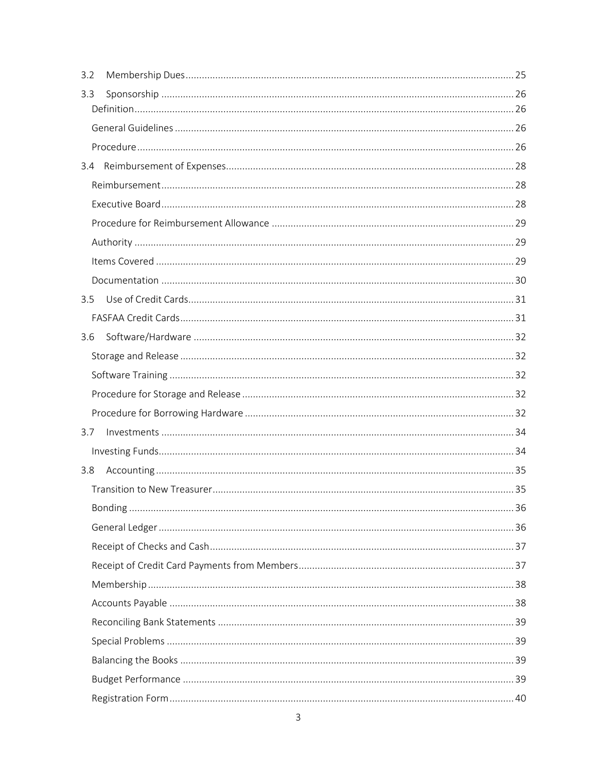| 3.2           |  |
|---------------|--|
| 3.3           |  |
|               |  |
|               |  |
|               |  |
|               |  |
|               |  |
|               |  |
|               |  |
|               |  |
|               |  |
| $3.5^{\circ}$ |  |
|               |  |
| 3.6           |  |
|               |  |
|               |  |
|               |  |
|               |  |
| 3.7           |  |
|               |  |
| 3.8           |  |
|               |  |
|               |  |
|               |  |
|               |  |
|               |  |
|               |  |
|               |  |
|               |  |
|               |  |
|               |  |
|               |  |
|               |  |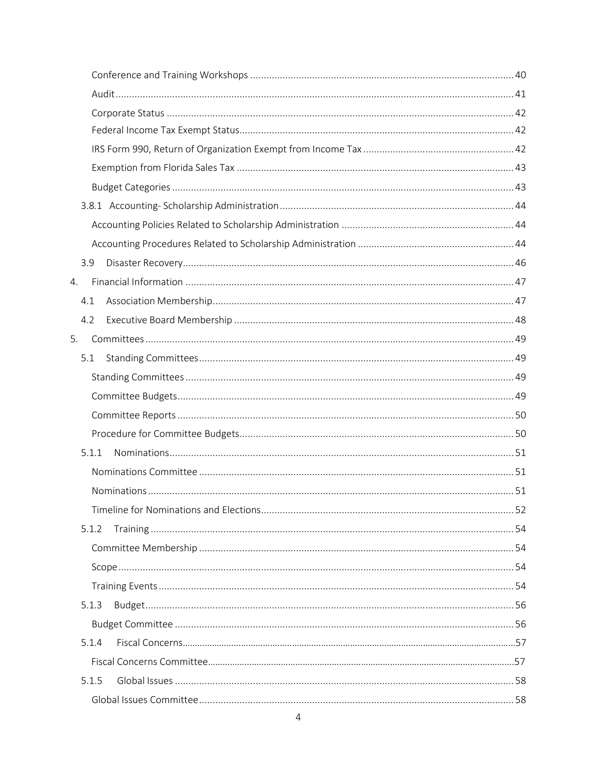|    | 3.9   |  |
|----|-------|--|
| 4. |       |  |
|    | 4.1   |  |
|    | 4.2   |  |
| 5. |       |  |
|    | 5.1   |  |
|    |       |  |
|    |       |  |
|    |       |  |
|    |       |  |
|    | 5.1.1 |  |
|    |       |  |
|    |       |  |
|    |       |  |
|    | 5.1.2 |  |
|    |       |  |
|    |       |  |
|    |       |  |
|    | 5.1.3 |  |
|    |       |  |
|    | 5.1.4 |  |
|    |       |  |
|    | 5.1.5 |  |
|    |       |  |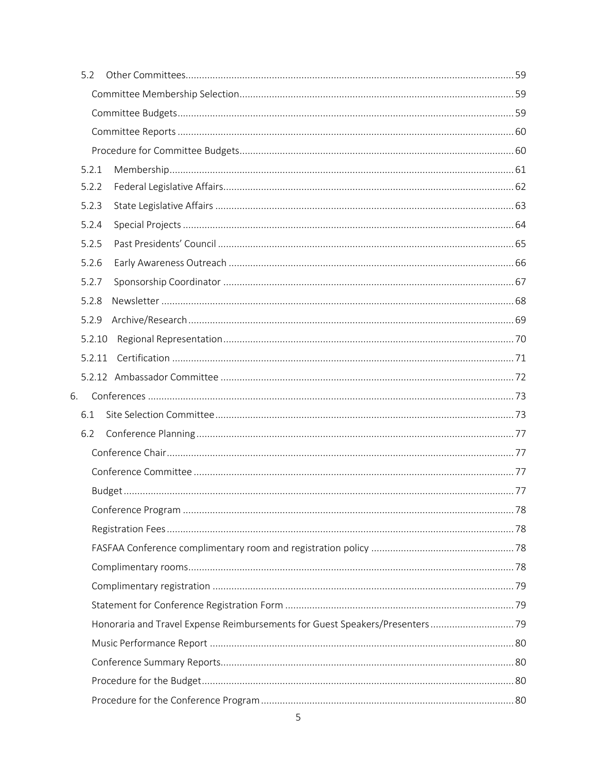|    | 5.2    |                                                                              |  |
|----|--------|------------------------------------------------------------------------------|--|
|    |        |                                                                              |  |
|    |        |                                                                              |  |
|    |        |                                                                              |  |
|    |        |                                                                              |  |
|    | 5.2.1  |                                                                              |  |
|    | 5.2.2  |                                                                              |  |
|    | 5.2.3  |                                                                              |  |
|    | 5.2.4  |                                                                              |  |
|    | 5.2.5  |                                                                              |  |
|    | 5.2.6  |                                                                              |  |
|    | 5.2.7  |                                                                              |  |
|    | 5.2.8  |                                                                              |  |
|    | 5.2.9  |                                                                              |  |
|    | 5.2.10 |                                                                              |  |
|    | 5.2.11 |                                                                              |  |
|    |        |                                                                              |  |
| 6. |        |                                                                              |  |
|    | 6.1    |                                                                              |  |
|    | 6.2    |                                                                              |  |
|    |        |                                                                              |  |
|    |        |                                                                              |  |
|    |        |                                                                              |  |
|    |        |                                                                              |  |
|    |        |                                                                              |  |
|    |        |                                                                              |  |
|    |        |                                                                              |  |
|    |        |                                                                              |  |
|    |        |                                                                              |  |
|    |        | Honoraria and Travel Expense Reimbursements for Guest Speakers/Presenters 79 |  |
|    |        |                                                                              |  |
|    |        |                                                                              |  |
|    |        |                                                                              |  |
|    |        |                                                                              |  |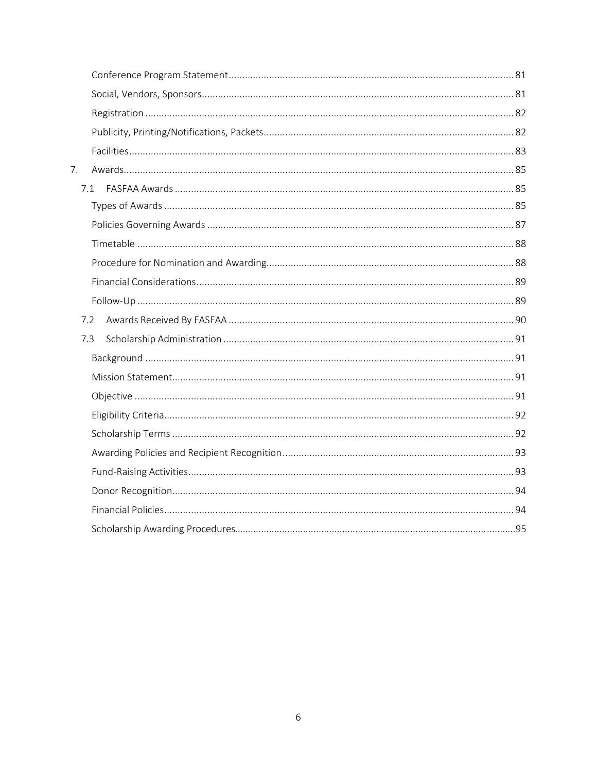| 7. |     |  |
|----|-----|--|
|    | 7.1 |  |
|    |     |  |
|    |     |  |
|    |     |  |
|    |     |  |
|    |     |  |
|    |     |  |
|    | 7.2 |  |
|    | 7.3 |  |
|    |     |  |
|    |     |  |
|    |     |  |
|    |     |  |
|    |     |  |
|    |     |  |
|    |     |  |
|    |     |  |
|    |     |  |
|    |     |  |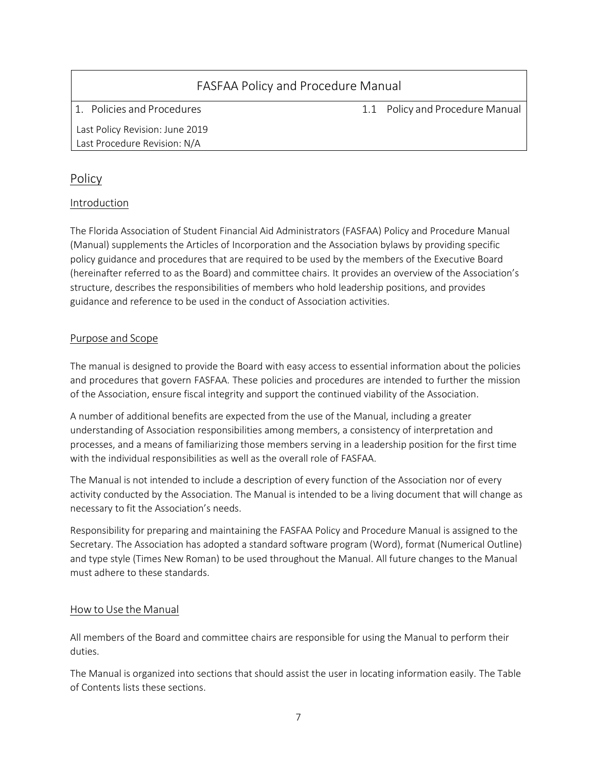<span id="page-6-1"></span><span id="page-6-0"></span>

| <b>FASFAA Policy and Procedure Manual</b>                       |  |                                 |
|-----------------------------------------------------------------|--|---------------------------------|
| 1. Policies and Procedures                                      |  | 1.1 Policy and Procedure Manual |
| Last Policy Revision: June 2019<br>Last Procedure Revision: N/A |  |                                 |

## Policy

### <span id="page-6-2"></span>Introduction

The Florida Association of Student Financial Aid Administrators (FASFAA) Policy and Procedure Manual (Manual) supplements the Articles of Incorporation and the Association bylaws by providing specific policy guidance and procedures that are required to be used by the members of the Executive Board (hereinafter referred to as the Board) and committee chairs. It provides an overview of the Association's structure, describes the responsibilities of members who hold leadership positions, and provides guidance and reference to be used in the conduct of Association activities.

### <span id="page-6-3"></span>Purpose and Scope

The manual is designed to provide the Board with easy access to essential information about the policies and procedures that govern FASFAA. These policies and procedures are intended to further the mission of the Association, ensure fiscal integrity and support the continued viability of the Association.

A number of additional benefits are expected from the use of the Manual, including a greater understanding of Association responsibilities among members, a consistency of interpretation and processes, and a means of familiarizing those members serving in a leadership position for the first time with the individual responsibilities as well as the overall role of FASFAA.

The Manual is not intended to include a description of every function of the Association nor of every activity conducted by the Association. The Manual is intended to be a living document that will change as necessary to fit the Association's needs.

Responsibility for preparing and maintaining the FASFAA Policy and Procedure Manual is assigned to the Secretary. The Association has adopted a standard software program (Word), format (Numerical Outline) and type style (Times New Roman) to be used throughout the Manual. All future changes to the Manual must adhere to these standards.

### <span id="page-6-4"></span>How to Use the Manual

All members of the Board and committee chairs are responsible for using the Manual to perform their duties.

The Manual is organized into sections that should assist the user in locating information easily. The Table of Contents lists these sections.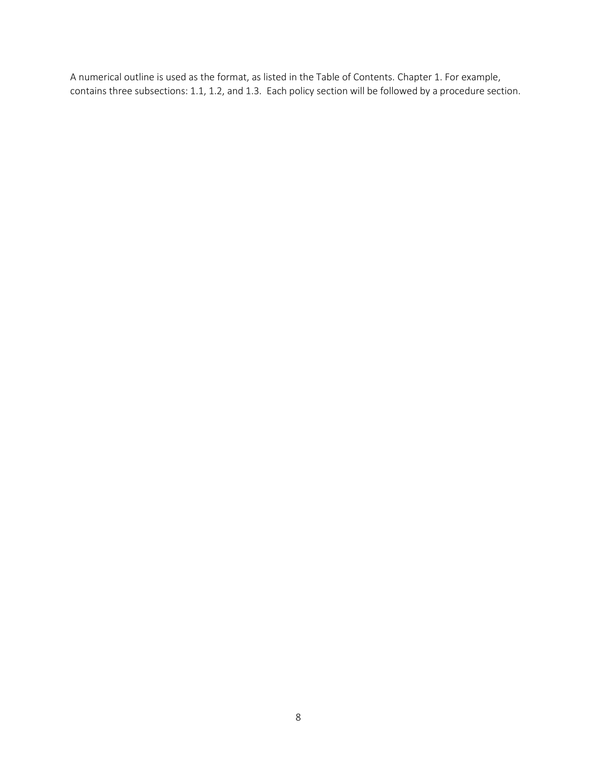A numerical outline is used as the format, as listed in the Table of Contents. Chapter 1. For example, contains three subsections: 1.1, 1.2, and 1.3. Each policy section will be followed by a procedure section.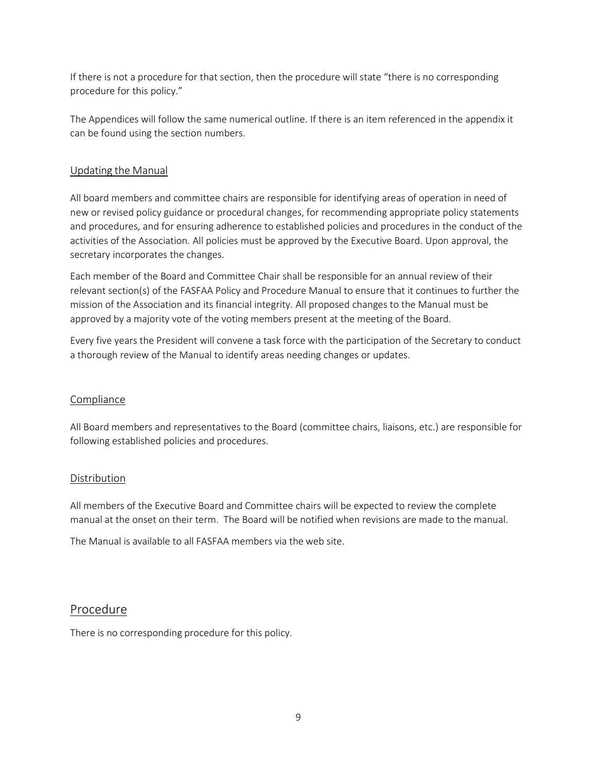If there is not a procedure for that section, then the procedure will state "there is no corresponding procedure for this policy."

The Appendices will follow the same numerical outline. If there is an item referenced in the appendix it can be found using the section numbers.

### Updating the Manual

All board members and committee chairs are responsible for identifying areas of operation in need of new or revised policy guidance or procedural changes, for recommending appropriate policy statements and procedures, and for ensuring adherence to established policies and procedures in the conduct of the activities of the Association. All policies must be approved by the Executive Board. Upon approval, the secretary incorporates the changes.

Each member of the Board and Committee Chair shall be responsible for an annual review of their relevant section(s) of the FASFAA Policy and Procedure Manual to ensure that it continues to further the mission of the Association and its financial integrity. All proposed changes to the Manual must be approved by a majority vote of the voting members present at the meeting of the Board.

Every five years the President will convene a task force with the participation of the Secretary to conduct a thorough review of the Manual to identify areas needing changes or updates.

### Compliance

All Board members and representatives to the Board (committee chairs, liaisons, etc.) are responsible for following established policies and procedures.

### Distribution

All members of the Executive Board and Committee chairs will be expected to review the complete manual at the onset on their term. The Board will be notified when revisions are made to the manual.

The Manual is available to all FASFAA members via the web site.

## Procedure

There is no corresponding procedure for this policy.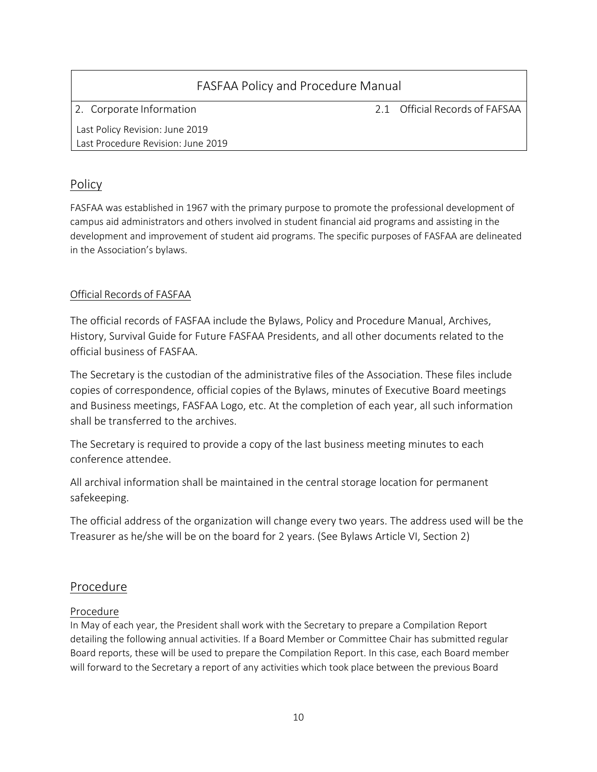# FASFAA Policy and Procedure Manual 2. Corporate Information 2.1 Official Records of FAFSAA Last Policy Revision: June 2019 Last Procedure Revision: June 2019

## Policy

FASFAA was established in 1967 with the primary purpose to promote the professional development of campus aid administrators and others involved in student financial aid programs and assisting in the development and improvement of student aid programs. The specific purposes of FASFAA are delineated in the Association's bylaws.

## Official Records of FASFAA

The official records of FASFAA include the Bylaws, Policy and Procedure Manual, Archives, History, Survival Guide for Future FASFAA Presidents, and all other documents related to the official business of FASFAA.

The Secretary is the custodian of the administrative files of the Association. These files include copies of correspondence, official copies of the Bylaws, minutes of Executive Board meetings and Business meetings, FASFAA Logo, etc. At the completion of each year, all such information shall be transferred to the archives.

The Secretary is required to provide a copy of the last business meeting minutes to each conference attendee.

All archival information shall be maintained in the central storage location for permanent safekeeping.

The official address of the organization will change every two years. The address used will be the Treasurer as he/she will be on the board for 2 years. (See Bylaws Article VI, Section 2)

## Procedure

## Procedure

In May of each year, the President shall work with the Secretary to prepare a Compilation Report detailing the following annual activities. If a Board Member or Committee Chair has submitted regular Board reports, these will be used to prepare the Compilation Report. In this case, each Board member will forward to the Secretary a report of any activities which took place between the previous Board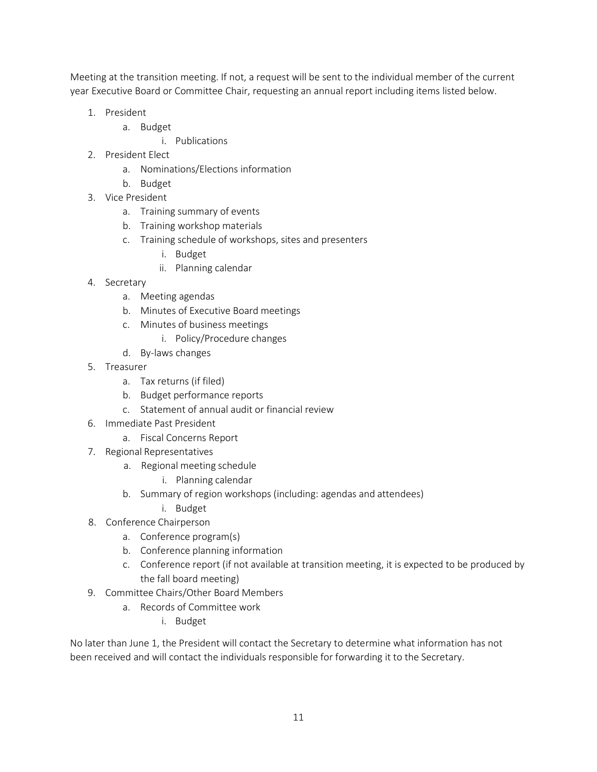Meeting at the transition meeting. If not, a request will be sent to the individual member of the current year Executive Board or Committee Chair, requesting an annual report including items listed below.

- 1. President
	- a. Budget
		- i. Publications
- 2. President Elect
	- a. Nominations/Elections information
	- b. Budget
- 3. Vice President
	- a. Training summary of events
	- b. Training workshop materials
	- c. Training schedule of workshops, sites and presenters
		- i. Budget
		- ii. Planning calendar
- 4. Secretary
	- a. Meeting agendas
	- b. Minutes of Executive Board meetings
	- c. Minutes of business meetings
		- i. Policy/Procedure changes
	- d. By-laws changes
- 5. Treasurer
	- a. Tax returns (if filed)
	- b. Budget performance reports
	- c. Statement of annual audit or financial review
- 6. Immediate Past President
	- a. Fiscal Concerns Report
- 7. Regional Representatives
	- a. Regional meeting schedule
		- i. Planning calendar
	- b. Summary of region workshops (including: agendas and attendees)
		- i. Budget
- 8. Conference Chairperson
	- a. Conference program(s)
	- b. Conference planning information
	- c. Conference report (if not available at transition meeting, it is expected to be produced by the fall board meeting)
- 9. Committee Chairs/Other Board Members
	- a. Records of Committee work
		- i. Budget

No later than June 1, the President will contact the Secretary to determine what information has not been received and will contact the individuals responsible for forwarding it to the Secretary.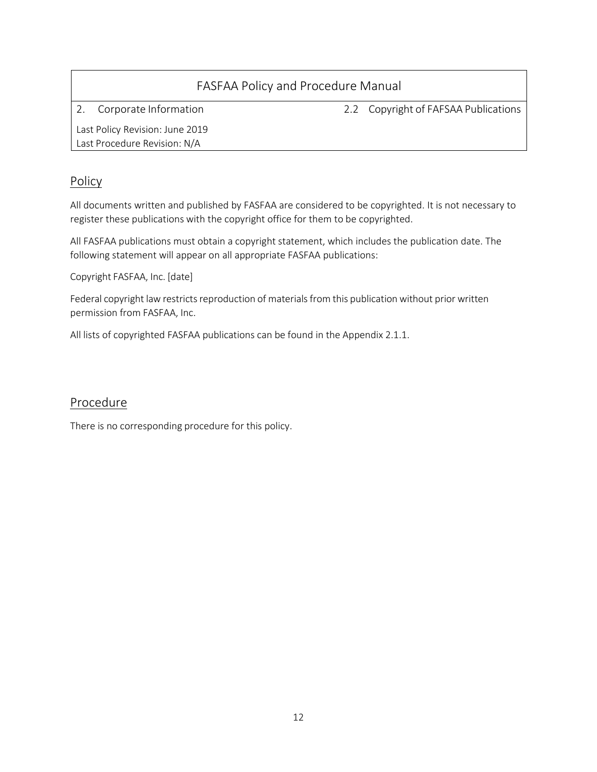| FASFAA Policy and Procedure Manual                              |  |                                      |  |
|-----------------------------------------------------------------|--|--------------------------------------|--|
| Corporate Information                                           |  | 2.2 Copyright of FAFSAA Publications |  |
| Last Policy Revision: June 2019<br>Last Procedure Revision: N/A |  |                                      |  |

## Policy

All documents written and published by FASFAA are considered to be copyrighted. It is not necessary to register these publications with the copyright office for them to be copyrighted.

All FASFAA publications must obtain a copyright statement, which includes the publication date. The following statement will appear on all appropriate FASFAA publications:

Copyright FASFAA, Inc. [date]

Federal copyright law restricts reproduction of materials from this publication without prior written permission from FASFAA, Inc.

All lists of copyrighted FASFAA publications can be found in the Appendix 2.1.1.

## Procedure

There is no corresponding procedure for this policy.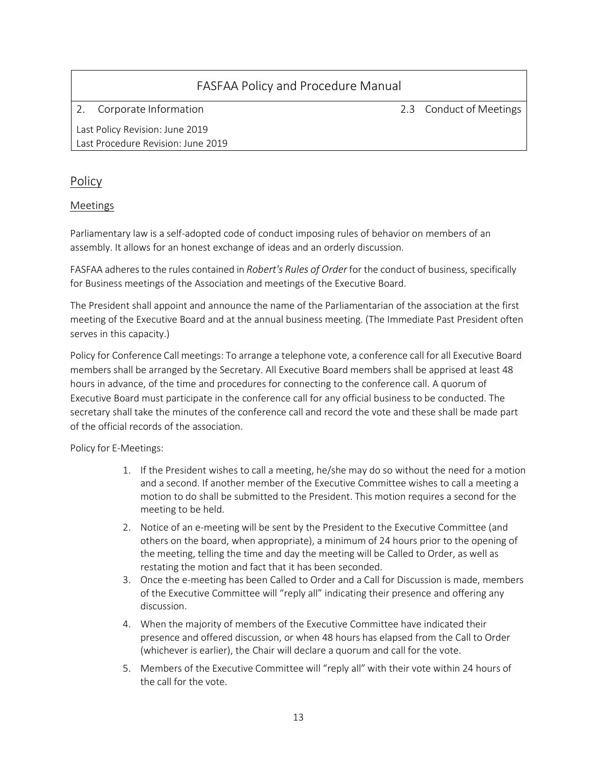2. Corporate Information 2.3 Conduct of Meetings

Last Policy Revision: June 2019 Last Procedure Revision: June 2019

## Policy

### Meetings

Parliamentary law is a self-adopted code of conduct imposing rules of behavior on members of an assembly. It allows for an honest exchange of ideas and an orderly discussion.

FASFAA adheresto the rules contained in *Robert's Rules of Order* for the conduct of business, specifically for Business meetings of the Association and meetings of the Executive Board.

The President shall appoint and announce the name of the Parliamentarian of the association at the first meeting of the Executive Board and at the annual business meeting. (The Immediate Past President often serves in this capacity.)

Policy for Conference Call meetings: To arrange a telephone vote, a conference call for all Executive Board members shall be arranged by the Secretary. All Executive Board members shall be apprised at least 48 hours in advance, of the time and procedures for connecting to the conference call. A quorum of Executive Board must participate in the conference call for any official business to be conducted. The secretary shall take the minutes of the conference call and record the vote and these shall be made part of the official records of the association.

Policy for E-Meetings:

- 1. If the President wishes to call a meeting, he/she may do so without the need for a motion and a second. If another member of the Executive Committee wishes to call a meeting a motion to do shall be submitted to the President. This motion requires a second for the meeting to be held.
- 2. Notice of an e-meeting will be sent by the President to the Executive Committee (and others on the board, when appropriate), a minimum of 24 hours prior to the opening of the meeting, telling the time and day the meeting will be Called to Order, as well as restating the motion and fact that it has been seconded.
- 3. Once the e-meeting has been Called to Order and a Call for Discussion is made, members of the Executive Committee will "reply all" indicating their presence and offering any discussion.
- 4. When the majority of members of the Executive Committee have indicated their presence and offered discussion, or when 48 hours has elapsed from the Call to Order (whichever is earlier), the Chair will declare a quorum and call for the vote.
- 5. Members of the Executive Committee will "reply all" with their vote within 24 hours of the call for the vote.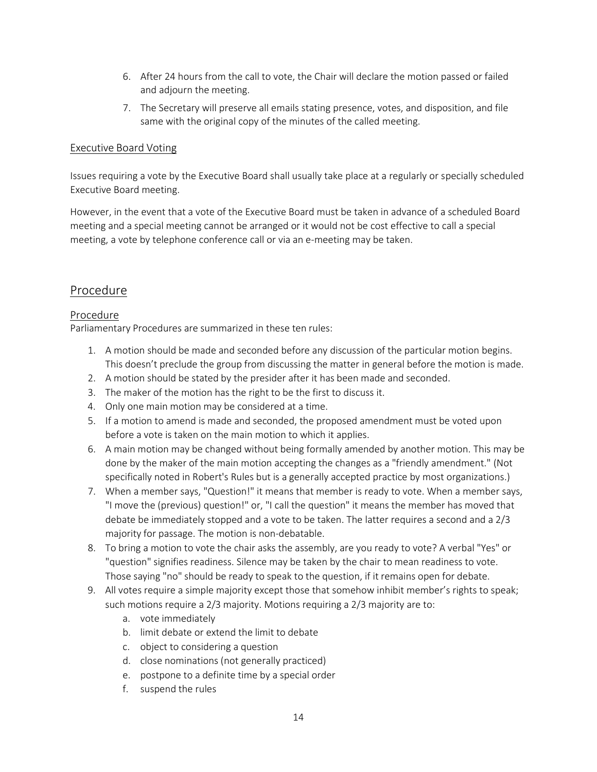- 6. After 24 hours from the call to vote, the Chair will declare the motion passed or failed and adjourn the meeting.
- 7. The Secretary will preserve all emails stating presence, votes, and disposition, and file same with the original copy of the minutes of the called meeting.

#### Executive Board Voting

Issues requiring a vote by the Executive Board shall usually take place at a regularly or specially scheduled Executive Board meeting.

However, in the event that a vote of the Executive Board must be taken in advance of a scheduled Board meeting and a special meeting cannot be arranged or it would not be cost effective to call a special meeting, a vote by telephone conference call or via an e-meeting may be taken.

### Procedure

#### Procedure

Parliamentary Procedures are summarized in these ten rules:

- 1. A motion should be made and seconded before any discussion of the particular motion begins. This doesn't preclude the group from discussing the matter in general before the motion is made.
- 2. A motion should be stated by the presider after it has been made and seconded.
- 3. The maker of the motion has the right to be the first to discuss it.
- 4. Only one main motion may be considered at a time.
- 5. If a motion to amend is made and seconded, the proposed amendment must be voted upon before a vote is taken on the main motion to which it applies.
- 6. A main motion may be changed without being formally amended by another motion. This may be done by the maker of the main motion accepting the changes as a "friendly amendment." (Not specifically noted in Robert's Rules but is a generally accepted practice by most organizations.)
- 7. When a member says, "Question!" it means that member is ready to vote. When a member says, "I move the (previous) question!" or, "I call the question" it means the member has moved that debate be immediately stopped and a vote to be taken. The latter requires a second and a 2/3 majority for passage. The motion is non-debatable.
- 8. To bring a motion to vote the chair asks the assembly, are you ready to vote? A verbal "Yes" or "question" signifies readiness. Silence may be taken by the chair to mean readiness to vote. Those saying "no" should be ready to speak to the question, if it remains open for debate.
- 9. All votes require a simple majority except those that somehow inhibit member's rights to speak; such motions require a 2/3 majority. Motions requiring a 2/3 majority are to:
	- a. vote immediately
	- b. limit debate or extend the limit to debate
	- c. object to considering a question
	- d. close nominations (not generally practiced)
	- e. postpone to a definite time by a special order
	- f. suspend the rules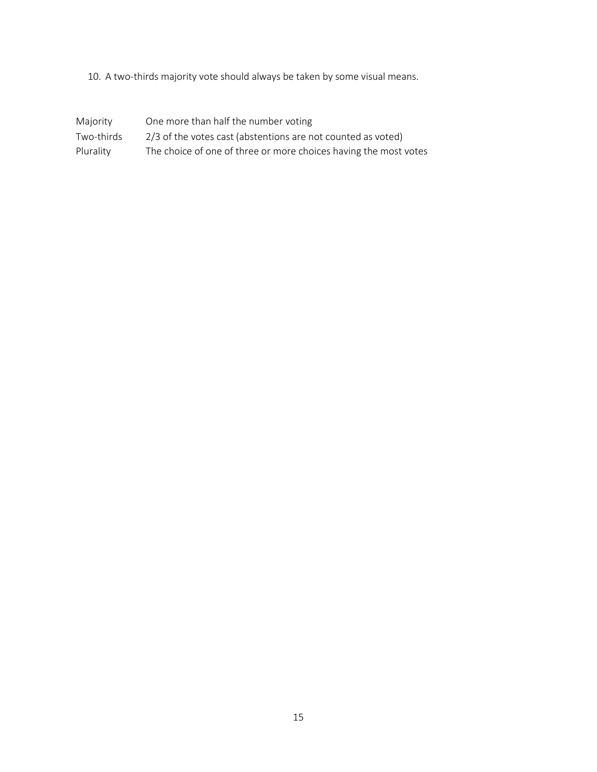10. A two-thirds majority vote should always be taken by some visual means.

| Majority   | One more than half the number voting                             |
|------------|------------------------------------------------------------------|
| Two-thirds | 2/3 of the votes cast (abstentions are not counted as voted)     |
| Plurality  | The choice of one of three or more choices having the most votes |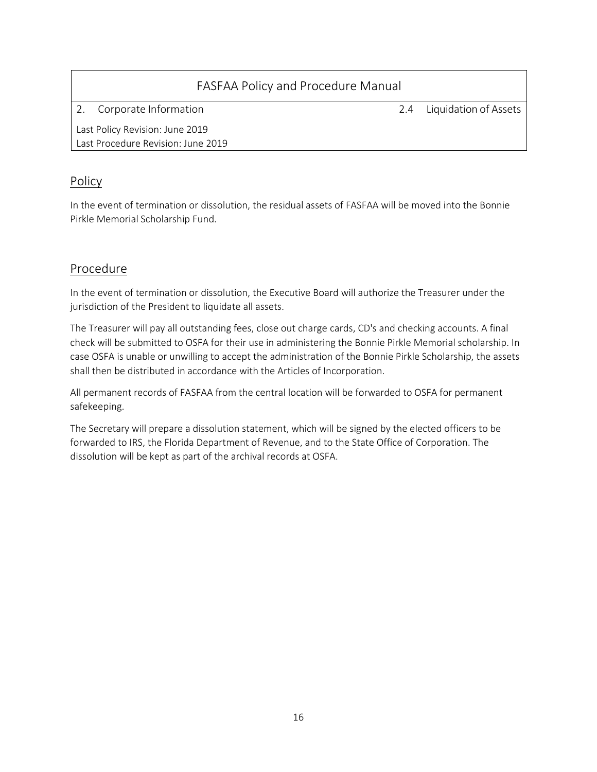|                                 | FASFAA Policy and Procedure Manual |  |                           |
|---------------------------------|------------------------------------|--|---------------------------|
|                                 | Corporate Information              |  | 2.4 Liquidation of Assets |
| Last Policy Revision: June 2019 |                                    |  |                           |
|                                 | Last Procedure Revision: June 2019 |  |                           |

## Policy

In the event of termination or dissolution, the residual assets of FASFAA will be moved into the Bonnie Pirkle Memorial Scholarship Fund.

## Procedure

In the event of termination or dissolution, the Executive Board will authorize the Treasurer under the jurisdiction of the President to liquidate all assets.

The Treasurer will pay all outstanding fees, close out charge cards, CD's and checking accounts. A final check will be submitted to OSFA for their use in administering the Bonnie Pirkle Memorial scholarship. In case OSFA is unable or unwilling to accept the administration of the Bonnie Pirkle Scholarship, the assets shall then be distributed in accordance with the Articles of Incorporation.

All permanent records of FASFAA from the central location will be forwarded to OSFA for permanent safekeeping.

The Secretary will prepare a dissolution statement, which will be signed by the elected officers to be forwarded to IRS, the Florida Department of Revenue, and to the State Office of Corporation. The dissolution will be kept as part of the archival records at OSFA.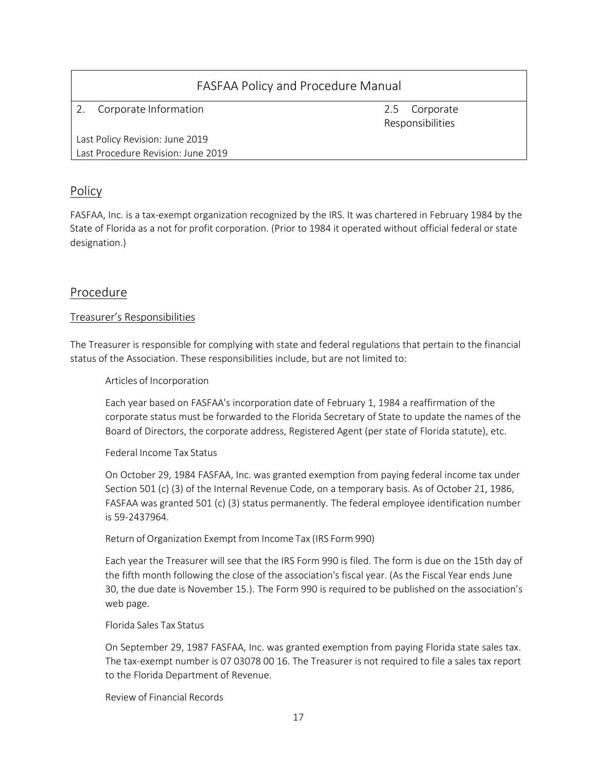2. Corporate Information 2.5 Corporate

Responsibilities

Last Policy Revision: June 2019 Last Procedure Revision: June 2019

## **Policy**

FASFAA, Inc. is a tax-exempt organization recognized by the IRS. It was chartered in February 1984 by the State of Florida as a not for profit corporation. (Prior to 1984 it operated without official federal or state designation.)

## Procedure

### Treasurer's Responsibilities

The Treasurer is responsible for complying with state and federal regulations that pertain to the financial status of the Association. These responsibilities include, but are not limited to:

### Articles of Incorporation

Each year based on FASFAA's incorporation date of February 1, 1984 a reaffirmation of the corporate status must be forwarded to the Florida Secretary of State to update the names of the Board of Directors, the corporate address, Registered Agent (per state of Florida statute), etc.

### Federal Income Tax Status

On October 29, 1984 FASFAA, Inc. was granted exemption from paying federal income tax under Section 501 (c) (3) of the Internal Revenue Code, on a temporary basis. As of October 21, 1986, FASFAA was granted 501 (c) (3) status permanently. The federal employee identification number is 59-2437964.

### Return of Organization Exempt from Income Tax (IRS Form 990)

Each year the Treasurer will see that the IRS Form 990 is filed. The form is due on the 15th day of the fifth month following the close of the association's fiscal year. (As the Fiscal Year ends June 30, the due date is November 15.). The Form 990 is required to be published on the association's web page.

#### Florida Sales Tax Status

On September 29, 1987 FASFAA, Inc. was granted exemption from paying Florida state sales tax. The tax-exempt number is 07 03078 00 16. The Treasurer is not required to file a sales tax report to the Florida Department of Revenue.

Review of Financial Records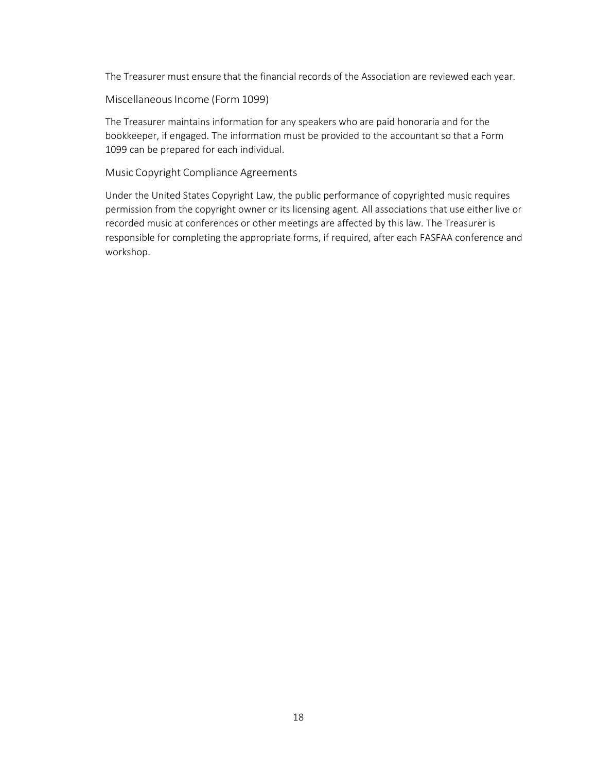The Treasurer must ensure that the financial records of the Association are reviewed each year.

Miscellaneous Income (Form 1099)

The Treasurer maintains information for any speakers who are paid honoraria and for the bookkeeper, if engaged. The information must be provided to the accountant so that a Form 1099 can be prepared for each individual.

Music Copyright Compliance Agreements

Under the United States Copyright Law, the public performance of copyrighted music requires permission from the copyright owner or its licensing agent. All associations that use either live or recorded music at conferences or other meetings are affected by this law. The Treasurer is responsible for completing the appropriate forms, if required, after each FASFAA conference and workshop.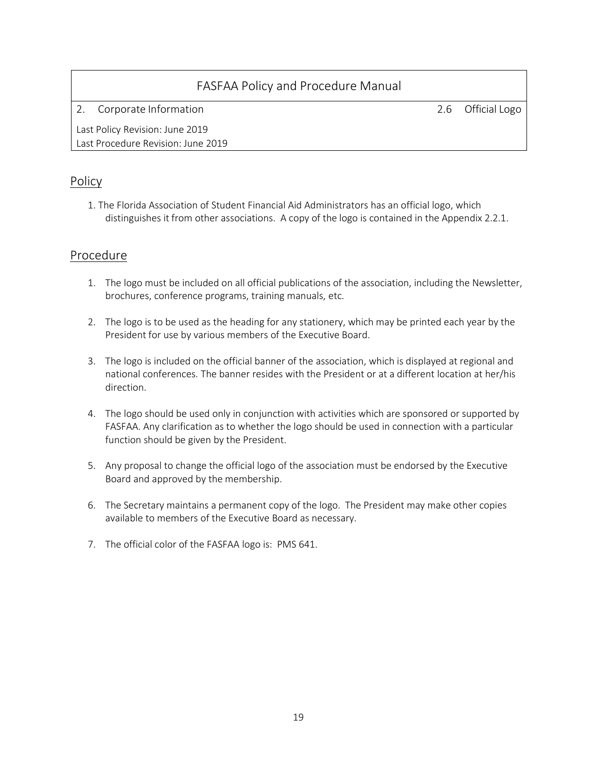2. Corporate Information 2.6 Official Logo

Last Policy Revision: June 2019 Last Procedure Revision: June 2019

## Policy

1. The Florida Association of Student Financial Aid Administrators has an official logo, which distinguishes it from other associations. A copy of the logo is contained in the Appendix 2.2.1.

## Procedure

- 1. The logo must be included on all official publications of the association, including the Newsletter, brochures, conference programs, training manuals, etc.
- 2. The logo is to be used as the heading for any stationery, which may be printed each year by the President for use by various members of the Executive Board.
- 3. The logo is included on the official banner of the association, which is displayed at regional and national conferences. The banner resides with the President or at a different location at her/his direction.
- 4. The logo should be used only in conjunction with activities which are sponsored or supported by FASFAA. Any clarification as to whether the logo should be used in connection with a particular function should be given by the President.
- 5. Any proposal to change the official logo of the association must be endorsed by the Executive Board and approved by the membership.
- 6. The Secretary maintains a permanent copy of the logo. The President may make other copies available to members of the Executive Board as necessary.
- 7. The official color of the FASFAA logo is: PMS 641.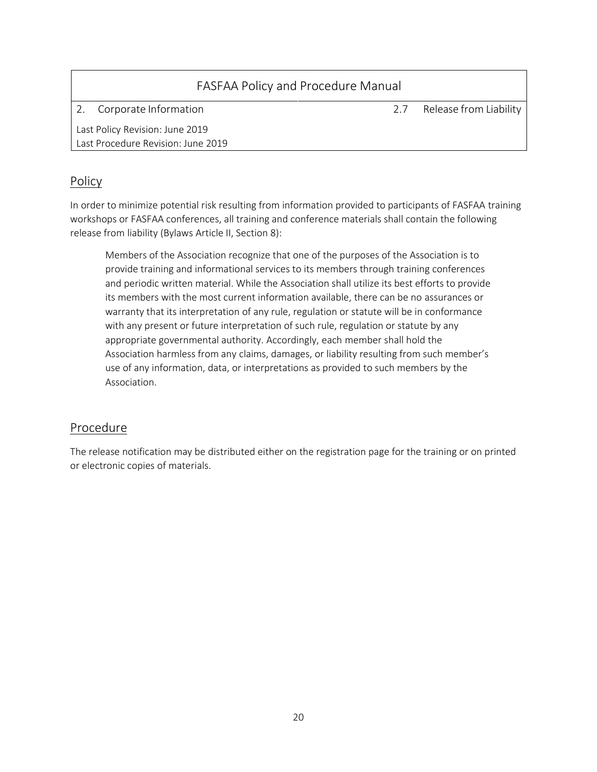| FASFAA Policy and Procedure Manual |     |                        |
|------------------------------------|-----|------------------------|
| Corporate Information              | 2.7 | Release from Liability |
| Last Policy Revision: June 2019    |     |                        |
| Last Procedure Revision: June 2019 |     |                        |
|                                    |     |                        |

## Policy

In order to minimize potential risk resulting from information provided to participants of FASFAA training workshops or FASFAA conferences, all training and conference materials shall contain the following release from liability (Bylaws Article II, Section 8):

Members of the Association recognize that one of the purposes of the Association is to provide training and informational services to its members through training conferences and periodic written material. While the Association shall utilize its best efforts to provide its members with the most current information available, there can be no assurances or warranty that its interpretation of any rule, regulation or statute will be in conformance with any present or future interpretation of such rule, regulation or statute by any appropriate governmental authority. Accordingly, each member shall hold the Association harmless from any claims, damages, or liability resulting from such member's use of any information, data, or interpretations as provided to such members by the Association.

## Procedure

The release notification may be distributed either on the registration page for the training or on printed or electronic copies of materials.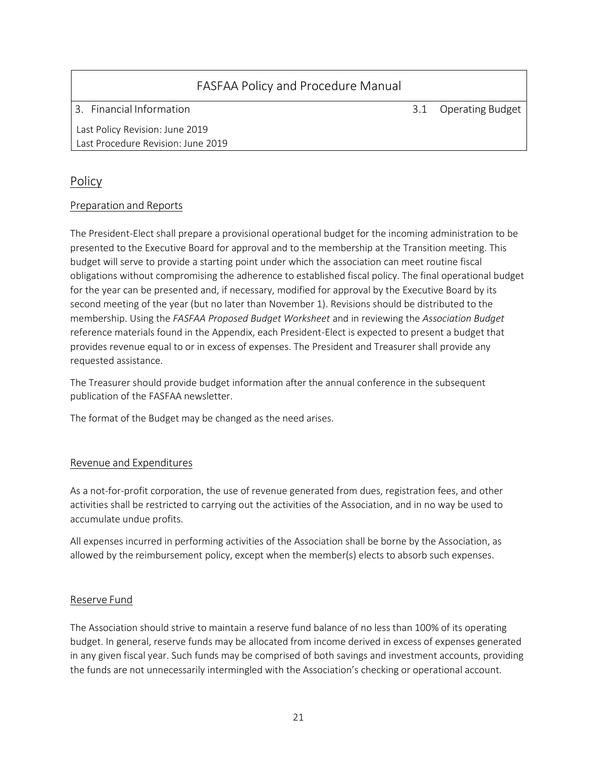3. Financial Information 3.1 Operating Budget

Last Policy Revision: June 2019 Last Procedure Revision: June 2019

## Policy

### Preparation and Reports

The President-Elect shall prepare a provisional operational budget for the incoming administration to be presented to the Executive Board for approval and to the membership at the Transition meeting. This budget will serve to provide a starting point under which the association can meet routine fiscal obligations without compromising the adherence to established fiscal policy. The final operational budget for the year can be presented and, if necessary, modified for approval by the Executive Board by its second meeting of the year (but no later than November 1). Revisions should be distributed to the membership. Using the *FASFAA Proposed Budget Worksheet* and in reviewing the *Association Budget* reference materials found in the Appendix, each President-Elect is expected to present a budget that provides revenue equal to or in excess of expenses. The President and Treasurer shall provide any requested assistance.

The Treasurer should provide budget information after the annual conference in the subsequent publication of the FASFAA newsletter.

The format of the Budget may be changed as the need arises.

### Revenue and Expenditures

As a not-for-profit corporation, the use of revenue generated from dues, registration fees, and other activities shall be restricted to carrying out the activities of the Association, and in no way be used to accumulate undue profits.

All expenses incurred in performing activities of the Association shall be borne by the Association, as allowed by the reimbursement policy, except when the member(s) elects to absorb such expenses.

#### Reserve Fund

The Association should strive to maintain a reserve fund balance of no less than 100% of its operating budget. In general, reserve funds may be allocated from income derived in excess of expenses generated in any given fiscal year. Such funds may be comprised of both savings and investment accounts, providing the funds are not unnecessarily intermingled with the Association's checking or operational account.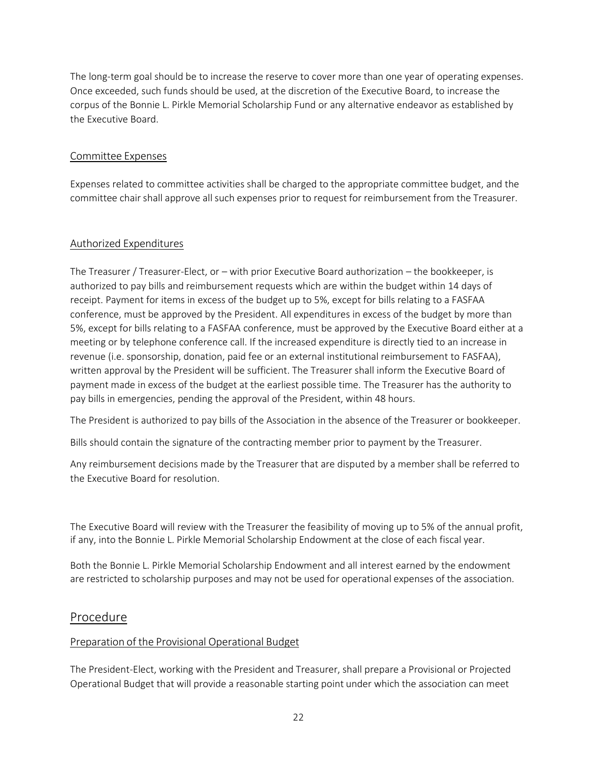The long-term goal should be to increase the reserve to cover more than one year of operating expenses. Once exceeded, such funds should be used, at the discretion of the Executive Board, to increase the corpus of the Bonnie L. Pirkle Memorial Scholarship Fund or any alternative endeavor as established by the Executive Board.

### Committee Expenses

Expenses related to committee activities shall be charged to the appropriate committee budget, and the committee chair shall approve all such expenses prior to request for reimbursement from the Treasurer.

### Authorized Expenditures

The Treasurer / Treasurer-Elect, or – with prior Executive Board authorization – the bookkeeper, is authorized to pay bills and reimbursement requests which are within the budget within 14 days of receipt. Payment for items in excess of the budget up to 5%, except for bills relating to a FASFAA conference, must be approved by the President. All expenditures in excess of the budget by more than 5%, except for bills relating to a FASFAA conference, must be approved by the Executive Board either at a meeting or by telephone conference call. If the increased expenditure is directly tied to an increase in revenue (i.e. sponsorship, donation, paid fee or an external institutional reimbursement to FASFAA), written approval by the President will be sufficient. The Treasurer shall inform the Executive Board of payment made in excess of the budget at the earliest possible time. The Treasurer has the authority to pay bills in emergencies, pending the approval of the President, within 48 hours.

The President is authorized to pay bills of the Association in the absence of the Treasurer or bookkeeper.

Bills should contain the signature of the contracting member prior to payment by the Treasurer.

Any reimbursement decisions made by the Treasurer that are disputed by a member shall be referred to the Executive Board for resolution.

The Executive Board will review with the Treasurer the feasibility of moving up to 5% of the annual profit, if any, into the Bonnie L. Pirkle Memorial Scholarship Endowment at the close of each fiscal year.

Both the Bonnie L. Pirkle Memorial Scholarship Endowment and all interest earned by the endowment are restricted to scholarship purposes and may not be used for operational expenses of the association.

### Procedure

#### Preparation of the Provisional Operational Budget

The President-Elect, working with the President and Treasurer, shall prepare a Provisional or Projected Operational Budget that will provide a reasonable starting point under which the association can meet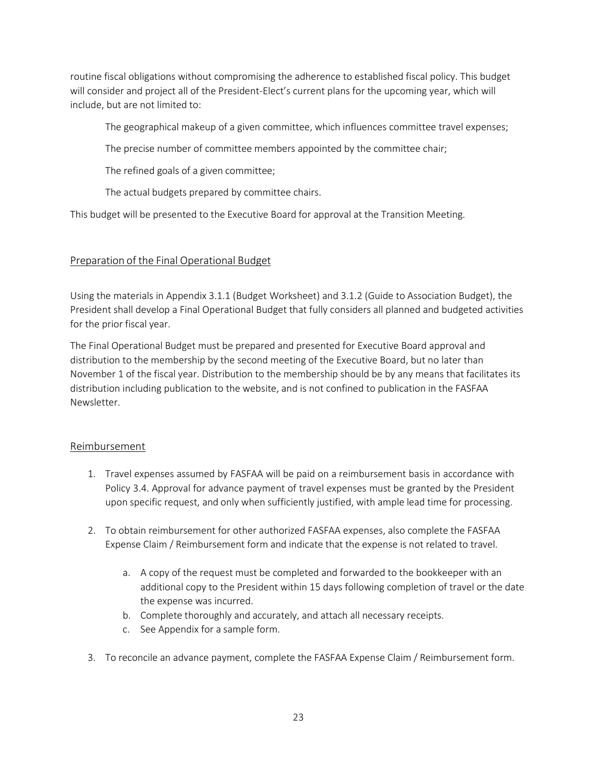routine fiscal obligations without compromising the adherence to established fiscal policy. This budget will consider and project all of the President-Elect's current plans for the upcoming year, which will include, but are not limited to:

The geographical makeup of a given committee, which influences committee travel expenses;

The precise number of committee members appointed by the committee chair;

The refined goals of a given committee;

The actual budgets prepared by committee chairs.

This budget will be presented to the Executive Board for approval at the Transition Meeting.

### Preparation of the Final Operational Budget

Using the materials in Appendix 3.1.1 (Budget Worksheet) and 3.1.2 (Guide to Association Budget), the President shall develop a Final Operational Budget that fully considers all planned and budgeted activities for the prior fiscal year.

The Final Operational Budget must be prepared and presented for Executive Board approval and distribution to the membership by the second meeting of the Executive Board, but no later than November 1 of the fiscal year. Distribution to the membership should be by any means that facilitates its distribution including publication to the website, and is not confined to publication in the FASFAA Newsletter.

#### Reimbursement

- 1. Travel expenses assumed by FASFAA will be paid on a reimbursement basis in accordance with Policy 3.4. Approval for advance payment of travel expenses must be granted by the President upon specific request, and only when sufficiently justified, with ample lead time for processing.
- 2. To obtain reimbursement for other authorized FASFAA expenses, also complete the FASFAA Expense Claim / Reimbursement form and indicate that the expense is not related to travel.
	- a. A copy of the request must be completed and forwarded to the bookkeeper with an additional copy to the President within 15 days following completion of travel or the date the expense was incurred.
	- b. Complete thoroughly and accurately, and attach all necessary receipts.
	- c. See Appendix for a sample form.
- 3. To reconcile an advance payment, complete the FASFAA Expense Claim / Reimbursement form.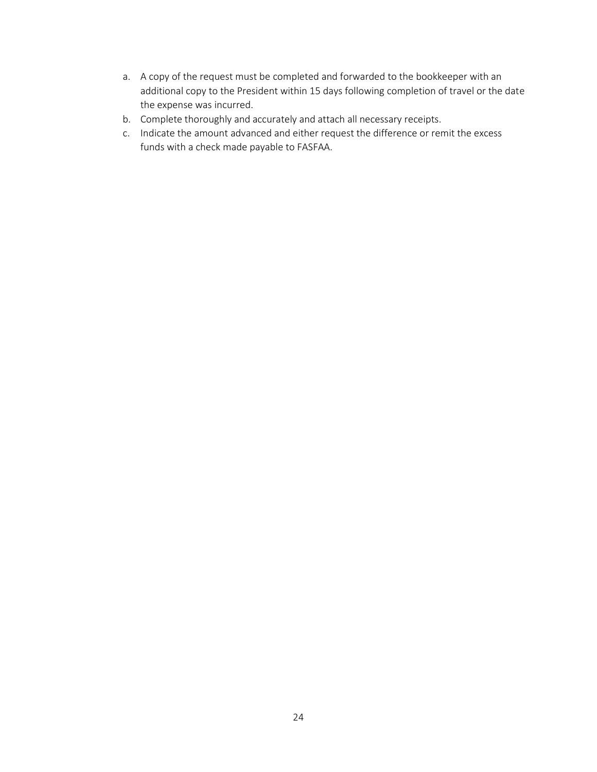- a. A copy of the request must be completed and forwarded to the bookkeeper with an additional copy to the President within 15 days following completion of travel or the date the expense was incurred.
- b. Complete thoroughly and accurately and attach all necessary receipts.
- c. Indicate the amount advanced and either request the difference or remit the excess funds with a check made payable to FASFAA.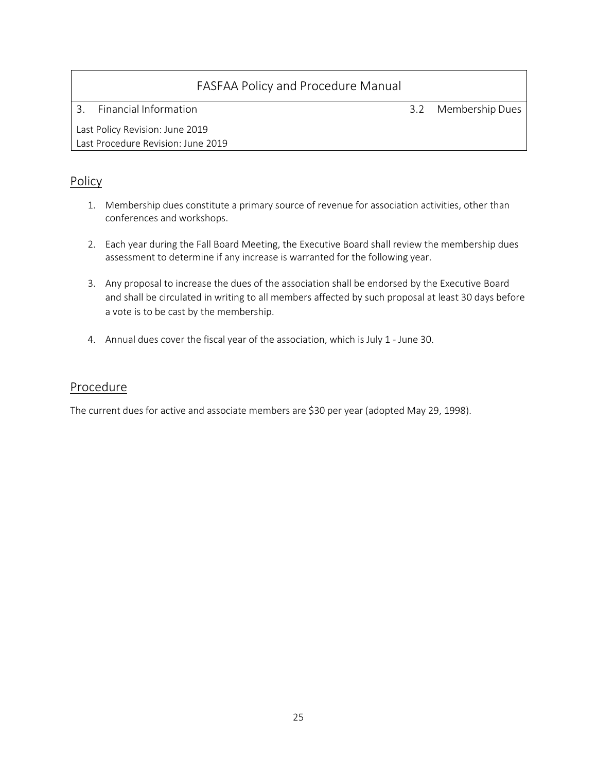3. Financial Information 3.2 Membership Dues

Last Policy Revision: June 2019 Last Procedure Revision: June 2019

## Policy

- 1. Membership dues constitute a primary source of revenue for association activities, other than conferences and workshops.
- 2. Each year during the Fall Board Meeting, the Executive Board shall review the membership dues assessment to determine if any increase is warranted for the following year.
- 3. Any proposal to increase the dues of the association shall be endorsed by the Executive Board and shall be circulated in writing to all members affected by such proposal at least 30 days before a vote is to be cast by the membership.
- 4. Annual dues cover the fiscal year of the association, which is July 1 June 30.

## Procedure

The current dues for active and associate members are \$30 per year (adopted May 29, 1998).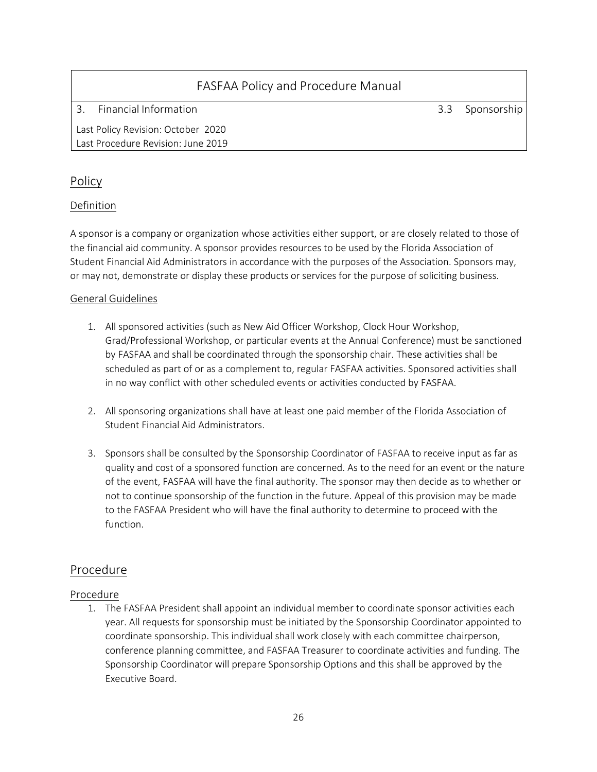3. Financial Information 3.3 Sponsorship

Last Policy Revision: October 2020 Last Procedure Revision: June 2019

## Policy

## Definition

A sponsor is a company or organization whose activities either support, or are closely related to those of the financial aid community. A sponsor provides resources to be used by the Florida Association of Student Financial Aid Administrators in accordance with the purposes of the Association. Sponsors may, or may not, demonstrate or display these products or services for the purpose of soliciting business.

### General Guidelines

- 1. All sponsored activities (such as New Aid Officer Workshop, Clock Hour Workshop, Grad/Professional Workshop, or particular events at the Annual Conference) must be sanctioned by FASFAA and shall be coordinated through the sponsorship chair. These activities shall be scheduled as part of or as a complement to, regular FASFAA activities. Sponsored activities shall in no way conflict with other scheduled events or activities conducted by FASFAA.
- 2. All sponsoring organizations shall have at least one paid member of the Florida Association of Student Financial Aid Administrators.
- 3. Sponsors shall be consulted by the Sponsorship Coordinator of FASFAA to receive input as far as quality and cost of a sponsored function are concerned. As to the need for an event or the nature of the event, FASFAA will have the final authority. The sponsor may then decide as to whether or not to continue sponsorship of the function in the future. Appeal of this provision may be made to the FASFAA President who will have the final authority to determine to proceed with the function.

## Procedure

### Procedure

1. The FASFAA President shall appoint an individual member to coordinate sponsor activities each year. All requests for sponsorship must be initiated by the Sponsorship Coordinator appointed to coordinate sponsorship. This individual shall work closely with each committee chairperson, conference planning committee, and FASFAA Treasurer to coordinate activities and funding. The Sponsorship Coordinator will prepare Sponsorship Options and this shall be approved by the Executive Board.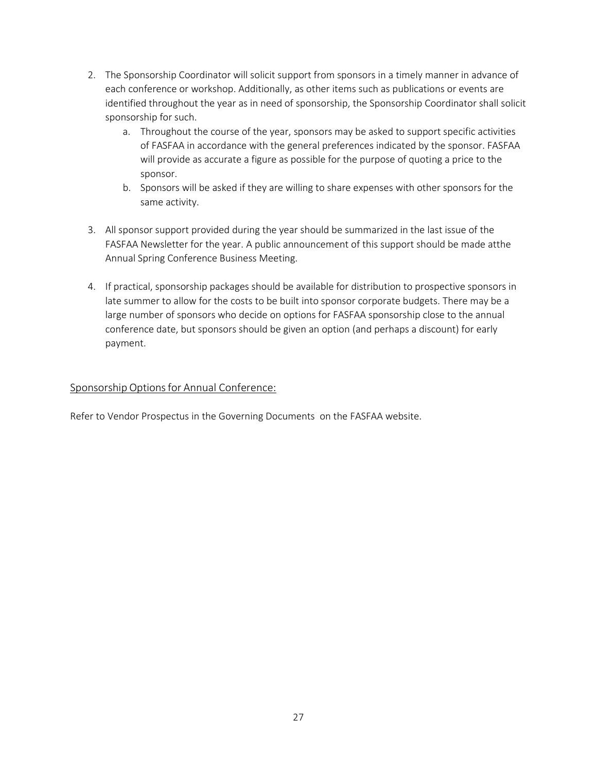- 2. The Sponsorship Coordinator will solicit support from sponsors in a timely manner in advance of each conference or workshop. Additionally, as other items such as publications or events are identified throughout the year as in need of sponsorship, the Sponsorship Coordinator shall solicit sponsorship for such.
	- a. Throughout the course of the year, sponsors may be asked to support specific activities of FASFAA in accordance with the general preferences indicated by the sponsor. FASFAA will provide as accurate a figure as possible for the purpose of quoting a price to the sponsor.
	- b. Sponsors will be asked if they are willing to share expenses with other sponsors for the same activity.
- 3. All sponsor support provided during the year should be summarized in the last issue of the FASFAA Newsletter for the year. A public announcement of this support should be made atthe Annual Spring Conference Business Meeting.
- 4. If practical, sponsorship packages should be available for distribution to prospective sponsors in late summer to allow for the costs to be built into sponsor corporate budgets. There may be a large number of sponsors who decide on options for FASFAA sponsorship close to the annual conference date, but sponsors should be given an option (and perhaps a discount) for early payment.

### Sponsorship Options for Annual Conference:

Refer to Vendor Prospectus in the Governing Documents on the FASFAA website.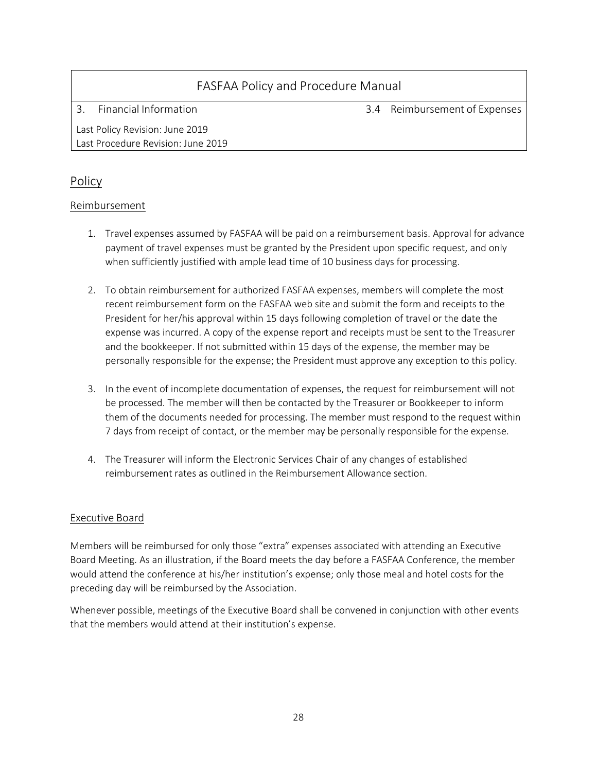3. Financial Information 3.4 Reimbursement of Expenses

Last Policy Revision: June 2019 Last Procedure Revision: June 2019

## Policy

### Reimbursement

- 1. Travel expenses assumed by FASFAA will be paid on a reimbursement basis. Approval for advance payment of travel expenses must be granted by the President upon specific request, and only when sufficiently justified with ample lead time of 10 business days for processing.
- 2. To obtain reimbursement for authorized FASFAA expenses, members will complete the most recent reimbursement form on the FASFAA web site and submit the form and receipts to the President for her/his approval within 15 days following completion of travel or the date the expense was incurred. A copy of the expense report and receipts must be sent to the Treasurer and the bookkeeper. If not submitted within 15 days of the expense, the member may be personally responsible for the expense; the President must approve any exception to this policy.
- 3. In the event of incomplete documentation of expenses, the request for reimbursement will not be processed. The member will then be contacted by the Treasurer or Bookkeeper to inform them of the documents needed for processing. The member must respond to the request within 7 days from receipt of contact, or the member may be personally responsible for the expense.
- 4. The Treasurer will inform the Electronic Services Chair of any changes of established reimbursement rates as outlined in the Reimbursement Allowance section.

### Executive Board

Members will be reimbursed for only those "extra" expenses associated with attending an Executive Board Meeting. As an illustration, if the Board meets the day before a FASFAA Conference, the member would attend the conference at his/her institution's expense; only those meal and hotel costs for the preceding day will be reimbursed by the Association.

Whenever possible, meetings of the Executive Board shall be convened in conjunction with other events that the members would attend at their institution's expense.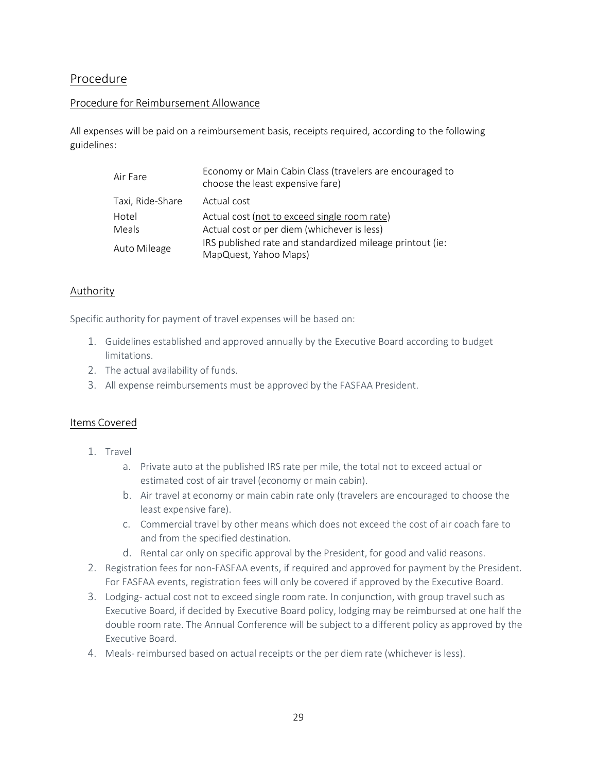## Procedure

#### Procedure for Reimbursement Allowance

All expenses will be paid on a reimbursement basis, receipts required, according to the following guidelines:

| Air Fare         | Economy or Main Cabin Class (travelers are encouraged to<br>choose the least expensive fare) |
|------------------|----------------------------------------------------------------------------------------------|
| Taxi, Ride-Share | Actual cost                                                                                  |
| Hotel            | Actual cost (not to exceed single room rate)                                                 |
| Meals            | Actual cost or per diem (whichever is less)                                                  |
| Auto Mileage     | IRS published rate and standardized mileage printout (ie:<br>MapQuest, Yahoo Maps)           |

#### Authority

Specific authority for payment of travel expenses will be based on:

- 1. Guidelines established and approved annually by the Executive Board according to budget limitations.
- 2. The actual availability of funds.
- 3. All expense reimbursements must be approved by the FASFAA President.

#### Items Covered

- 1. Travel
	- a. Private auto at the published IRS rate per mile, the total not to exceed actual or estimated cost of air travel (economy or main cabin).
	- b. Air travel at economy or main cabin rate only (travelers are encouraged to choose the least expensive fare).
	- c. Commercial travel by other means which does not exceed the cost of air coach fare to and from the specified destination.
	- d. Rental car only on specific approval by the President, for good and valid reasons.
- 2. Registration fees for non-FASFAA events, if required and approved for payment by the President. For FASFAA events, registration fees will only be covered if approved by the Executive Board.
- 3. Lodging- actual cost not to exceed single room rate. In conjunction, with group travel such as Executive Board, if decided by Executive Board policy, lodging may be reimbursed at one half the double room rate. The Annual Conference will be subject to a different policy as approved by the Executive Board.
- 4. Meals- reimbursed based on actual receipts or the per diem rate (whichever is less).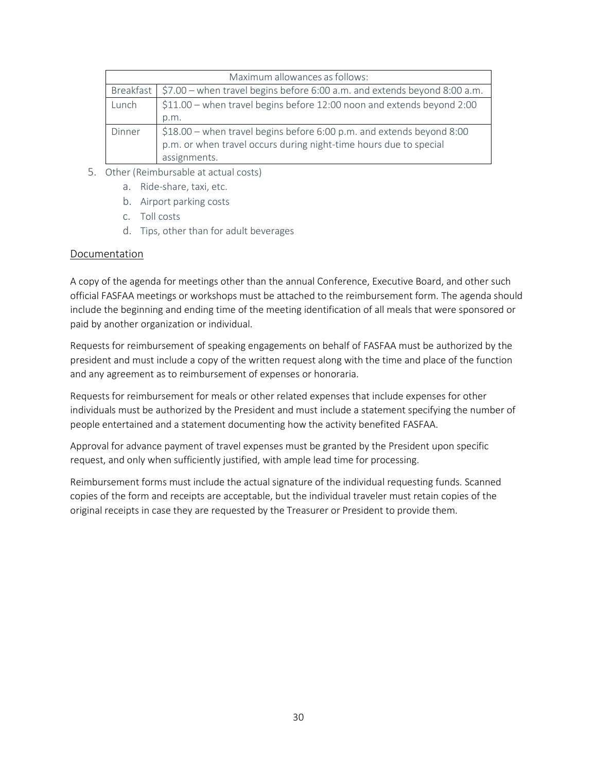|                                                                                 | Maximum allowances as follows:                                                          |  |  |  |
|---------------------------------------------------------------------------------|-----------------------------------------------------------------------------------------|--|--|--|
|                                                                                 | $$7.00$ – when travel begins before 6:00 a.m. and extends beyond 8:00 a.m.<br>Breakfast |  |  |  |
| \$11.00 – when travel begins before 12:00 noon and extends beyond 2:00<br>Lunch |                                                                                         |  |  |  |
|                                                                                 | p.m.                                                                                    |  |  |  |
| Dinner                                                                          | \$18.00 - when travel begins before 6:00 p.m. and extends beyond 8:00                   |  |  |  |
|                                                                                 | p.m. or when travel occurs during night-time hours due to special                       |  |  |  |
|                                                                                 | assignments.                                                                            |  |  |  |

- 5. Other (Reimbursable at actual costs)
	- a. Ride-share, taxi, etc.
	- b. Airport parking costs
	- c. Toll costs
	- d. Tips, other than for adult beverages

#### Documentation

A copy of the agenda for meetings other than the annual Conference, Executive Board, and other such official FASFAA meetings or workshops must be attached to the reimbursement form. The agenda should include the beginning and ending time of the meeting identification of all meals that were sponsored or paid by another organization or individual.

Requests for reimbursement of speaking engagements on behalf of FASFAA must be authorized by the president and must include a copy of the written request along with the time and place of the function and any agreement as to reimbursement of expenses or honoraria.

Requests for reimbursement for meals or other related expenses that include expenses for other individuals must be authorized by the President and must include a statement specifying the number of people entertained and a statement documenting how the activity benefited FASFAA.

Approval for advance payment of travel expenses must be granted by the President upon specific request, and only when sufficiently justified, with ample lead time for processing.

Reimbursement forms must include the actual signature of the individual requesting funds. Scanned copies of the form and receipts are acceptable, but the individual traveler must retain copies of the original receipts in case they are requested by the Treasurer or President to provide them.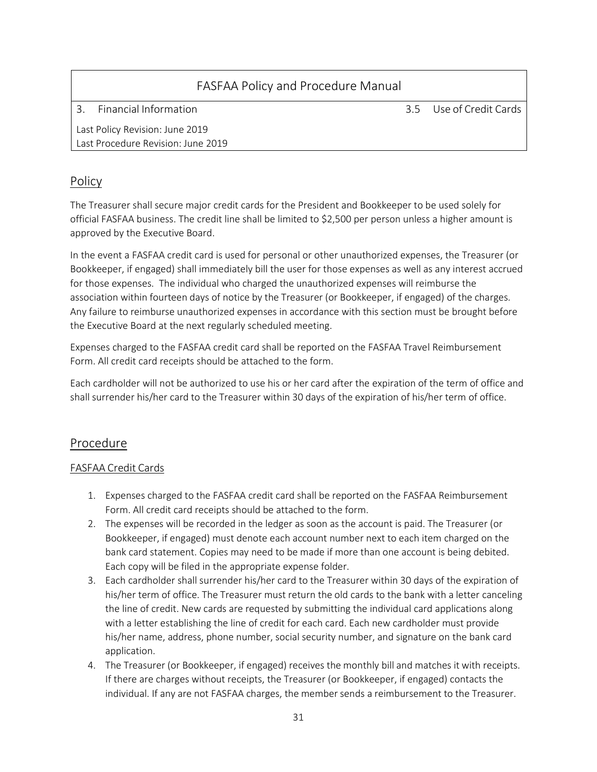| FASFAA Policy and Procedure Manual |  |                         |  |  |
|------------------------------------|--|-------------------------|--|--|
| Financial Information              |  | 3.5 Use of Credit Cards |  |  |
| Last Policy Revision: June 2019    |  |                         |  |  |
| Last Procedure Revision: June 2019 |  |                         |  |  |

## Policy

The Treasurer shall secure major credit cards for the President and Bookkeeper to be used solely for official FASFAA business. The credit line shall be limited to \$2,500 per person unless a higher amount is approved by the Executive Board.

In the event a FASFAA credit card is used for personal or other unauthorized expenses, the Treasurer (or Bookkeeper, if engaged) shall immediately bill the user for those expenses as well as any interest accrued for those expenses. The individual who charged the unauthorized expenses will reimburse the association within fourteen days of notice by the Treasurer (or Bookkeeper, if engaged) of the charges. Any failure to reimburse unauthorized expenses in accordance with this section must be brought before the Executive Board at the next regularly scheduled meeting.

Expenses charged to the FASFAA credit card shall be reported on the FASFAA Travel Reimbursement Form. All credit card receipts should be attached to the form.

Each cardholder will not be authorized to use his or her card after the expiration of the term of office and shall surrender his/her card to the Treasurer within 30 days of the expiration of his/her term of office.

## Procedure

#### FASFAA Credit Cards

- 1. Expenses charged to the FASFAA credit card shall be reported on the FASFAA Reimbursement Form. All credit card receipts should be attached to the form.
- 2. The expenses will be recorded in the ledger as soon as the account is paid. The Treasurer (or Bookkeeper, if engaged) must denote each account number next to each item charged on the bank card statement. Copies may need to be made if more than one account is being debited. Each copy will be filed in the appropriate expense folder.
- 3. Each cardholder shall surrender his/her card to the Treasurer within 30 days of the expiration of his/her term of office. The Treasurer must return the old cards to the bank with a letter canceling the line of credit. New cards are requested by submitting the individual card applications along with a letter establishing the line of credit for each card. Each new cardholder must provide his/her name, address, phone number, social security number, and signature on the bank card application.
- 4. The Treasurer (or Bookkeeper, if engaged) receives the monthly bill and matches it with receipts. If there are charges without receipts, the Treasurer (or Bookkeeper, if engaged) contacts the individual. If any are not FASFAA charges, the membersends a reimbursement to the Treasurer.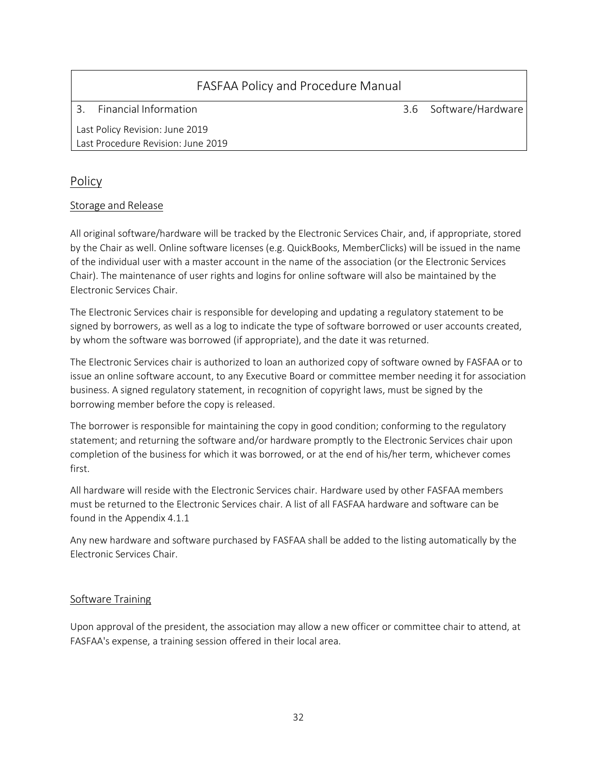| FASFAA Policy and Procedure Manual |                                 |  |                       |  |  |  |
|------------------------------------|---------------------------------|--|-----------------------|--|--|--|
|                                    | Financial Information           |  | 3.6 Software/Hardware |  |  |  |
|                                    | Last Policy Revision: June 2019 |  |                       |  |  |  |

## Policy

#### Storage and Release

Last Procedure Revision: June 2019

All original software/hardware will be tracked by the Electronic Services Chair, and, if appropriate, stored by the Chair as well. Online software licenses (e.g. QuickBooks, MemberClicks) will be issued in the name of the individual user with a master account in the name of the association (or the Electronic Services Chair). The maintenance of user rights and logins for online software will also be maintained by the Electronic Services Chair.

The Electronic Services chair is responsible for developing and updating a regulatory statement to be signed by borrowers, as well as a log to indicate the type of software borrowed or user accounts created, by whom the software was borrowed (if appropriate), and the date it was returned.

The Electronic Services chair is authorized to loan an authorized copy of software owned by FASFAA or to issue an online software account, to any Executive Board or committee member needing it for association business. A signed regulatory statement, in recognition of copyright laws, must be signed by the borrowing member before the copy is released.

The borrower is responsible for maintaining the copy in good condition; conforming to the regulatory statement; and returning the software and/or hardware promptly to the Electronic Services chair upon completion of the business for which it was borrowed, or at the end of his/her term, whichever comes first.

All hardware will reside with the Electronic Services chair. Hardware used by other FASFAA members must be returned to the Electronic Services chair. A list of all FASFAA hardware and software can be found in the Appendix 4.1.1

Any new hardware and software purchased by FASFAA shall be added to the listing automatically by the Electronic Services Chair.

#### Software Training

Upon approval of the president, the association may allow a new officer or committee chair to attend, at FASFAA's expense, a training session offered in their local area.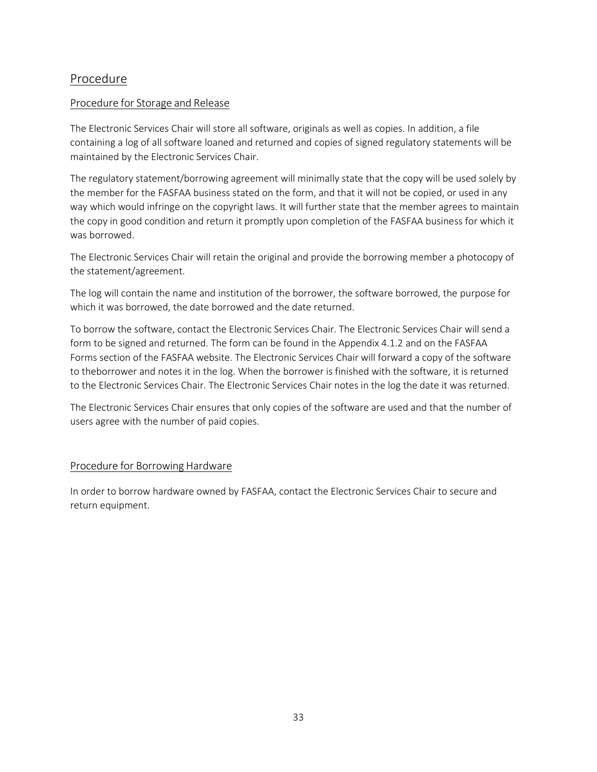## Procedure

#### Procedure for Storage and Release

The Electronic Services Chair will store all software, originals as well as copies. In addition, a file containing a log of all software loaned and returned and copies of signed regulatory statements will be maintained by the Electronic Services Chair.

The regulatory statement/borrowing agreement will minimally state that the copy will be used solely by the member for the FASFAA business stated on the form, and that it will not be copied, or used in any way which would infringe on the copyright laws. It will further state that the member agrees to maintain the copy in good condition and return it promptly upon completion of the FASFAA business for which it was borrowed.

The Electronic Services Chair will retain the original and provide the borrowing member a photocopy of the statement/agreement.

The log will contain the name and institution of the borrower, the software borrowed, the purpose for which it was borrowed, the date borrowed and the date returned.

To borrow the software, contact the Electronic Services Chair. The Electronic Services Chair will send a form to be signed and returned. The form can be found in the Appendix 4.1.2 and on the FASFAA Forms section of the FASFAA website. The Electronic Services Chair will forward a copy of the software to theborrower and notes it in the log. When the borrower is finished with the software, it is returned to the Electronic Services Chair. The Electronic Services Chair notes in the log the date it was returned.

The Electronic Services Chair ensures that only copies of the software are used and that the number of users agree with the number of paid copies.

### Procedure for Borrowing Hardware

In order to borrow hardware owned by FASFAA, contact the Electronic Services Chair to secure and return equipment.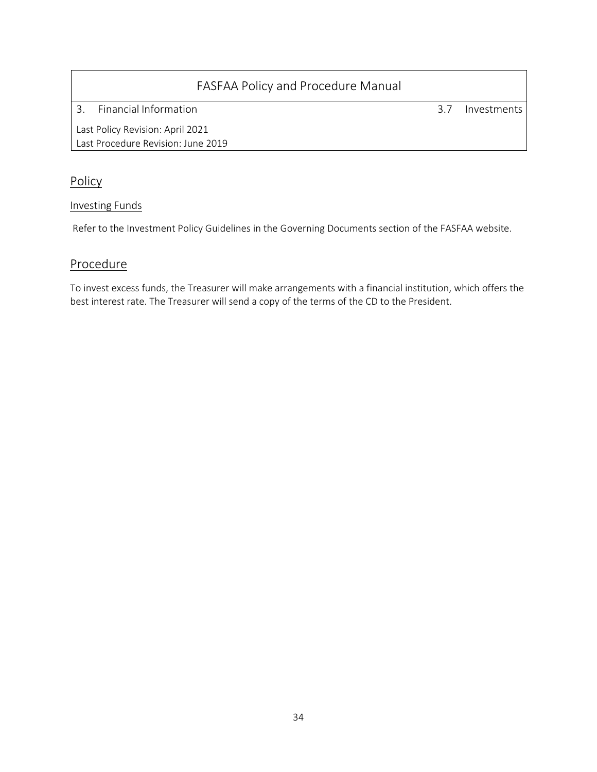3. Financial Information 3.7 Investments

Last Policy Revision: April 2021 Last Procedure Revision: June 2019

## **Policy**

### Investing Funds

Refer to the Investment Policy Guidelines in the Governing Documents section of the FASFAA website.

## **Procedure**

To invest excess funds, the Treasurer will make arrangements with a financial institution, which offers the best interest rate. The Treasurer will send a copy of the terms of the CD to the President.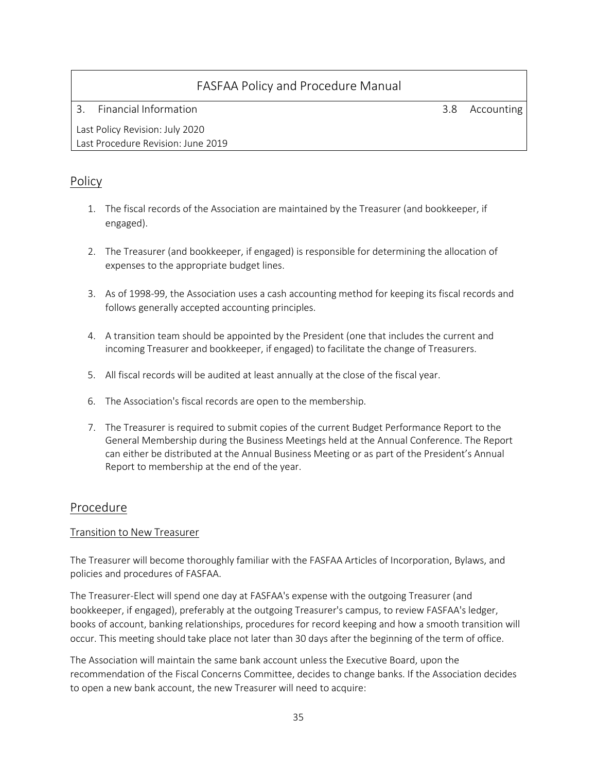3. Financial Information 3.8 Accounting

Last Policy Revision: July 2020 Last Procedure Revision: June 2019

## Policy

- 1. The fiscal records of the Association are maintained by the Treasurer (and bookkeeper, if engaged).
- 2. The Treasurer (and bookkeeper, if engaged) is responsible for determining the allocation of expenses to the appropriate budget lines.
- 3. As of 1998-99, the Association uses a cash accounting method for keeping its fiscal records and follows generally accepted accounting principles.
- 4. A transition team should be appointed by the President (one that includes the current and incoming Treasurer and bookkeeper, if engaged) to facilitate the change of Treasurers.
- 5. All fiscal records will be audited at least annually at the close of the fiscal year.
- 6. The Association's fiscal records are open to the membership.
- 7. The Treasurer is required to submit copies of the current Budget Performance Report to the General Membership during the Business Meetings held at the Annual Conference. The Report can either be distributed at the Annual Business Meeting or as part of the President's Annual Report to membership at the end of the year.

## Procedure

### Transition to New Treasurer

The Treasurer will become thoroughly familiar with the FASFAA Articles of Incorporation, Bylaws, and policies and procedures of FASFAA.

The Treasurer-Elect will spend one day at FASFAA's expense with the outgoing Treasurer (and bookkeeper, if engaged), preferably at the outgoing Treasurer's campus, to review FASFAA's ledger, books of account, banking relationships, procedures for record keeping and how a smooth transition will occur. This meeting should take place not later than 30 days after the beginning of the term of office.

The Association will maintain the same bank account unless the Executive Board, upon the recommendation of the Fiscal Concerns Committee, decides to change banks. If the Association decides to open a new bank account, the new Treasurer will need to acquire: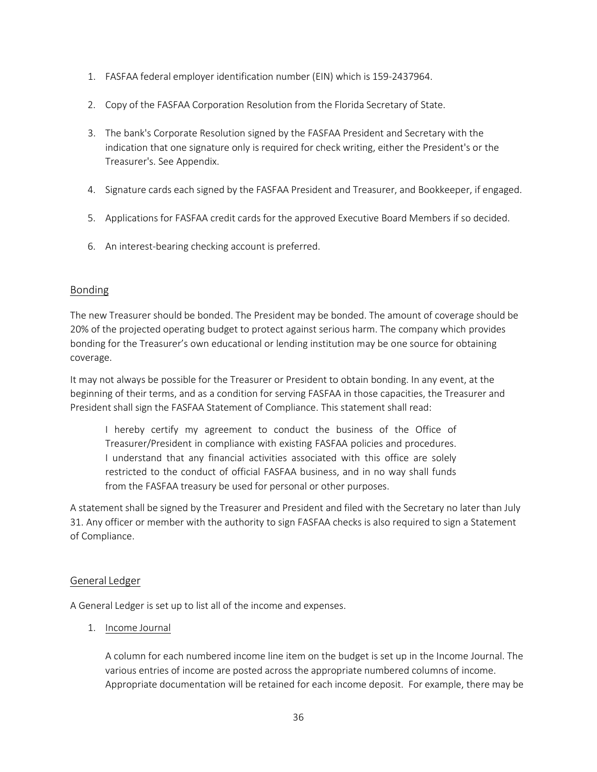- 1. FASFAA federal employer identification number (EIN) which is 159-2437964.
- 2. Copy of the FASFAA Corporation Resolution from the Florida Secretary of State.
- 3. The bank's Corporate Resolution signed by the FASFAA President and Secretary with the indication that one signature only is required for check writing, either the President's or the Treasurer's. See Appendix.
- 4. Signature cards each signed by the FASFAA President and Treasurer, and Bookkeeper, if engaged.
- 5. Applications for FASFAA credit cards for the approved Executive Board Members if so decided.
- 6. An interest-bearing checking account is preferred.

#### Bonding

The new Treasurer should be bonded. The President may be bonded. The amount of coverage should be 20% of the projected operating budget to protect against serious harm. The company which provides bonding for the Treasurer's own educational or lending institution may be one source for obtaining coverage.

It may not always be possible for the Treasurer or President to obtain bonding. In any event, at the beginning of their terms, and as a condition for serving FASFAA in those capacities, the Treasurer and President shall sign the FASFAA Statement of Compliance. This statement shall read:

I hereby certify my agreement to conduct the business of the Office of Treasurer/President in compliance with existing FASFAA policies and procedures. I understand that any financial activities associated with this office are solely restricted to the conduct of official FASFAA business, and in no way shall funds from the FASFAA treasury be used for personal or other purposes.

A statement shall be signed by the Treasurer and President and filed with the Secretary no later than July 31. Any officer or member with the authority to sign FASFAA checks is also required to sign a Statement of Compliance.

#### General Ledger

A General Ledger is set up to list all of the income and expenses.

1. Income Journal

A column for each numbered income line item on the budget is set up in the Income Journal. The various entries of income are posted across the appropriate numbered columns of income. Appropriate documentation will be retained for each income deposit. For example, there may be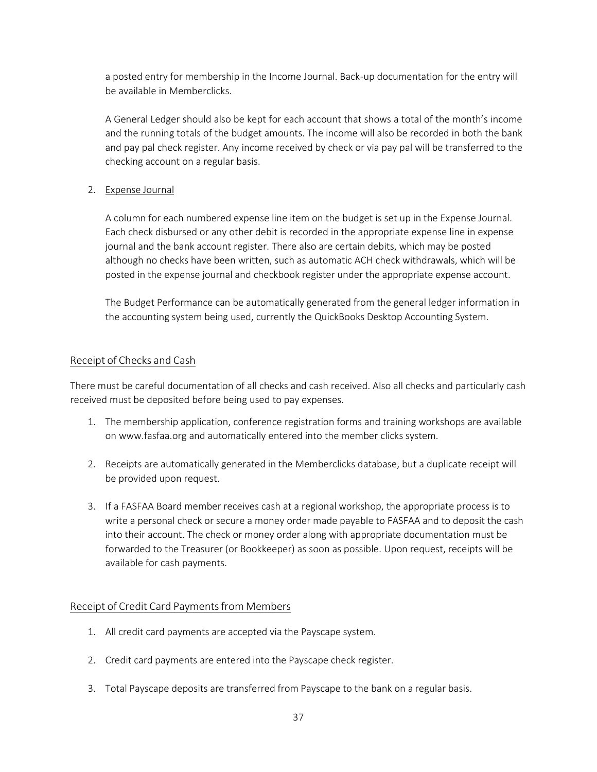a posted entry for membership in the Income Journal. Back-up documentation for the entry will be available in Memberclicks.

A General Ledger should also be kept for each account that shows a total of the month's income and the running totals of the budget amounts. The income will also be recorded in both the bank and pay pal check register. Any income received by check or via pay pal will be transferred to the checking account on a regular basis.

#### 2. Expense Journal

A column for each numbered expense line item on the budget is set up in the Expense Journal. Each check disbursed or any other debit is recorded in the appropriate expense line in expense journal and the bank account register. There also are certain debits, which may be posted although no checks have been written, such as automatic ACH check withdrawals, which will be posted in the expense journal and checkbook register under the appropriate expense account.

The Budget Performance can be automatically generated from the general ledger information in the accounting system being used, currently the QuickBooks Desktop Accounting System.

#### Receipt of Checks and Cash

There must be careful documentation of all checks and cash received. Also all checks and particularly cash received must be deposited before being used to pay expenses.

- 1. The membership application, conference registration forms and training workshops are available on [www.fasfaa.org](http://www.fasfaa.org/) and automatically entered into the member clicks system.
- 2. Receipts are automatically generated in the Memberclicks database, but a duplicate receipt will be provided upon request.
- 3. If a FASFAA Board member receives cash at a regional workshop, the appropriate process is to write a personal check or secure a money order made payable to FASFAA and to deposit the cash into their account. The check or money order along with appropriate documentation must be forwarded to the Treasurer (or Bookkeeper) as soon as possible. Upon request, receipts will be available for cash payments.

#### Receipt of Credit Card Payments from Members

- 1. All credit card payments are accepted via the Payscape system.
- 2. Credit card payments are entered into the Payscape check register.
- 3. Total Payscape deposits are transferred from Payscape to the bank on a regular basis.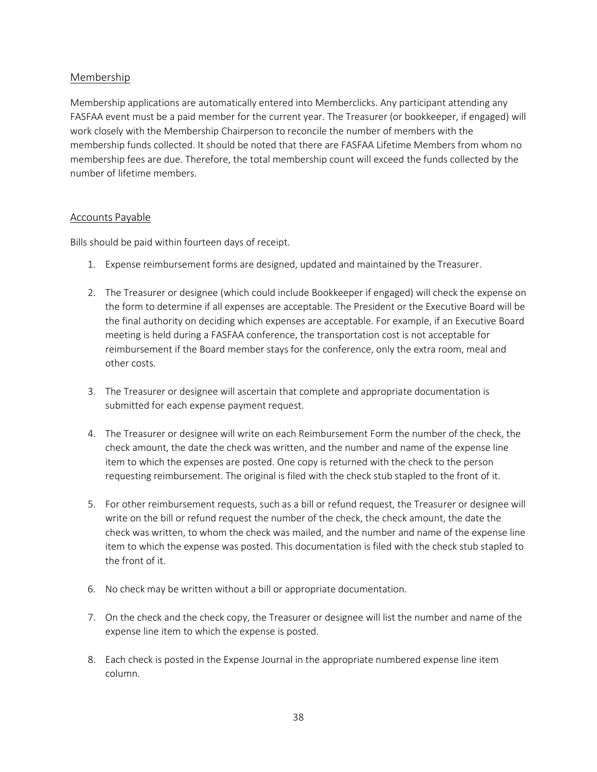#### Membership

Membership applications are automatically entered into Memberclicks. Any participant attending any FASFAA event must be a paid member for the current year. The Treasurer (or bookkeeper, if engaged) will work closely with the Membership Chairperson to reconcile the number of members with the membership funds collected. It should be noted that there are FASFAA Lifetime Members from whom no membership fees are due. Therefore, the total membership count will exceed the funds collected by the number of lifetime members.

#### Accounts Payable

Bills should be paid within fourteen days of receipt.

- 1. Expense reimbursement forms are designed, updated and maintained by the Treasurer.
- 2. The Treasurer or designee (which could include Bookkeeper if engaged) will check the expense on the form to determine if all expenses are acceptable. The President or the Executive Board will be the final authority on deciding which expenses are acceptable. For example, if an Executive Board meeting is held during a FASFAA conference, the transportation cost is not acceptable for reimbursement if the Board member stays for the conference, only the extra room, meal and other costs.
- 3. The Treasurer or designee will ascertain that complete and appropriate documentation is submitted for each expense payment request.
- 4. The Treasurer or designee will write on each Reimbursement Form the number of the check, the check amount, the date the check was written, and the number and name of the expense line item to which the expenses are posted. One copy is returned with the check to the person requesting reimbursement. The original is filed with the check stub stapled to the front of it.
- 5. For other reimbursement requests, such as a bill or refund request, the Treasurer or designee will write on the bill or refund request the number of the check, the check amount, the date the check was written, to whom the check was mailed, and the number and name of the expense line item to which the expense was posted. This documentation is filed with the check stub stapled to the front of it.
- 6. No check may be written without a bill or appropriate documentation.
- 7. On the check and the check copy, the Treasurer or designee will list the number and name of the expense line item to which the expense is posted.
- 8. Each check is posted in the Expense Journal in the appropriate numbered expense line item column.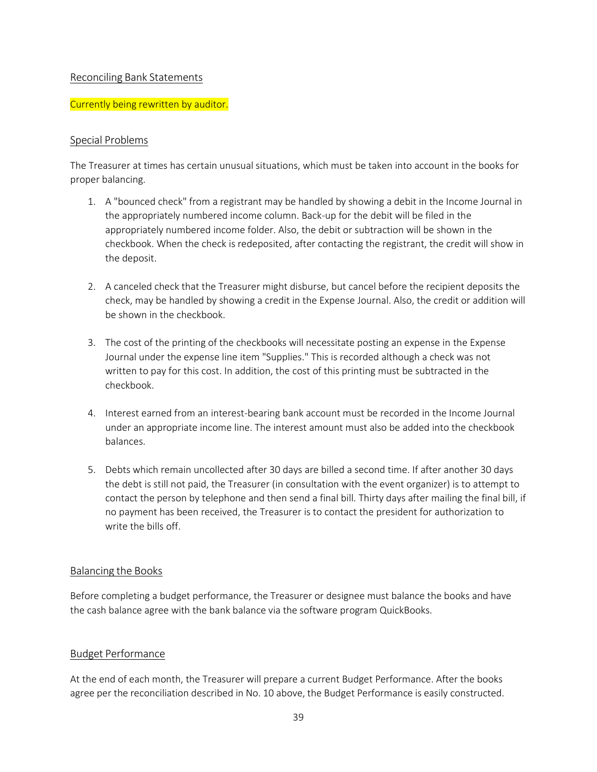#### Reconciling Bank Statements

#### Currently being rewritten by auditor.

#### Special Problems

The Treasurer at times has certain unusual situations, which must be taken into account in the books for proper balancing.

- 1. A "bounced check" from a registrant may be handled by showing a debit in the Income Journal in the appropriately numbered income column. Back-up for the debit will be filed in the appropriately numbered income folder. Also, the debit or subtraction will be shown in the checkbook. When the check is redeposited, after contacting the registrant, the credit will show in the deposit.
- 2. A canceled check that the Treasurer might disburse, but cancel before the recipient deposits the check, may be handled by showing a credit in the Expense Journal. Also, the credit or addition will be shown in the checkbook.
- 3. The cost of the printing of the checkbooks will necessitate posting an expense in the Expense Journal under the expense line item "Supplies." This is recorded although a check was not written to pay for this cost. In addition, the cost of this printing must be subtracted in the checkbook.
- 4. Interest earned from an interest-bearing bank account must be recorded in the Income Journal under an appropriate income line. The interest amount must also be added into the checkbook balances.
- 5. Debts which remain uncollected after 30 days are billed a second time. If after another 30 days the debt is still not paid, the Treasurer (in consultation with the event organizer) is to attempt to contact the person by telephone and then send a final bill. Thirty days after mailing the final bill, if no payment has been received, the Treasurer is to contact the president for authorization to write the bills off.

#### Balancing the Books

Before completing a budget performance, the Treasurer or designee must balance the books and have the cash balance agree with the bank balance via the software program QuickBooks.

#### Budget Performance

At the end of each month, the Treasurer will prepare a current Budget Performance. After the books agree per the reconciliation described in No. 10 above, the Budget Performance is easily constructed.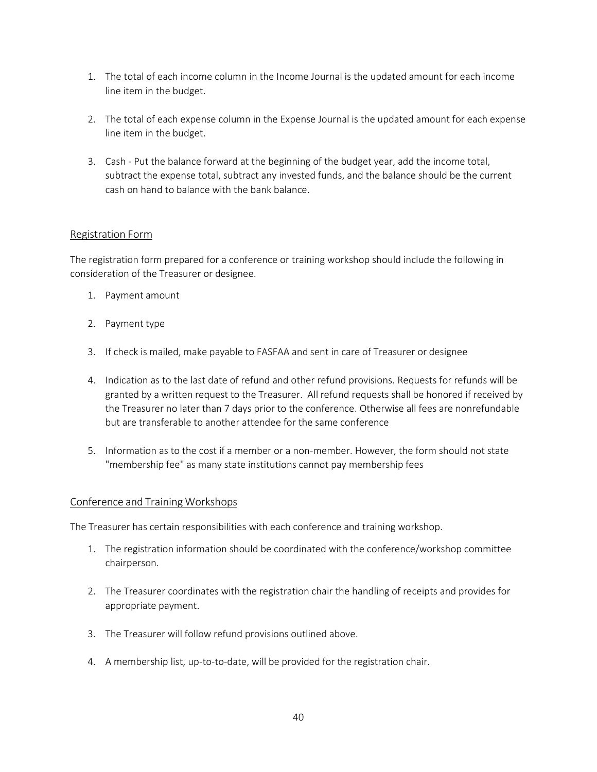- 1. The total of each income column in the Income Journal is the updated amount for each income line item in the budget.
- 2. The total of each expense column in the Expense Journal is the updated amount for each expense line item in the budget.
- 3. Cash Put the balance forward at the beginning of the budget year, add the income total, subtract the expense total, subtract any invested funds, and the balance should be the current cash on hand to balance with the bank balance.

#### Registration Form

The registration form prepared for a conference or training workshop should include the following in consideration of the Treasurer or designee.

- 1. Payment amount
- 2. Payment type
- 3. If check is mailed, make payable to FASFAA and sent in care of Treasurer or designee
- 4. Indication as to the last date of refund and other refund provisions. Requests for refunds will be granted by a written request to the Treasurer. All refund requests shall be honored if received by the Treasurer no later than 7 days prior to the conference. Otherwise all fees are nonrefundable but are transferable to another attendee for the same conference
- 5. Information as to the cost if a member or a non-member. However, the form should not state "membership fee" as many state institutions cannot pay membership fees

#### Conference and Training Workshops

The Treasurer has certain responsibilities with each conference and training workshop.

- 1. The registration information should be coordinated with the conference/workshop committee chairperson.
- 2. The Treasurer coordinates with the registration chair the handling of receipts and provides for appropriate payment.
- 3. The Treasurer will follow refund provisions outlined above.
- 4. A membership list, up-to-to-date, will be provided for the registration chair.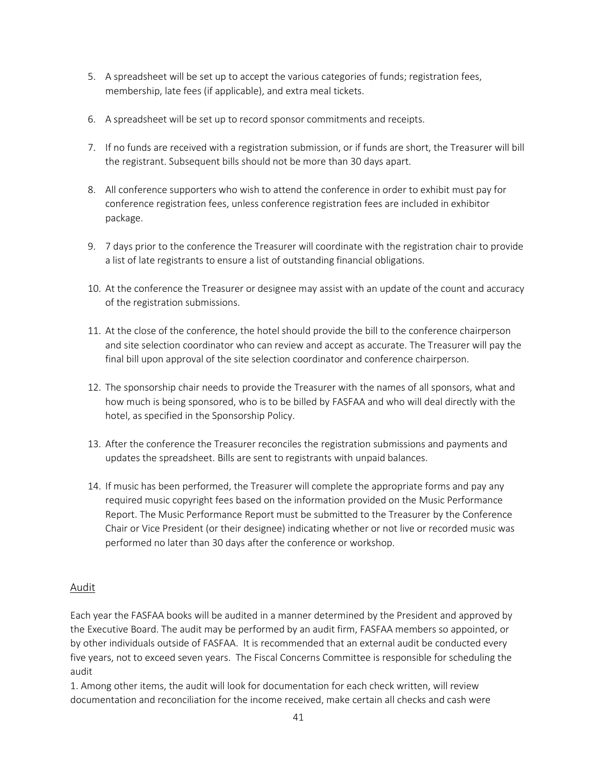- 5. A spreadsheet will be set up to accept the various categories of funds; registration fees, membership, late fees (if applicable), and extra meal tickets.
- 6. A spreadsheet will be set up to record sponsor commitments and receipts.
- 7. If no funds are received with a registration submission, or if funds are short, the Treasurer will bill the registrant. Subsequent bills should not be more than 30 days apart.
- 8. All conference supporters who wish to attend the conference in order to exhibit must pay for conference registration fees, unless conference registration fees are included in exhibitor package.
- 9. 7 days prior to the conference the Treasurer will coordinate with the registration chair to provide a list of late registrants to ensure a list of outstanding financial obligations.
- 10. At the conference the Treasurer or designee may assist with an update of the count and accuracy of the registration submissions.
- 11. At the close of the conference, the hotel should provide the bill to the conference chairperson and site selection coordinator who can review and accept as accurate. The Treasurer will pay the final bill upon approval of the site selection coordinator and conference chairperson.
- 12. The sponsorship chair needs to provide the Treasurer with the names of all sponsors, what and how much is being sponsored, who is to be billed by FASFAA and who will deal directly with the hotel, as specified in the Sponsorship Policy.
- 13. After the conference the Treasurer reconciles the registration submissions and payments and updates the spreadsheet. Bills are sent to registrants with unpaid balances.
- 14. If music has been performed, the Treasurer will complete the appropriate forms and pay any required music copyright fees based on the information provided on the Music Performance Report. The Music Performance Report must be submitted to the Treasurer by the Conference Chair or Vice President (or their designee) indicating whether or not live or recorded music was performed no later than 30 days after the conference or workshop.

#### Audit

Each year the FASFAA books will be audited in a manner determined by the President and approved by the Executive Board. The audit may be performed by an audit firm, FASFAA members so appointed, or by other individuals outside of FASFAA. It is recommended that an external audit be conducted every five years, not to exceed seven years. The Fiscal Concerns Committee is responsible for scheduling the audit

1. Among other items, the audit will look for documentation for each check written, will review documentation and reconciliation for the income received, make certain all checks and cash were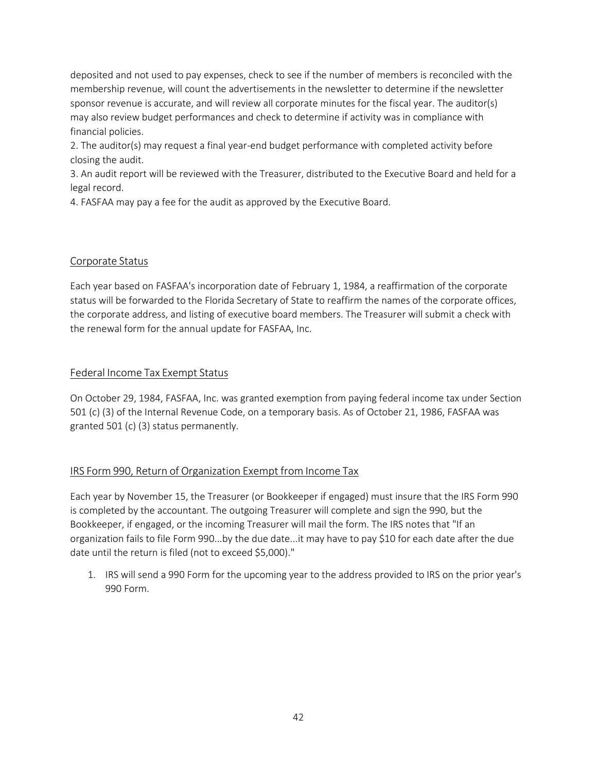deposited and not used to pay expenses, check to see if the number of members is reconciled with the membership revenue, will count the advertisements in the newsletter to determine if the newsletter sponsor revenue is accurate, and will review all corporate minutes for the fiscal year. The auditor(s) may also review budget performances and check to determine if activity was in compliance with financial policies.

2. The auditor(s) may request a final year-end budget performance with completed activity before closing the audit.

3. An audit report will be reviewed with the Treasurer, distributed to the Executive Board and held for a legal record.

4. FASFAA may pay a fee for the audit as approved by the Executive Board.

#### Corporate Status

Each year based on FASFAA's incorporation date of February 1, 1984, a reaffirmation of the corporate status will be forwarded to the Florida Secretary of State to reaffirm the names of the corporate offices, the corporate address, and listing of executive board members. The Treasurer will submit a check with the renewal form for the annual update for FASFAA, Inc.

#### Federal Income Tax Exempt Status

On October 29, 1984, FASFAA, Inc. was granted exemption from paying federal income tax under Section 501 (c) (3) of the Internal Revenue Code, on a temporary basis. As of October 21, 1986, FASFAA was granted 501 (c) (3) status permanently.

#### IRS Form 990, Return of Organization Exempt from Income Tax

Each year by November 15, the Treasurer (or Bookkeeper if engaged) must insure that the IRS Form 990 is completed by the accountant. The outgoing Treasurer will complete and sign the 990, but the Bookkeeper, if engaged, or the incoming Treasurer will mail the form. The IRS notes that "If an organization fails to file Form 990...by the due date...it may have to pay \$10 for each date after the due date until the return is filed (not to exceed \$5,000)."

1. IRS will send a 990 Form for the upcoming year to the address provided to IRS on the prior year's 990 Form.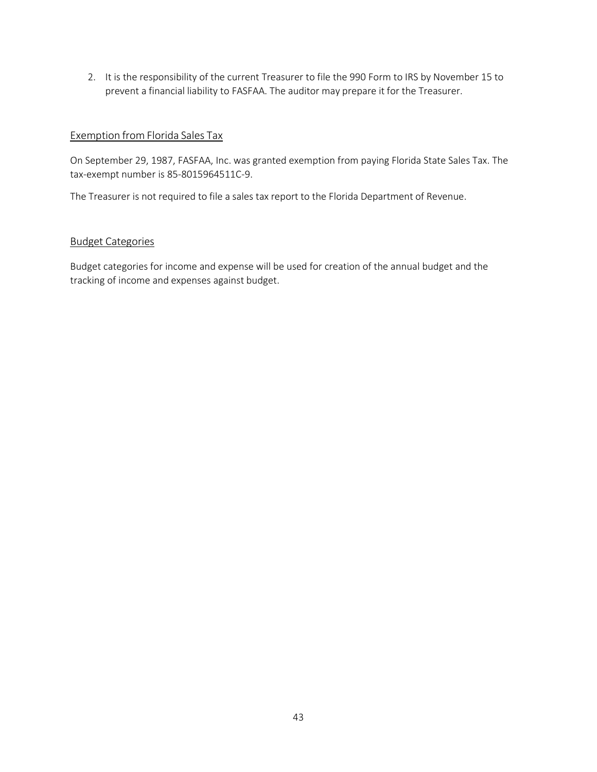2. It is the responsibility of the current Treasurer to file the 990 Form to IRS by November 15 to prevent a financial liability to FASFAA. The auditor may prepare it for the Treasurer.

#### Exemption from Florida Sales Tax

On September 29, 1987, FASFAA, Inc. was granted exemption from paying Florida State Sales Tax. The tax-exempt number is 85-8015964511C-9.

The Treasurer is not required to file a sales tax report to the Florida Department of Revenue.

#### Budget Categories

Budget categories for income and expense will be used for creation of the annual budget and the tracking of income and expenses against budget.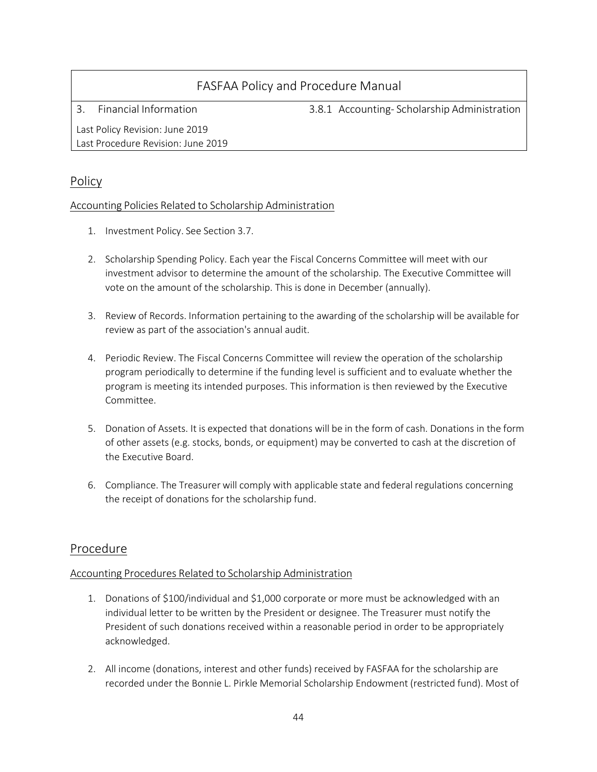3. Financial Information 3.8.1 Accounting- Scholarship Administration

Last Policy Revision: June 2019 Last Procedure Revision: June 2019

### Policy

#### Accounting Policies Related to Scholarship Administration

- 1. Investment Policy. See Section 3.7.
- 2. Scholarship Spending Policy. Each year the Fiscal Concerns Committee will meet with our investment advisor to determine the amount of the scholarship. The Executive Committee will vote on the amount of the scholarship. This is done in December (annually).
- 3. Review of Records. Information pertaining to the awarding of the scholarship will be available for review as part of the association's annual audit.
- 4. Periodic Review. The Fiscal Concerns Committee will review the operation of the scholarship program periodically to determine if the funding level is sufficient and to evaluate whether the program is meeting its intended purposes. This information is then reviewed by the Executive Committee.
- 5. Donation of Assets. It is expected that donations will be in the form of cash. Donations in the form of other assets (e.g. stocks, bonds, or equipment) may be converted to cash at the discretion of the Executive Board.
- 6. Compliance. The Treasurer will comply with applicable state and federal regulations concerning the receipt of donations for the scholarship fund.

### Procedure

#### Accounting Procedures Related to Scholarship Administration

- 1. Donations of \$100/individual and \$1,000 corporate or more must be acknowledged with an individual letter to be written by the President or designee. The Treasurer must notify the President of such donations received within a reasonable period in order to be appropriately acknowledged.
- 2. All income (donations, interest and other funds) received by FASFAA for the scholarship are recorded under the Bonnie L. Pirkle Memorial Scholarship Endowment (restricted fund). Most of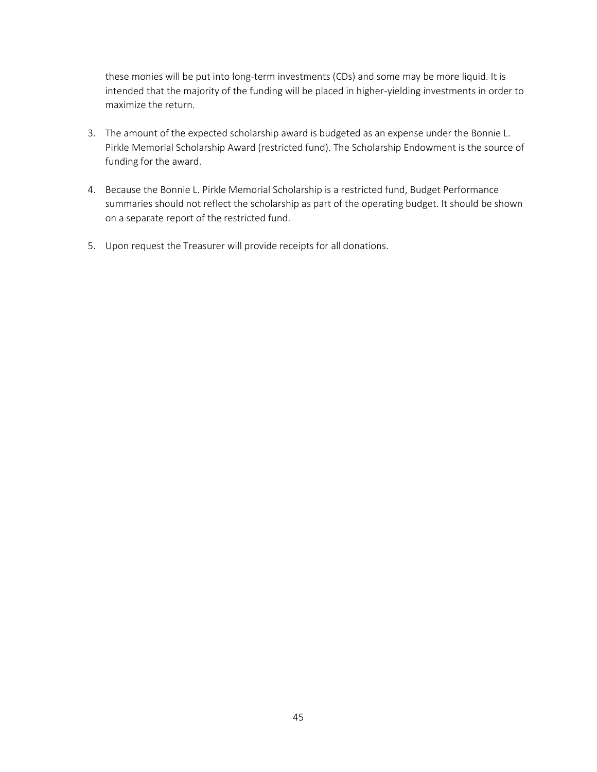these monies will be put into long-term investments (CDs) and some may be more liquid. It is intended that the majority of the funding will be placed in higher-yielding investments in order to maximize the return.

- 3. The amount of the expected scholarship award is budgeted as an expense under the Bonnie L. Pirkle Memorial Scholarship Award (restricted fund). The Scholarship Endowment is the source of funding for the award.
- 4. Because the Bonnie L. Pirkle Memorial Scholarship is a restricted fund, Budget Performance summaries should not reflect the scholarship as part of the operating budget. It should be shown on a separate report of the restricted fund.
- 5. Upon request the Treasurer will provide receipts for all donations.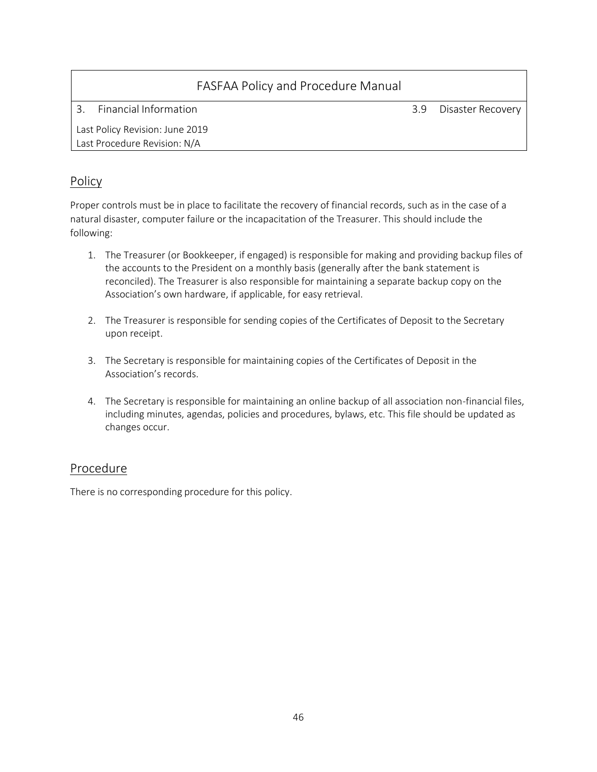| FASFAA Policy and Procedure Manual |     |                   |
|------------------------------------|-----|-------------------|
| Financial Information              | 3.9 | Disaster Recovery |
| Last Policy Revision: June 2019    |     |                   |
| Last Procedure Revision: N/A       |     |                   |
|                                    |     |                   |

### Policy

Proper controls must be in place to facilitate the recovery of financial records, such as in the case of a natural disaster, computer failure or the incapacitation of the Treasurer. This should include the following:

- 1. The Treasurer (or Bookkeeper, if engaged) is responsible for making and providing backup files of the accounts to the President on a monthly basis (generally after the bank statement is reconciled). The Treasurer is also responsible for maintaining a separate backup copy on the Association's own hardware, if applicable, for easy retrieval.
- 2. The Treasurer is responsible for sending copies of the Certificates of Deposit to the Secretary upon receipt.
- 3. The Secretary is responsible for maintaining copies of the Certificates of Deposit in the Association's records.
- 4. The Secretary is responsible for maintaining an online backup of all association non-financial files, including minutes, agendas, policies and procedures, bylaws, etc. This file should be updated as changes occur.

### Procedure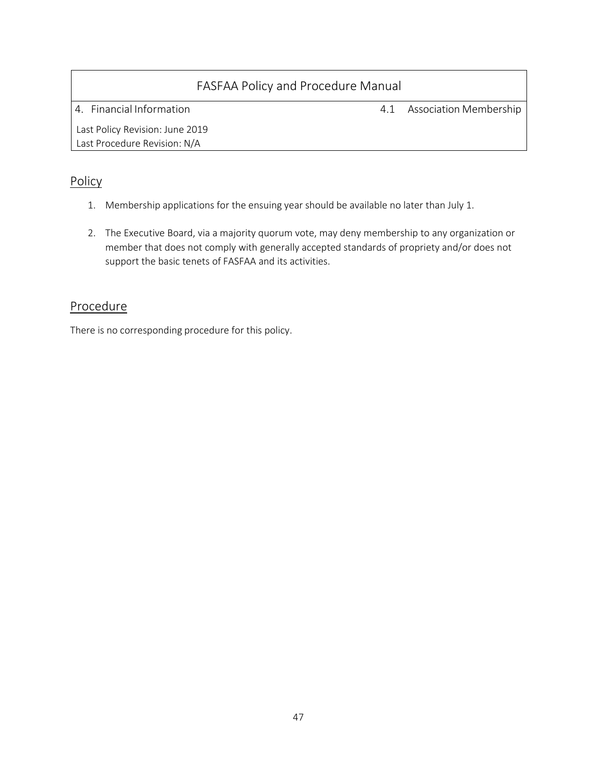4. Financial Information 4.1 Association Membership

Last Policy Revision: June 2019 Last Procedure Revision: N/A

### Policy

- 1. Membership applications for the ensuing year should be available no later than July 1.
- 2. The Executive Board, via a majority quorum vote, may deny membership to any organization or member that does not comply with generally accepted standards of propriety and/or does not support the basic tenets of FASFAA and its activities.

### Procedure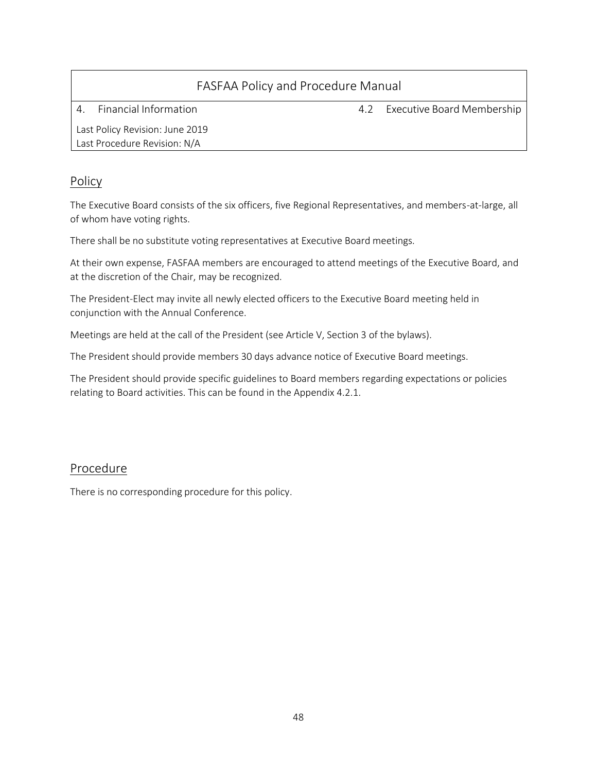| FASFAA Policy and Procedure Manual                              |     |                            |  |
|-----------------------------------------------------------------|-----|----------------------------|--|
| Financial Information<br>4                                      | 4.2 | Executive Board Membership |  |
| Last Policy Revision: June 2019<br>Last Procedure Revision: N/A |     |                            |  |

### Policy

The Executive Board consists of the six officers, five Regional Representatives, and members-at-large, all of whom have voting rights.

There shall be no substitute voting representatives at Executive Board meetings.

At their own expense, FASFAA members are encouraged to attend meetings of the Executive Board, and at the discretion of the Chair, may be recognized.

The President-Elect may invite all newly elected officers to the Executive Board meeting held in conjunction with the Annual Conference.

Meetings are held at the call of the President (see Article V, Section 3 of the bylaws).

The President should provide members 30 days advance notice of Executive Board meetings.

The President should provide specific guidelines to Board members regarding expectations or policies relating to Board activities. This can be found in the Appendix 4.2.1.

#### Procedure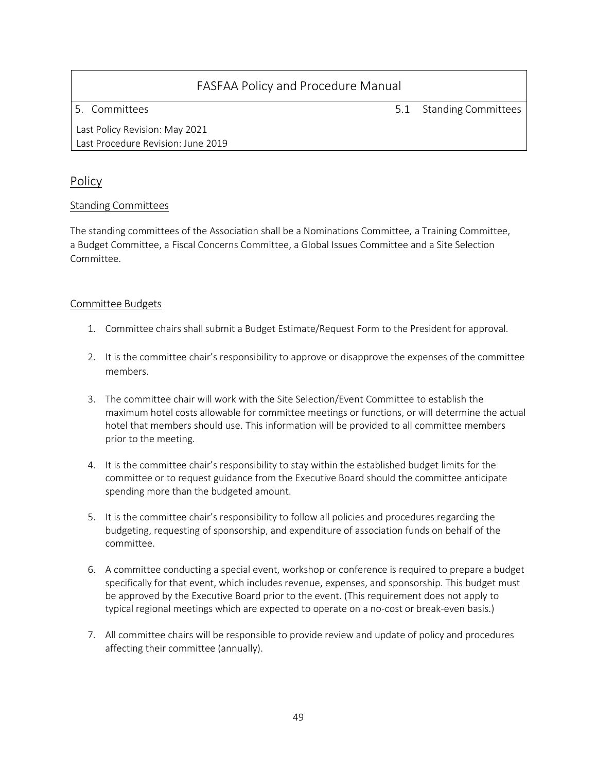5. Committees 5.1 Standing Committees

Last Policy Revision: May 2021 Last Procedure Revision: June 2019

### Policy

#### Standing Committees

The standing committees of the Association shall be a Nominations Committee, a Training Committee, a Budget Committee, a Fiscal Concerns Committee, a Global Issues Committee and a Site Selection Committee.

#### Committee Budgets

- 1. Committee chairs shall submit a Budget Estimate/Request Form to the President for approval.
- 2. It is the committee chair's responsibility to approve or disapprove the expenses of the committee members.
- 3. The committee chair will work with the Site Selection/Event Committee to establish the maximum hotel costs allowable for committee meetings or functions, or will determine the actual hotel that members should use. This information will be provided to all committee members prior to the meeting.
- 4. It is the committee chair's responsibility to stay within the established budget limits for the committee or to request guidance from the Executive Board should the committee anticipate spending more than the budgeted amount.
- 5. It is the committee chair's responsibility to follow all policies and procedures regarding the budgeting, requesting of sponsorship, and expenditure of association funds on behalf of the committee.
- 6. A committee conducting a special event, workshop or conference is required to prepare a budget specifically for that event, which includes revenue, expenses, and sponsorship. This budget must be approved by the Executive Board prior to the event. (This requirement does not apply to typical regional meetings which are expected to operate on a no-cost or break-even basis.)
- 7. All committee chairs will be responsible to provide review and update of policy and procedures affecting their committee (annually).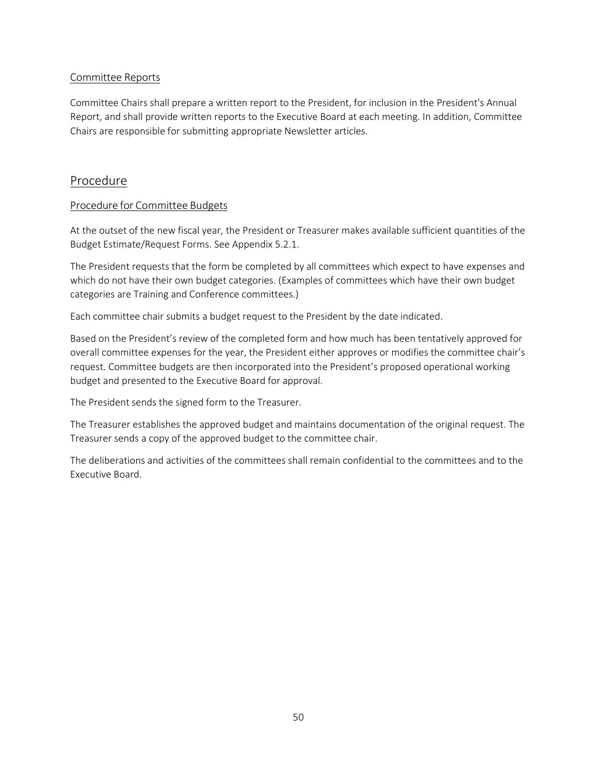#### Committee Reports

Committee Chairs shall prepare a written report to the President, for inclusion in the President's Annual Report, and shall provide written reports to the Executive Board at each meeting. In addition, Committee Chairs are responsible for submitting appropriate Newsletter articles.

### Procedure

#### Procedure for Committee Budgets

At the outset of the new fiscal year, the President or Treasurer makes available sufficient quantities of the Budget Estimate/Request Forms. See Appendix 5.2.1.

The President requests that the form be completed by all committees which expect to have expenses and which do not have their own budget categories. (Examples of committees which have their own budget categories are Training and Conference committees.)

Each committee chair submits a budget request to the President by the date indicated.

Based on the President's review of the completed form and how much has been tentatively approved for overall committee expenses for the year, the President either approves or modifies the committee chair's request. Committee budgets are then incorporated into the President's proposed operational working budget and presented to the Executive Board for approval.

The President sends the signed form to the Treasurer.

The Treasurer establishes the approved budget and maintains documentation of the original request. The Treasurer sends a copy of the approved budget to the committee chair.

The deliberations and activities of the committees shall remain confidential to the committees and to the Executive Board.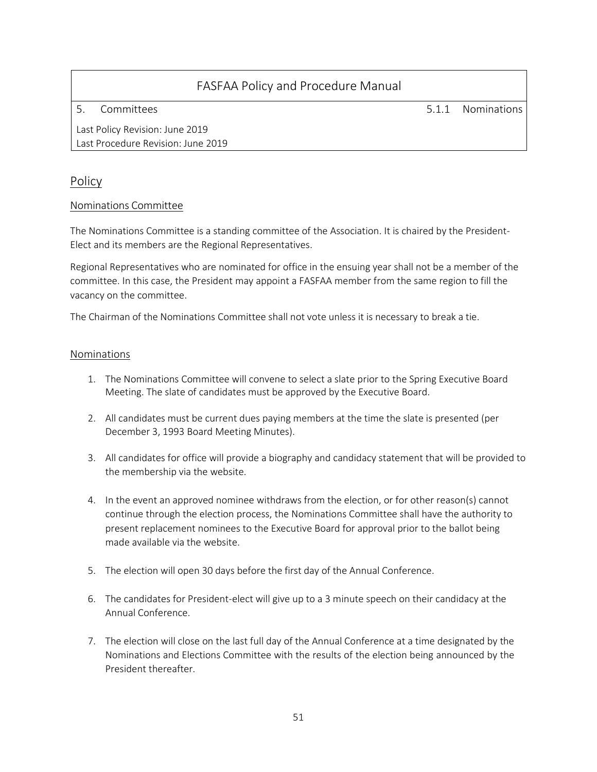5. Committees 5.1.1 Nominations

Last Policy Revision: June 2019 Last Procedure Revision: June 2019

### Policy

#### Nominations Committee

The Nominations Committee is a standing committee of the Association. It is chaired by the President-Elect and its members are the Regional Representatives.

Regional Representatives who are nominated for office in the ensuing year shall not be a member of the committee. In this case, the President may appoint a FASFAA member from the same region to fill the vacancy on the committee.

The Chairman of the Nominations Committee shall not vote unless it is necessary to break a tie.

#### Nominations

- 1. The Nominations Committee will convene to select a slate prior to the Spring Executive Board Meeting. The slate of candidates must be approved by the Executive Board.
- 2. All candidates must be current dues paying members at the time the slate is presented (per December 3, 1993 Board Meeting Minutes).
- 3. All candidates for office will provide a biography and candidacy statement that will be provided to the membership via the website.
- 4. In the event an approved nominee withdraws from the election, or for other reason(s) cannot continue through the election process, the Nominations Committee shall have the authority to present replacement nominees to the Executive Board for approval prior to the ballot being made available via the website.
- 5. The election will open 30 days before the first day of the Annual Conference.
- 6. The candidates for President-elect will give up to a 3 minute speech on their candidacy at the Annual Conference.
- 7. The election will close on the last full day of the Annual Conference at a time designated by the Nominations and Elections Committee with the results of the election being announced by the President thereafter.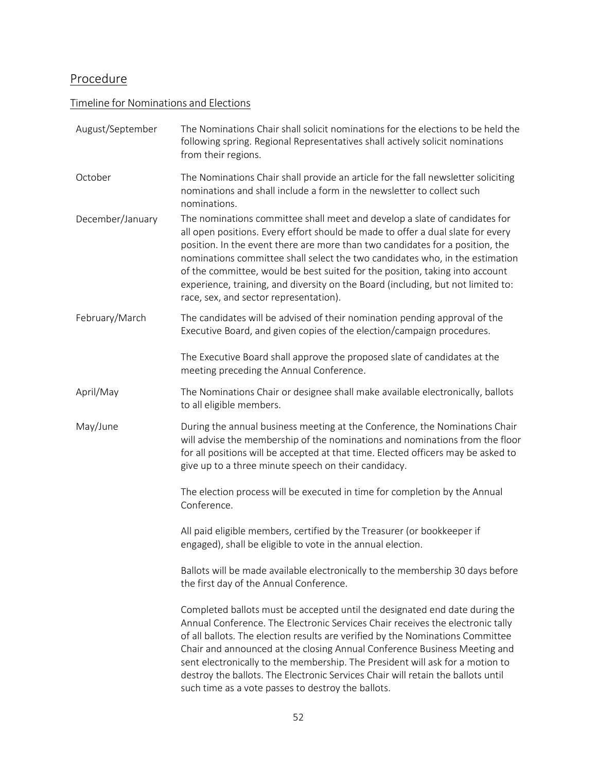# Procedure

### Timeline for Nominations and Elections

| August/September | The Nominations Chair shall solicit nominations for the elections to be held the<br>following spring. Regional Representatives shall actively solicit nominations<br>from their regions.                                                                                                                                                                                                                                                                                                                                                                |
|------------------|---------------------------------------------------------------------------------------------------------------------------------------------------------------------------------------------------------------------------------------------------------------------------------------------------------------------------------------------------------------------------------------------------------------------------------------------------------------------------------------------------------------------------------------------------------|
| October          | The Nominations Chair shall provide an article for the fall newsletter soliciting<br>nominations and shall include a form in the newsletter to collect such<br>nominations.                                                                                                                                                                                                                                                                                                                                                                             |
| December/January | The nominations committee shall meet and develop a slate of candidates for<br>all open positions. Every effort should be made to offer a dual slate for every<br>position. In the event there are more than two candidates for a position, the<br>nominations committee shall select the two candidates who, in the estimation<br>of the committee, would be best suited for the position, taking into account<br>experience, training, and diversity on the Board (including, but not limited to:<br>race, sex, and sector representation).            |
| February/March   | The candidates will be advised of their nomination pending approval of the<br>Executive Board, and given copies of the election/campaign procedures.                                                                                                                                                                                                                                                                                                                                                                                                    |
|                  | The Executive Board shall approve the proposed slate of candidates at the<br>meeting preceding the Annual Conference.                                                                                                                                                                                                                                                                                                                                                                                                                                   |
| April/May        | The Nominations Chair or designee shall make available electronically, ballots<br>to all eligible members.                                                                                                                                                                                                                                                                                                                                                                                                                                              |
| May/June         | During the annual business meeting at the Conference, the Nominations Chair<br>will advise the membership of the nominations and nominations from the floor<br>for all positions will be accepted at that time. Elected officers may be asked to<br>give up to a three minute speech on their candidacy.                                                                                                                                                                                                                                                |
|                  | The election process will be executed in time for completion by the Annual<br>Conference.                                                                                                                                                                                                                                                                                                                                                                                                                                                               |
|                  | All paid eligible members, certified by the Treasurer (or bookkeeper if<br>engaged), shall be eligible to vote in the annual election.                                                                                                                                                                                                                                                                                                                                                                                                                  |
|                  | Ballots will be made available electronically to the membership 30 days before<br>the first day of the Annual Conference.                                                                                                                                                                                                                                                                                                                                                                                                                               |
|                  | Completed ballots must be accepted until the designated end date during the<br>Annual Conference. The Electronic Services Chair receives the electronic tally<br>of all ballots. The election results are verified by the Nominations Committee<br>Chair and announced at the closing Annual Conference Business Meeting and<br>sent electronically to the membership. The President will ask for a motion to<br>destroy the ballots. The Electronic Services Chair will retain the ballots until<br>such time as a vote passes to destroy the ballots. |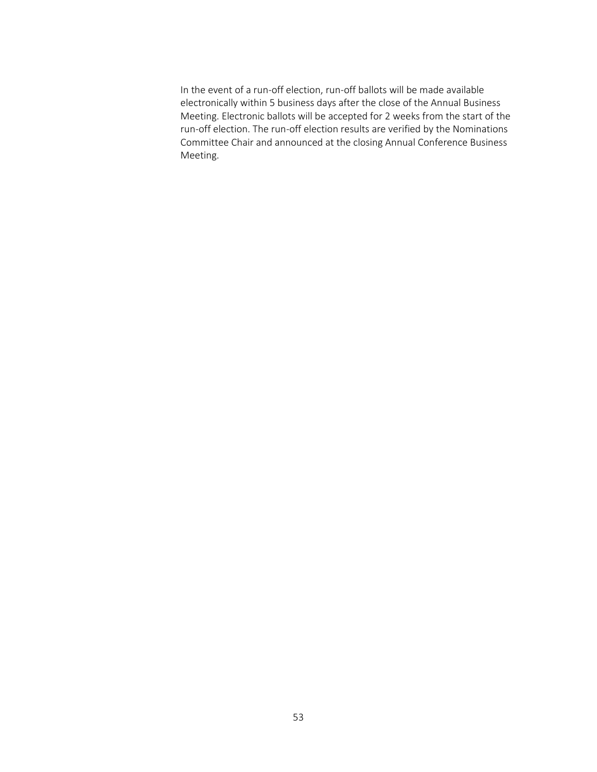In the event of a run-off election, run-off ballots will be made available electronically within 5 business days after the close of the Annual Business Meeting. Electronic ballots will be accepted for 2 weeks from the start of the run-off election. The run-off election results are verified by the Nominations Committee Chair and announced at the closing Annual Conference Business Meeting.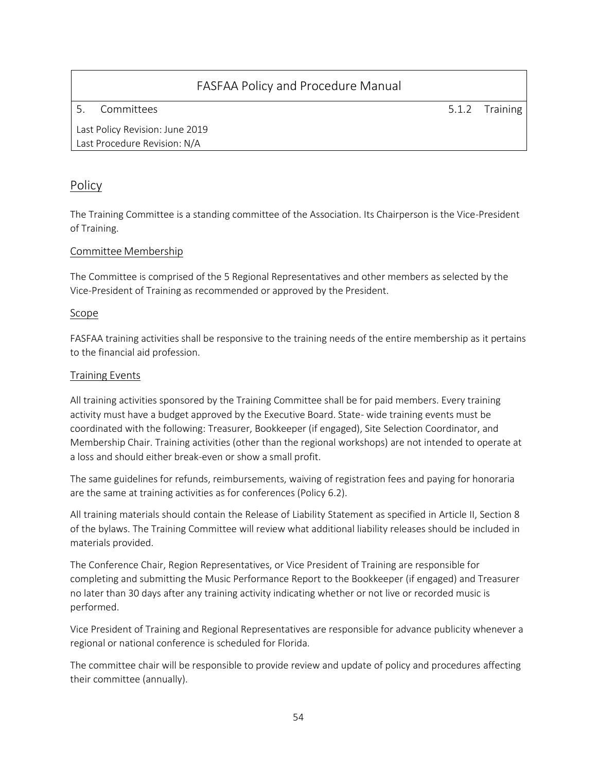5. Committees 5.1.2 Training

Last Policy Revision: June 2019 Last Procedure Revision: N/A

### Policy

The Training Committee is a standing committee of the Association. Its Chairperson is the Vice-President of Training.

#### Committee Membership

The Committee is comprised of the 5 Regional Representatives and other members as selected by the Vice-President of Training as recommended or approved by the President.

#### Scope

FASFAA training activities shall be responsive to the training needs of the entire membership as it pertains to the financial aid profession.

#### Training Events

All training activities sponsored by the Training Committee shall be for paid members. Every training activity must have a budget approved by the Executive Board. State- wide training events must be coordinated with the following: Treasurer, Bookkeeper (if engaged), Site Selection Coordinator, and Membership Chair. Training activities (other than the regional workshops) are not intended to operate at a loss and should either break-even or show a small profit.

The same guidelines for refunds, reimbursements, waiving of registration fees and paying for honoraria are the same at training activities as for conferences (Policy 6.2).

All training materials should contain the Release of Liability Statement as specified in Article II, Section 8 of the bylaws. The Training Committee will review what additional liability releases should be included in materials provided.

The Conference Chair, Region Representatives, or Vice President of Training are responsible for completing and submitting the Music Performance Report to the Bookkeeper (if engaged) and Treasurer no later than 30 days after any training activity indicating whether or not live or recorded music is performed.

Vice President of Training and Regional Representatives are responsible for advance publicity whenever a regional or national conference is scheduled for Florida.

The committee chair will be responsible to provide review and update of policy and procedures affecting their committee (annually).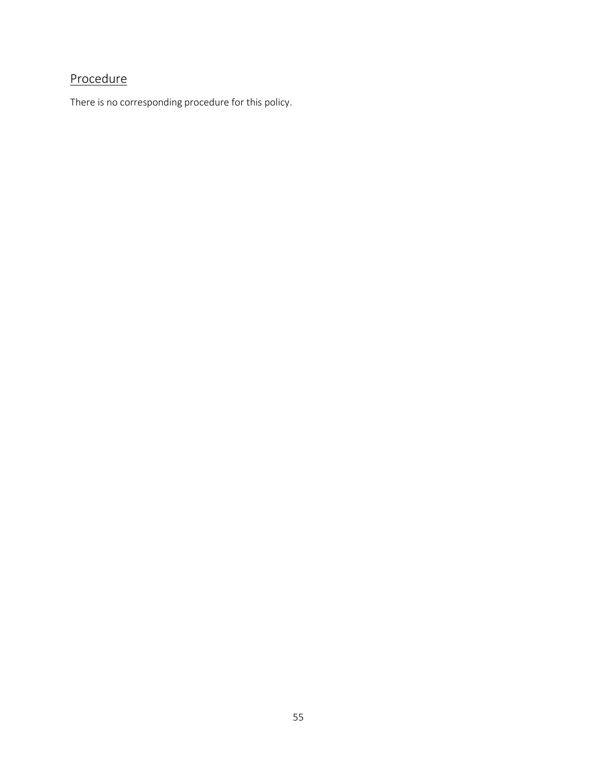# Procedure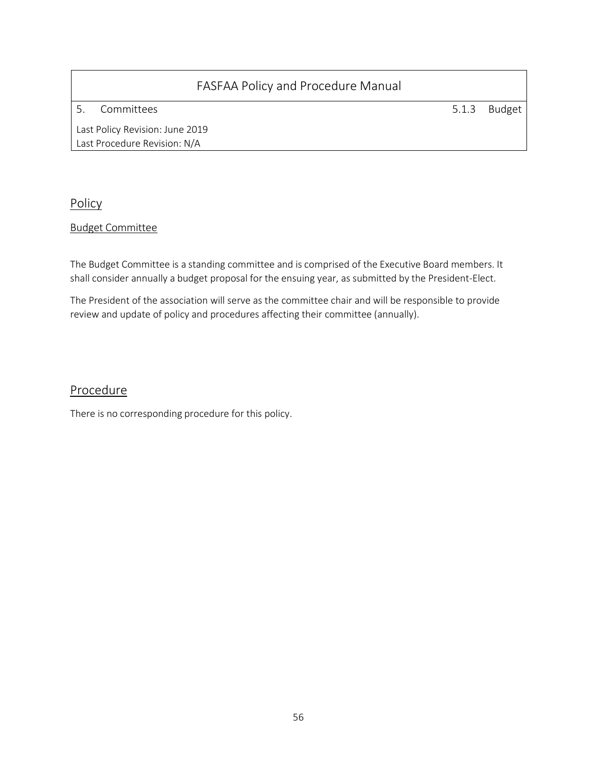5. Committees 5.1.3 Budget

Last Policy Revision: June 2019 Last Procedure Revision: N/A

Policy

#### Budget Committee

The Budget Committee is a standing committee and is comprised of the Executive Board members. It shall consider annually a budget proposal for the ensuing year, as submitted by the President-Elect.

The President of the association will serve as the committee chair and will be responsible to provide review and update of policy and procedures affecting their committee (annually).

### Procedure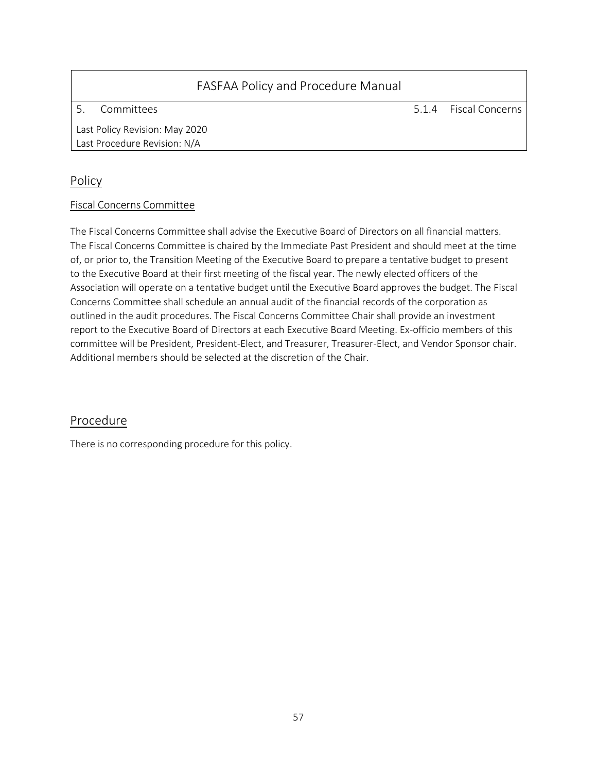5. Committees 5.1.4 Fiscal Concerns

Last Policy Revision: May 2020 Last Procedure Revision: N/A

### Policy

#### Fiscal Concerns Committee

The Fiscal Concerns Committee shall advise the Executive Board of Directors on all financial matters. The Fiscal Concerns Committee is chaired by the Immediate Past President and should meet at the time of, or prior to, the Transition Meeting of the Executive Board to prepare a tentative budget to present to the Executive Board at their first meeting of the fiscal year. The newly elected officers of the Association will operate on a tentative budget until the Executive Board approves the budget. The Fiscal Concerns Committee shall schedule an annual audit of the financial records of the corporation as outlined in the audit procedures. The Fiscal Concerns Committee Chair shall provide an investment report to the Executive Board of Directors at each Executive Board Meeting. Ex-officio members of this committee will be President, President-Elect, and Treasurer, Treasurer-Elect, and Vendor Sponsor chair. Additional members should be selected at the discretion of the Chair.

### Procedure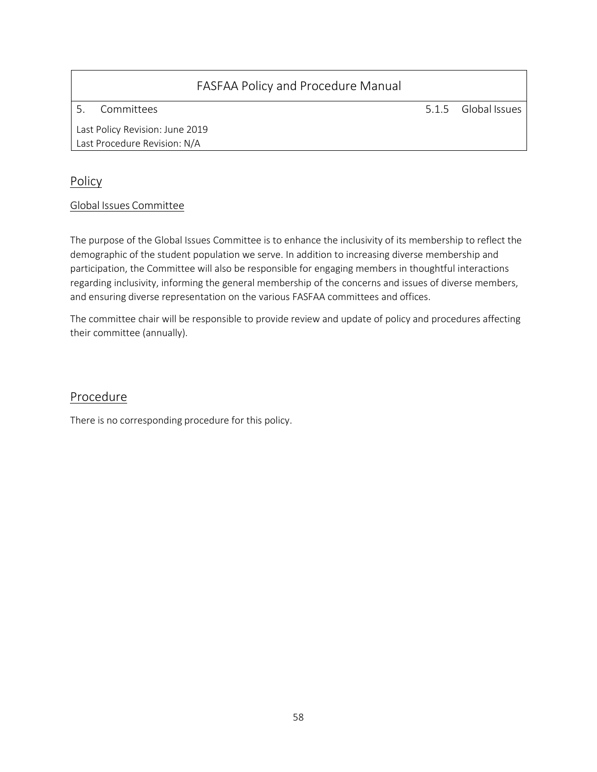5. Committees 5.1.5 Global Issues

Last Policy Revision: June 2019 Last Procedure Revision: N/A

### Policy

#### Global Issues Committee

The purpose of the Global Issues Committee is to enhance the inclusivity of its membership to reflect the demographic of the student population we serve. In addition to increasing diverse membership and participation, the Committee will also be responsible for engaging members in thoughtful interactions regarding inclusivity, informing the general membership of the concerns and issues of diverse members, and ensuring diverse representation on the various FASFAA committees and offices.

The committee chair will be responsible to provide review and update of policy and procedures affecting their committee (annually).

### Procedure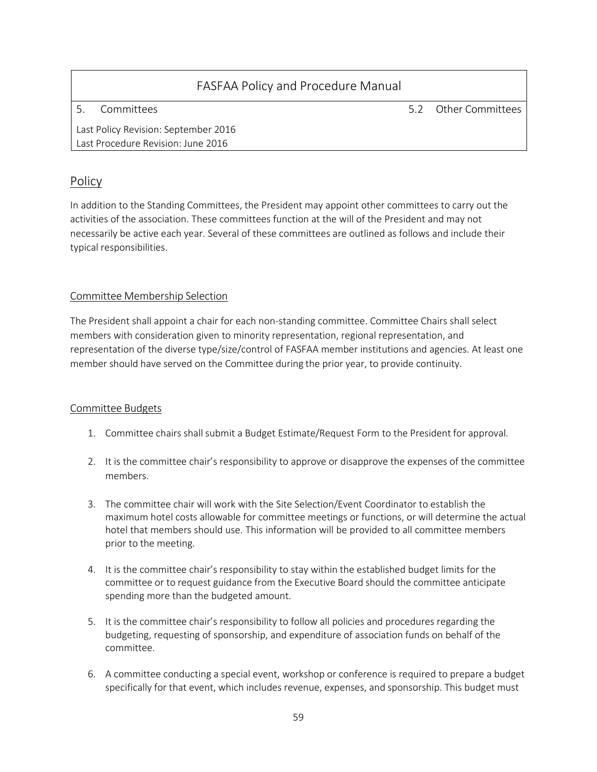| FASFAA Policy and Procedure Manual   |                      |
|--------------------------------------|----------------------|
| Committees                           | 5.2 Other Committees |
| Last Policy Revision: September 2016 |                      |
| Last Procedure Revision: June 2016   |                      |

### Policy

In addition to the Standing Committees, the President may appoint other committees to carry out the activities of the association. These committees function at the will of the President and may not necessarily be active each year. Several of these committees are outlined as follows and include their typical responsibilities.

#### Committee Membership Selection

The President shall appoint a chair for each non-standing committee. Committee Chairs shall select members with consideration given to minority representation, regional representation, and representation of the diverse type/size/control of FASFAA member institutions and agencies. At least one member should have served on the Committee during the prior year, to provide continuity.

#### Committee Budgets

- 1. Committee chairs shall submit a Budget Estimate/Request Form to the President for approval.
- 2. It is the committee chair's responsibility to approve or disapprove the expenses of the committee members.
- 3. The committee chair will work with the Site Selection/Event Coordinator to establish the maximum hotel costs allowable for committee meetings or functions, or will determine the actual hotel that members should use. This information will be provided to all committee members prior to the meeting.
- 4. It is the committee chair's responsibility to stay within the established budget limits for the committee or to request guidance from the Executive Board should the committee anticipate spending more than the budgeted amount.
- 5. It is the committee chair's responsibility to follow all policies and procedures regarding the budgeting, requesting of sponsorship, and expenditure of association funds on behalf of the committee.
- 6. A committee conducting a special event, workshop or conference is required to prepare a budget specifically for that event, which includes revenue, expenses, and sponsorship. This budget must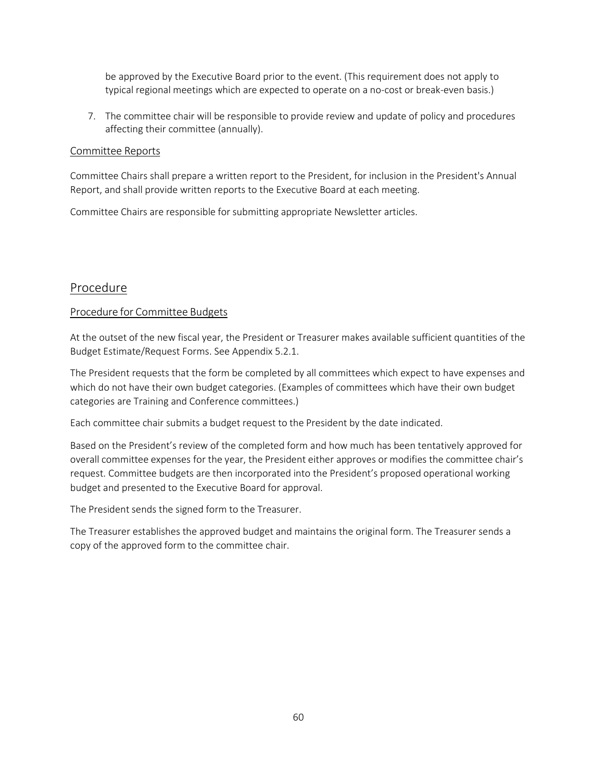be approved by the Executive Board prior to the event. (This requirement does not apply to typical regional meetings which are expected to operate on a no-cost or break-even basis.)

7. The committee chair will be responsible to provide review and update of policy and procedures affecting their committee (annually).

#### Committee Reports

Committee Chairs shall prepare a written report to the President, for inclusion in the President's Annual Report, and shall provide written reports to the Executive Board at each meeting.

Committee Chairs are responsible for submitting appropriate Newsletter articles.

#### Procedure

#### Procedure for Committee Budgets

At the outset of the new fiscal year, the President or Treasurer makes available sufficient quantities of the Budget Estimate/Request Forms. See Appendix 5.2.1.

The President requests that the form be completed by all committees which expect to have expenses and which do not have their own budget categories. (Examples of committees which have their own budget categories are Training and Conference committees.)

Each committee chair submits a budget request to the President by the date indicated.

Based on the President's review of the completed form and how much has been tentatively approved for overall committee expenses for the year, the President either approves or modifies the committee chair's request. Committee budgets are then incorporated into the President's proposed operational working budget and presented to the Executive Board for approval.

The President sends the signed form to the Treasurer.

The Treasurer establishes the approved budget and maintains the original form. The Treasurer sends a copy of the approved form to the committee chair.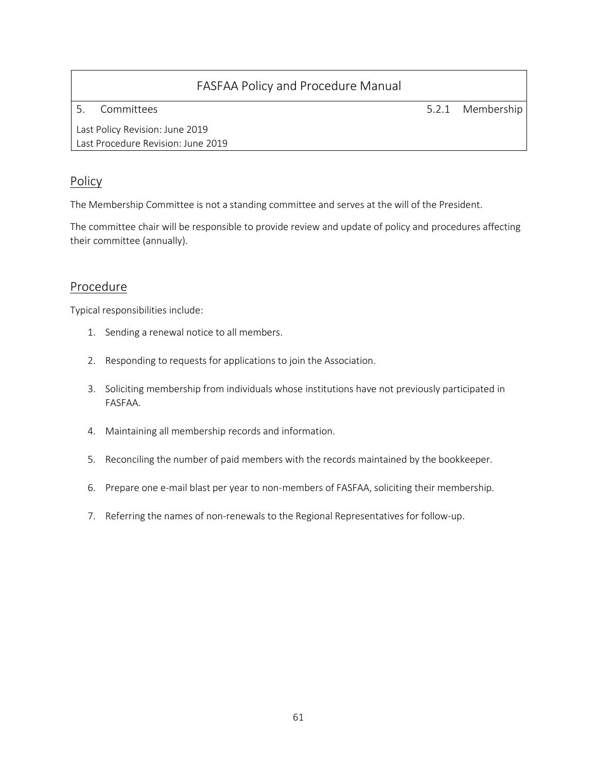5. Committees 5.2.1 Membership

Last Policy Revision: June 2019 Last Procedure Revision: June 2019

### Policy

The Membership Committee is not a standing committee and serves at the will of the President.

The committee chair will be responsible to provide review and update of policy and procedures affecting their committee (annually).

### Procedure

Typical responsibilities include:

- 1. Sending a renewal notice to all members.
- 2. Responding to requests for applications to join the Association.
- 3. Soliciting membership from individuals whose institutions have not previously participated in FASFAA.
- 4. Maintaining all membership records and information.
- 5. Reconciling the number of paid members with the records maintained by the bookkeeper.
- 6. Prepare one e-mail blast per year to non-members of FASFAA, soliciting their membership.
- 7. Referring the names of non-renewals to the Regional Representatives for follow-up.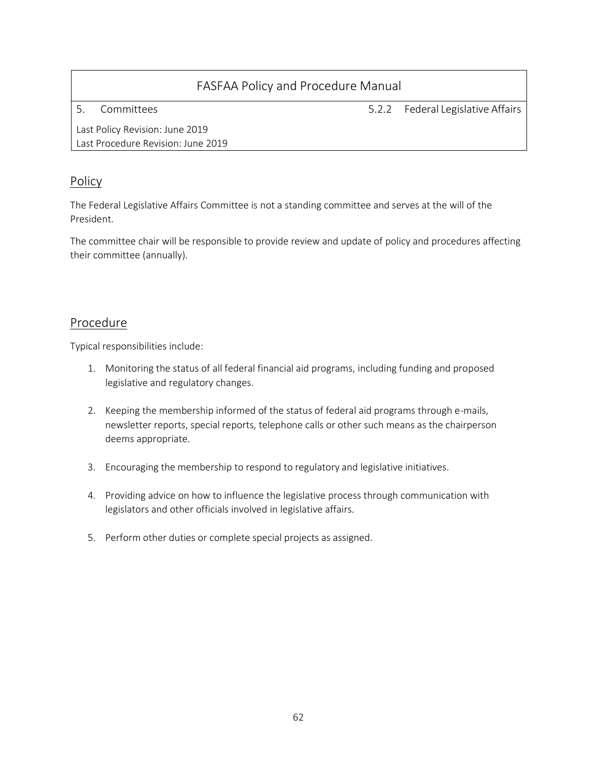5. Committees 5.2.2 Federal Legislative Affairs

Last Policy Revision: June 2019 Last Procedure Revision: June 2019

### Policy

The Federal Legislative Affairs Committee is not a standing committee and serves at the will of the President.

The committee chair will be responsible to provide review and update of policy and procedures affecting their committee (annually).

### Procedure

Typical responsibilities include:

- 1. Monitoring the status of all federal financial aid programs, including funding and proposed legislative and regulatory changes.
- 2. Keeping the membership informed of the status of federal aid programs through e-mails, newsletter reports, special reports, telephone calls or other such means as the chairperson deems appropriate.
- 3. Encouraging the membership to respond to regulatory and legislative initiatives.
- 4. Providing advice on how to influence the legislative process through communication with legislators and other officials involved in legislative affairs.
- 5. Perform other duties or complete special projects as assigned.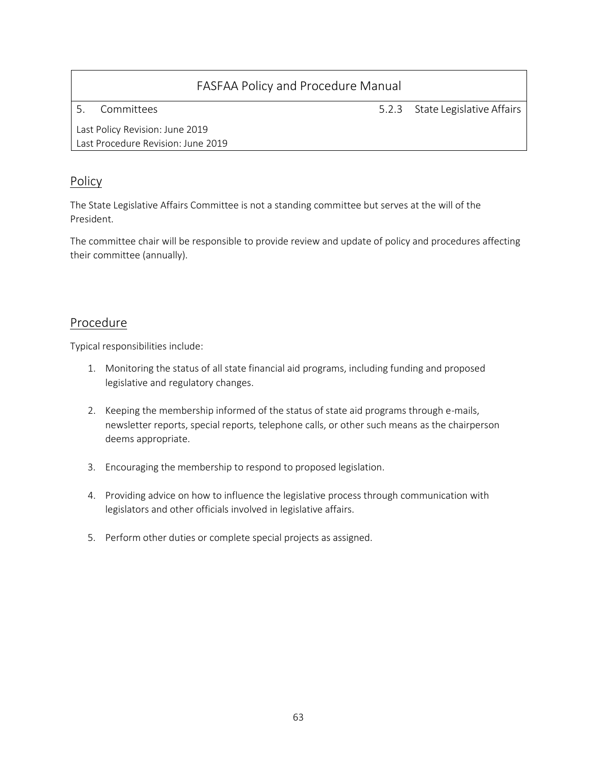5. Committees 5.2.3 State Legislative Affairs

Last Policy Revision: June 2019 Last Procedure Revision: June 2019

### Policy

The State Legislative Affairs Committee is not a standing committee but serves at the will of the President.

The committee chair will be responsible to provide review and update of policy and procedures affecting their committee (annually).

### Procedure

Typical responsibilities include:

- 1. Monitoring the status of all state financial aid programs, including funding and proposed legislative and regulatory changes.
- 2. Keeping the membership informed of the status of state aid programs through e-mails, newsletter reports, special reports, telephone calls, or other such means as the chairperson deems appropriate.
- 3. Encouraging the membership to respond to proposed legislation.
- 4. Providing advice on how to influence the legislative process through communication with legislators and other officials involved in legislative affairs.
- 5. Perform other duties or complete special projects as assigned.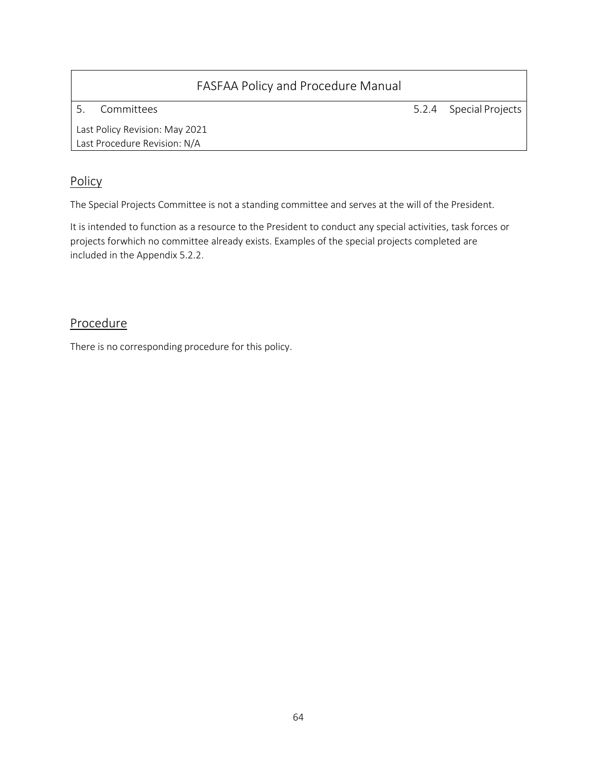5. Committees 5.2.4 Special Projects

Last Policy Revision: May 2021 Last Procedure Revision: N/A

### Policy

The Special Projects Committee is not a standing committee and serves at the will of the President.

It is intended to function as a resource to the President to conduct any special activities, task forces or projects forwhich no committee already exists. Examples of the special projects completed are included in the Appendix 5.2.2.

### **Procedure**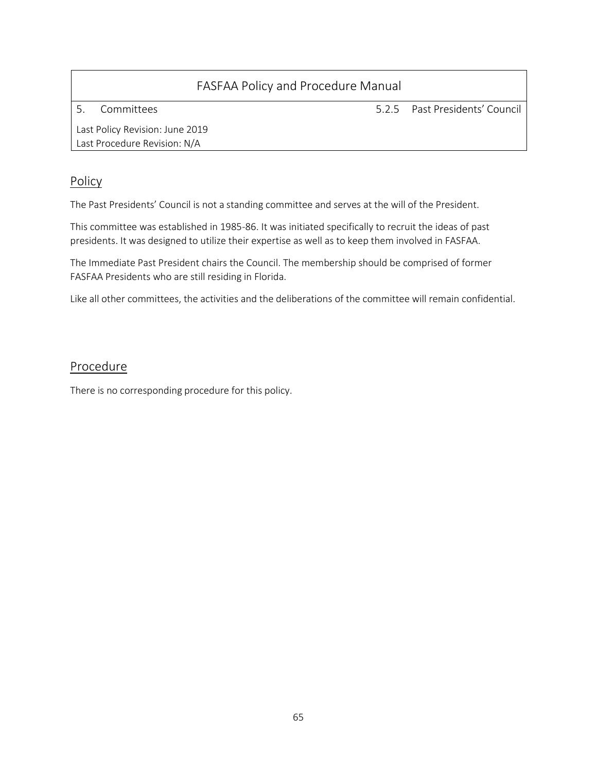5. Committees 5.2.5 Past Presidents' Council

Last Policy Revision: June 2019 Last Procedure Revision: N/A

### Policy

The Past Presidents' Council is not a standing committee and serves at the will of the President.

This committee was established in 1985-86. It was initiated specifically to recruit the ideas of past presidents. It was designed to utilize their expertise as well as to keep them involved in FASFAA.

The Immediate Past President chairs the Council. The membership should be comprised of former FASFAA Presidents who are still residing in Florida.

Like all other committees, the activities and the deliberations of the committee will remain confidential.

### Procedure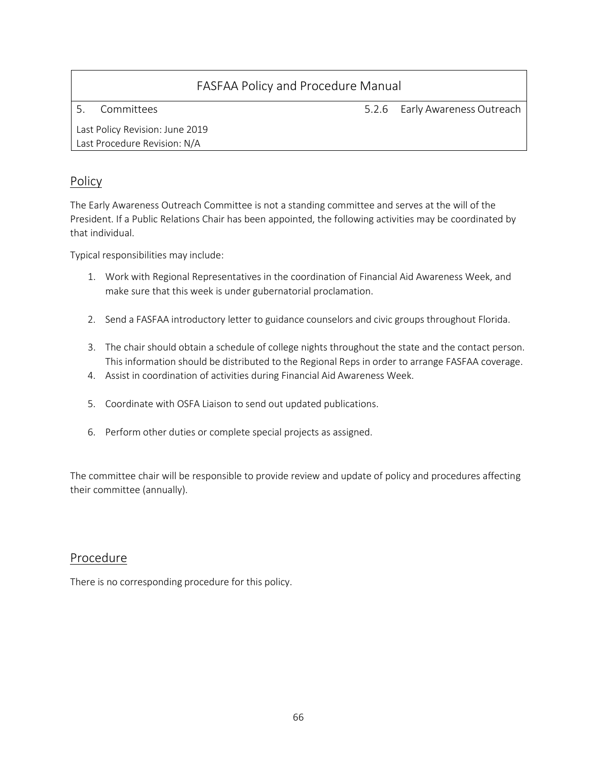5. Committees 5.2.6 Early Awareness Outreach

Last Policy Revision: June 2019 Last Procedure Revision: N/A

### Policy

The Early Awareness Outreach Committee is not a standing committee and serves at the will of the President. If a Public Relations Chair has been appointed, the following activities may be coordinated by that individual.

Typical responsibilities may include:

- 1. Work with Regional Representatives in the coordination of Financial Aid Awareness Week, and make sure that this week is under gubernatorial proclamation.
- 2. Send a FASFAA introductory letter to guidance counselors and civic groups throughout Florida.
- 3. The chair should obtain a schedule of college nights throughout the state and the contact person. This information should be distributed to the Regional Reps in order to arrange FASFAA coverage.
- 4. Assist in coordination of activities during Financial Aid Awareness Week.
- 5. Coordinate with OSFA Liaison to send out updated publications.
- 6. Perform other duties or complete special projects as assigned.

The committee chair will be responsible to provide review and update of policy and procedures affecting their committee (annually).

#### Procedure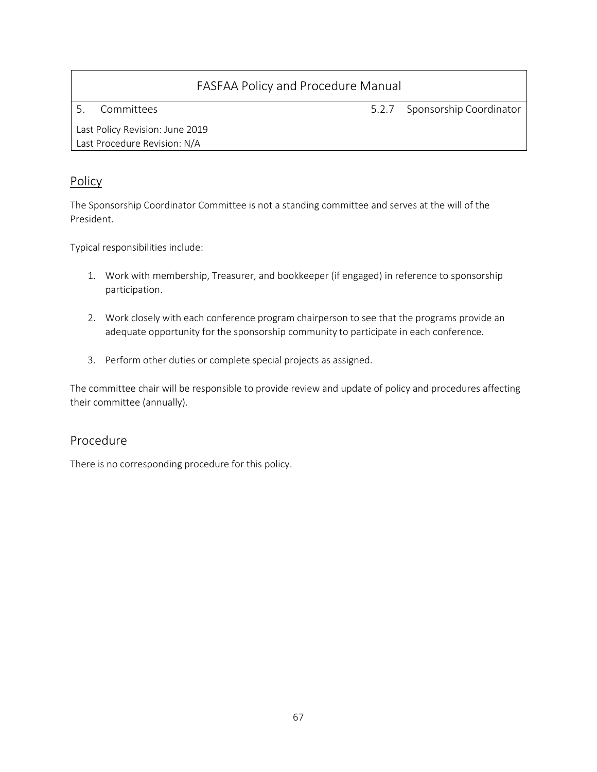5. Committees 5.2.7 Sponsorship Coordinator

Last Policy Revision: June 2019 Last Procedure Revision: N/A

### Policy

The Sponsorship Coordinator Committee is not a standing committee and serves at the will of the President.

Typical responsibilities include:

- 1. Work with membership, Treasurer, and bookkeeper (if engaged) in reference to sponsorship participation.
- 2. Work closely with each conference program chairperson to see that the programs provide an adequate opportunity for the sponsorship community to participate in each conference.
- 3. Perform other duties or complete special projects as assigned.

The committee chair will be responsible to provide review and update of policy and procedures affecting their committee (annually).

### Procedure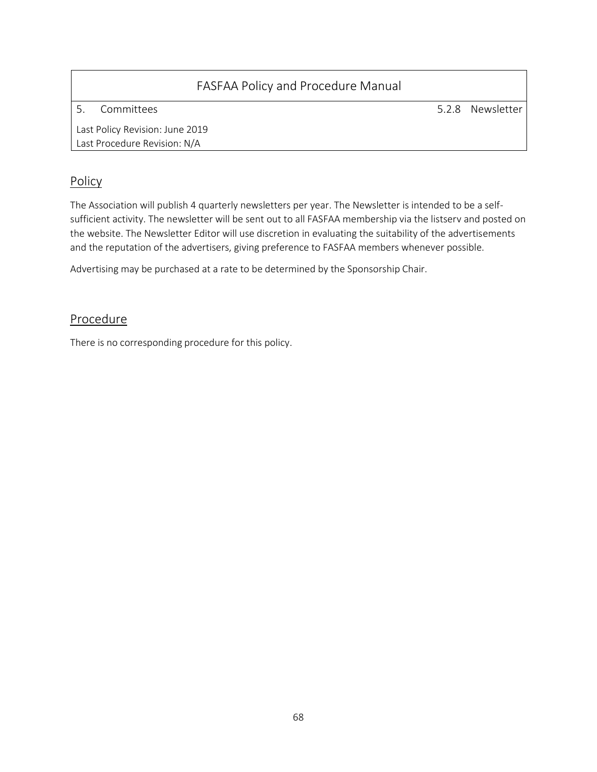| FASFAA Policy and Procedure Manual                              |                  |
|-----------------------------------------------------------------|------------------|
| Committees                                                      | 5.2.8 Newsletter |
| Last Policy Revision: June 2019<br>Last Procedure Revision: N/A |                  |

### Policy

The Association will publish 4 quarterly newsletters per year. The Newsletter is intended to be a selfsufficient activity. The newsletter will be sent out to all FASFAA membership via the listserv and posted on the website. The Newsletter Editor will use discretion in evaluating the suitability of the advertisements and the reputation of the advertisers, giving preference to FASFAA members whenever possible.

Advertising may be purchased at a rate to be determined by the Sponsorship Chair.

### Procedure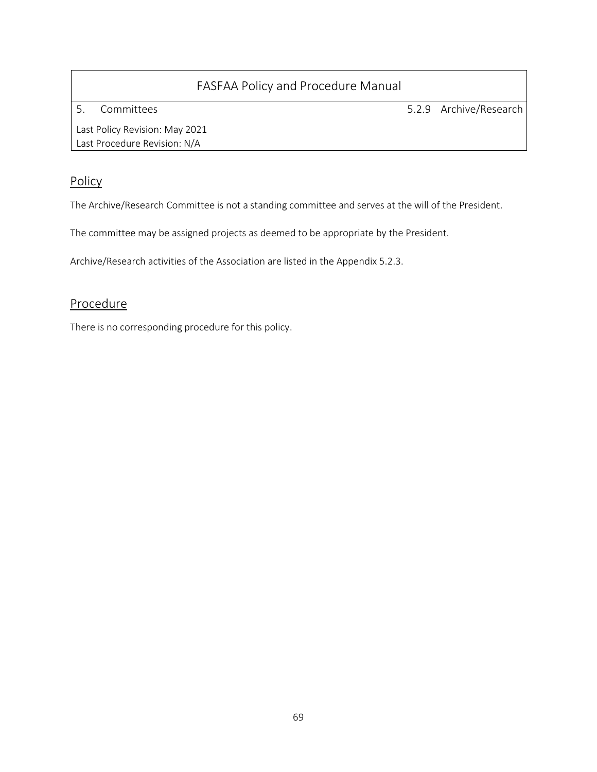5. Committees 5.2.9 Archive/Research

Last Policy Revision: May 2021 Last Procedure Revision: N/A

### Policy

The Archive/Research Committee is not a standing committee and serves at the will of the President.

The committee may be assigned projects as deemed to be appropriate by the President.

Archive/Research activities of the Association are listed in the Appendix 5.2.3.

### Procedure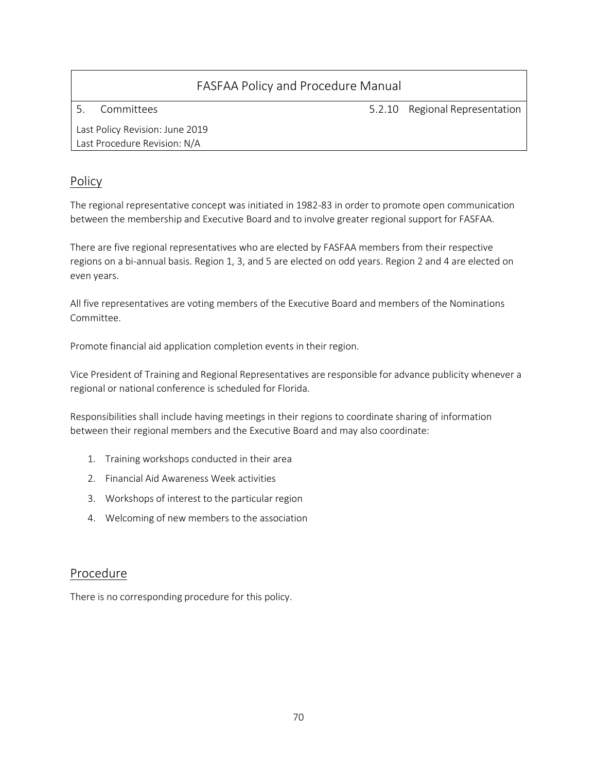5. Committees 5.2.10 Regional Representation

Last Policy Revision: June 2019 Last Procedure Revision: N/A

### Policy

The regional representative concept was initiated in 1982-83 in order to promote open communication between the membership and Executive Board and to involve greater regional support for FASFAA.

There are five regional representatives who are elected by FASFAA members from their respective regions on a bi-annual basis. Region 1, 3, and 5 are elected on odd years. Region 2 and 4 are elected on even years.

All five representatives are voting members of the Executive Board and members of the Nominations Committee.

Promote financial aid application completion events in their region.

Vice President of Training and Regional Representatives are responsible for advance publicity whenever a regional or national conference is scheduled for Florida.

Responsibilities shall include having meetings in their regions to coordinate sharing of information between their regional members and the Executive Board and may also coordinate:

- 1. Training workshops conducted in their area
- 2. Financial Aid Awareness Week activities
- 3. Workshops of interest to the particular region
- 4. Welcoming of new members to the association

#### Procedure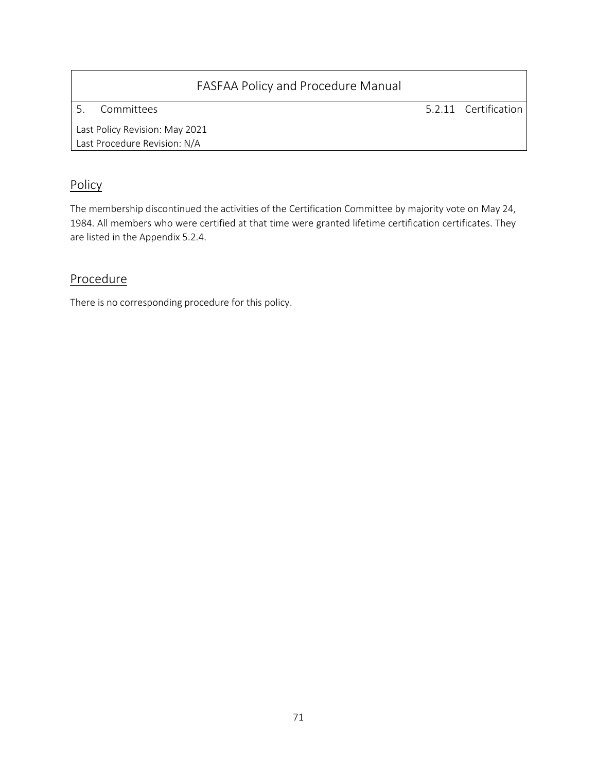5. Committees 5.2.11 Certification

Last Policy Revision: May 2021 Last Procedure Revision: N/A

### Policy

The membership discontinued the activities of the Certification Committee by majority vote on May 24, 1984. All members who were certified at that time were granted lifetime certification certificates. They are listed in the Appendix 5.2.4.

### **Procedure**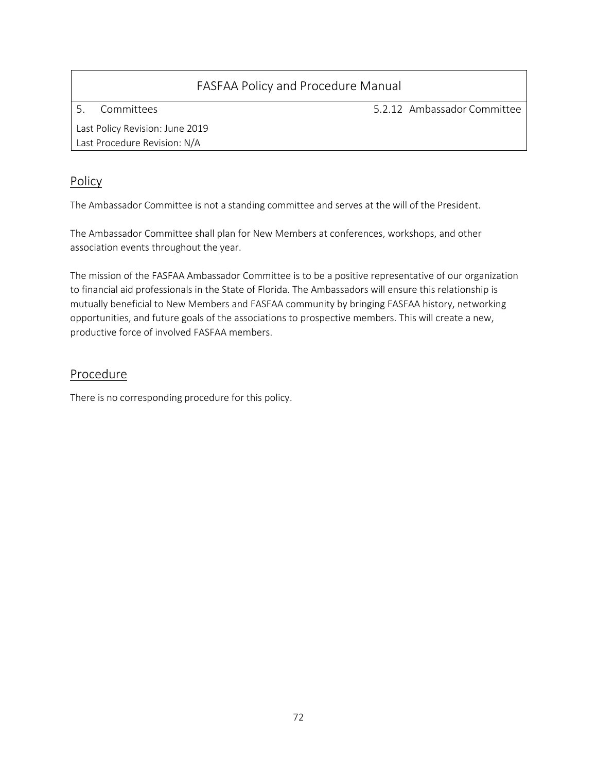5. Committees

5.2.12 Ambassador Committee

Last Policy Revision: June 2019 Last Procedure Revision: N/A

### Policy

The Ambassador Committee is not a standing committee and serves at the will of the President.

The Ambassador Committee shall plan for New Members at conferences, workshops, and other association events throughout the year.

The mission of the FASFAA Ambassador Committee is to be a positive representative of our organization to financial aid professionals in the State of Florida. The Ambassadors will ensure this relationship is mutually beneficial to New Members and FASFAA community by bringing FASFAA history, networking opportunities, and future goals of the associations to prospective members. This will create a new, productive force of involved FASFAA members.

### Procedure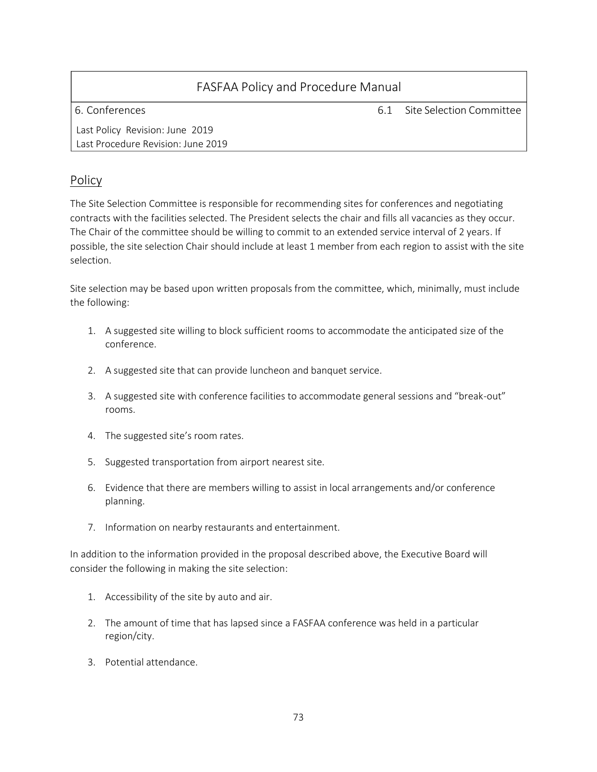6. Conferences 6.1 Site Selection Committee

Last Policy Revision: June 2019 Last Procedure Revision: June 2019

# Policy

The Site Selection Committee is responsible for recommending sites for conferences and negotiating contracts with the facilities selected. The President selects the chair and fills all vacancies as they occur. The Chair of the committee should be willing to commit to an extended service interval of 2 years. If possible, the site selection Chair should include at least 1 member from each region to assist with the site selection.

Site selection may be based upon written proposals from the committee, which, minimally, must include the following:

- 1. A suggested site willing to block sufficient rooms to accommodate the anticipated size of the conference.
- 2. A suggested site that can provide luncheon and banquet service.
- 3. A suggested site with conference facilities to accommodate general sessions and "break-out" rooms.
- 4. The suggested site's room rates.
- 5. Suggested transportation from airport nearest site.
- 6. Evidence that there are members willing to assist in local arrangements and/or conference planning.
- 7. Information on nearby restaurants and entertainment.

In addition to the information provided in the proposal described above, the Executive Board will consider the following in making the site selection:

- 1. Accessibility of the site by auto and air.
- 2. The amount of time that has lapsed since a FASFAA conference was held in a particular region/city.
- 3. Potential attendance.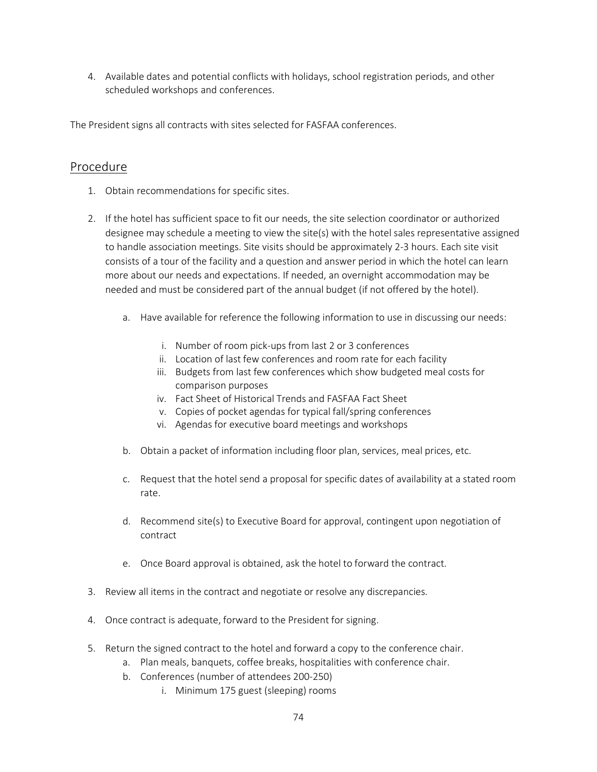4. Available dates and potential conflicts with holidays, school registration periods, and other scheduled workshops and conferences.

The President signs all contracts with sites selected for FASFAA conferences.

# Procedure

- 1. Obtain recommendations for specific sites.
- 2. If the hotel has sufficient space to fit our needs, the site selection coordinator or authorized designee may schedule a meeting to view the site(s) with the hotel sales representative assigned to handle association meetings. Site visits should be approximately 2-3 hours. Each site visit consists of a tour of the facility and a question and answer period in which the hotel can learn more about our needs and expectations. If needed, an overnight accommodation may be needed and must be considered part of the annual budget (if not offered by the hotel).
	- a. Have available for reference the following information to use in discussing our needs:
		- i. Number of room pick-ups from last 2 or 3 conferences
		- ii. Location of last few conferences and room rate for each facility
		- iii. Budgets from last few conferences which show budgeted meal costs for comparison purposes
		- iv. Fact Sheet of Historical Trends and FASFAA Fact Sheet
		- v. Copies of pocket agendas for typical fall/spring conferences
		- vi. Agendas for executive board meetings and workshops
	- b. Obtain a packet of information including floor plan, services, meal prices, etc.
	- c. Request that the hotel send a proposal for specific dates of availability at a stated room rate.
	- d. Recommend site(s) to Executive Board for approval, contingent upon negotiation of contract
	- e. Once Board approval is obtained, ask the hotel to forward the contract.
- 3. Review all items in the contract and negotiate or resolve any discrepancies.
- 4. Once contract is adequate, forward to the President for signing.
- 5. Return the signed contract to the hotel and forward a copy to the conference chair.
	- a. Plan meals, banquets, coffee breaks, hospitalities with conference chair.
	- b. Conferences (number of attendees 200-250)
		- i. Minimum 175 guest (sleeping) rooms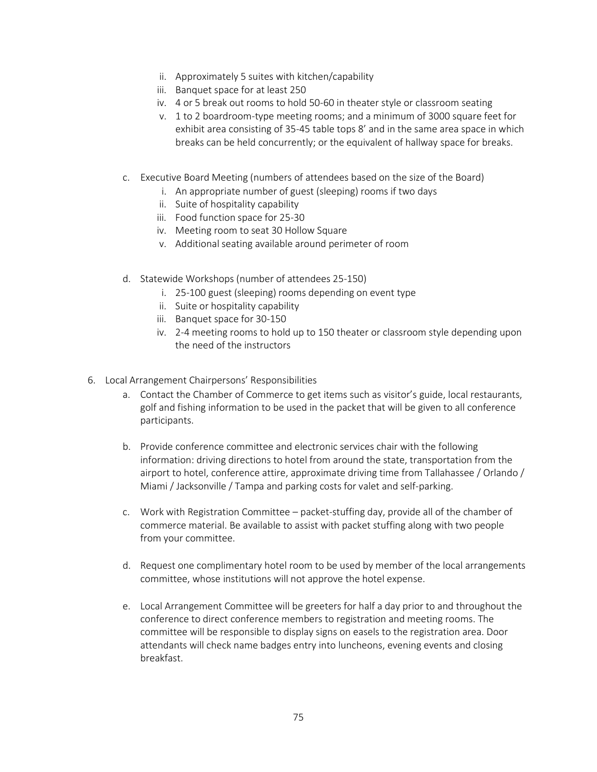- ii. Approximately 5 suites with kitchen/capability
- iii. Banquet space for at least 250
- iv. 4 or 5 break out rooms to hold 50-60 in theater style or classroom seating
- v. 1 to 2 boardroom-type meeting rooms; and a minimum of 3000 square feet for exhibit area consisting of 35-45 table tops 8' and in the same area space in which breaks can be held concurrently; or the equivalent of hallway space for breaks.
- c. Executive Board Meeting (numbers of attendees based on the size of the Board)
	- i. An appropriate number of guest (sleeping) rooms if two days
	- ii. Suite of hospitality capability
	- iii. Food function space for 25-30
	- iv. Meeting room to seat 30 Hollow Square
	- v. Additional seating available around perimeter of room
- d. Statewide Workshops (number of attendees 25-150)
	- i. 25-100 guest (sleeping) rooms depending on event type
	- ii. Suite or hospitality capability
	- iii. Banquet space for 30-150
	- iv. 2-4 meeting rooms to hold up to 150 theater or classroom style depending upon the need of the instructors
- 6. Local Arrangement Chairpersons' Responsibilities
	- a. Contact the Chamber of Commerce to get items such as visitor's guide, local restaurants, golf and fishing information to be used in the packet that will be given to all conference participants.
	- b. Provide conference committee and electronic services chair with the following information: driving directions to hotel from around the state, transportation from the airport to hotel, conference attire, approximate driving time from Tallahassee / Orlando / Miami / Jacksonville / Tampa and parking costs for valet and self-parking.
	- c. Work with Registration Committee packet-stuffing day, provide all of the chamber of commerce material. Be available to assist with packet stuffing along with two people from your committee.
	- d. Request one complimentary hotel room to be used by member of the local arrangements committee, whose institutions will not approve the hotel expense.
	- e. Local Arrangement Committee will be greeters for half a day prior to and throughout the conference to direct conference members to registration and meeting rooms. The committee will be responsible to display signs on easels to the registration area. Door attendants will check name badges entry into luncheons, evening events and closing breakfast.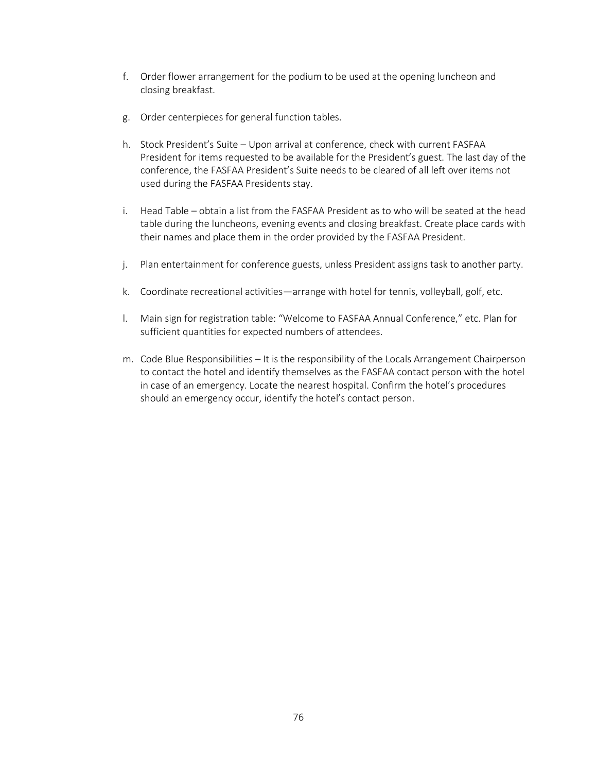- f. Order flower arrangement for the podium to be used at the opening luncheon and closing breakfast.
- g. Order centerpieces for general function tables.
- h. Stock President's Suite Upon arrival at conference, check with current FASFAA President for items requested to be available for the President's guest. The last day of the conference, the FASFAA President's Suite needs to be cleared of all left over items not used during the FASFAA Presidents stay.
- i. Head Table obtain a list from the FASFAA President as to who will be seated at the head table during the luncheons, evening events and closing breakfast. Create place cards with their names and place them in the order provided by the FASFAA President.
- j. Plan entertainment for conference guests, unless President assigns task to another party.
- k. Coordinate recreational activities—arrange with hotel for tennis, volleyball, golf, etc.
- l. Main sign for registration table: "Welcome to FASFAA Annual Conference," etc. Plan for sufficient quantities for expected numbers of attendees.
- m. Code Blue Responsibilities It is the responsibility of the Locals Arrangement Chairperson to contact the hotel and identify themselves as the FASFAA contact person with the hotel in case of an emergency. Locate the nearest hospital. Confirm the hotel's procedures should an emergency occur, identify the hotel's contact person.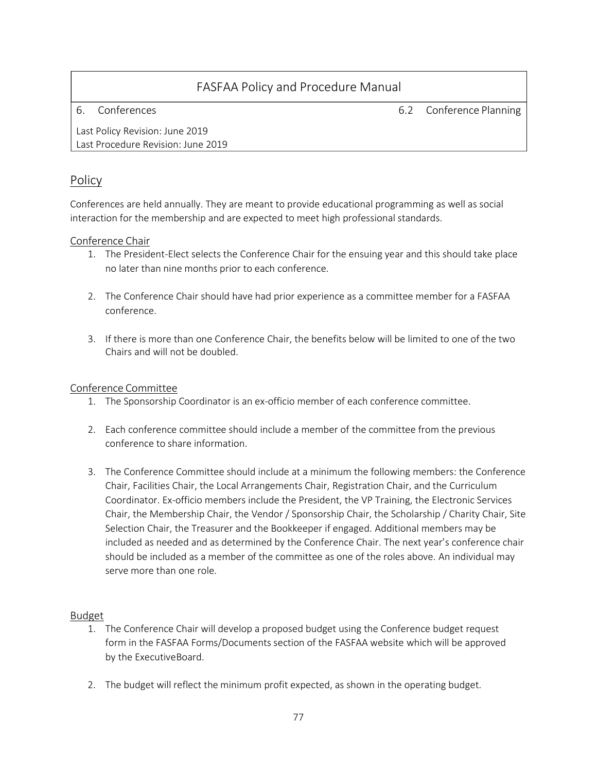6. Conferences 6.2 Conference Planning

Last Policy Revision: June 2019 Last Procedure Revision: June 2019

# Policy

Conferences are held annually. They are meant to provide educational programming as well as social interaction for the membership and are expected to meet high professional standards.

# Conference Chair

- 1. The President-Elect selects the Conference Chair for the ensuing year and this should take place no later than nine months prior to each conference.
- 2. The Conference Chair should have had prior experience as a committee member for a FASFAA conference.
- 3. If there is more than one Conference Chair, the benefits below will be limited to one of the two Chairs and will not be doubled.

# Conference Committee

- 1. The Sponsorship Coordinator is an ex-officio member of each conference committee.
- 2. Each conference committee should include a member of the committee from the previous conference to share information.
- 3. The Conference Committee should include at a minimum the following members: the Conference Chair, Facilities Chair, the Local Arrangements Chair, Registration Chair, and the Curriculum Coordinator. Ex-officio members include the President, the VP Training, the Electronic Services Chair, the Membership Chair, the Vendor / Sponsorship Chair, the Scholarship / Charity Chair, Site Selection Chair, the Treasurer and the Bookkeeper if engaged. Additional members may be included as needed and as determined by the Conference Chair. The next year's conference chair should be included as a member of the committee as one of the roles above. An individual may serve more than one role.

# Budget

- 1. The Conference Chair will develop a proposed budget using the Conference budget request form in the FASFAA Forms/Documents section of the FASFAA website which will be approved by the ExecutiveBoard.
- 2. The budget will reflect the minimum profit expected, as shown in the operating budget.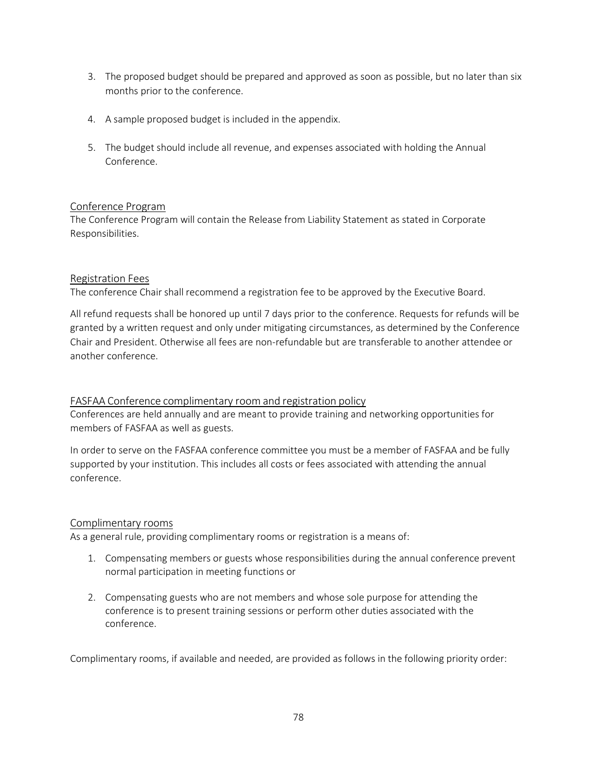- 3. The proposed budget should be prepared and approved as soon as possible, but no later than six months prior to the conference.
- 4. A sample proposed budget is included in the appendix.
- 5. The budget should include all revenue, and expenses associated with holding the Annual Conference.

#### Conference Program

The Conference Program will contain the Release from Liability Statement as stated in Corporate Responsibilities.

#### Registration Fees

The conference Chair shall recommend a registration fee to be approved by the Executive Board.

All refund requests shall be honored up until 7 days prior to the conference. Requests for refunds will be granted by a written request and only under mitigating circumstances, as determined by the Conference Chair and President. Otherwise all fees are non-refundable but are transferable to another attendee or another conference.

#### FASFAA Conference complimentary room and registration policy

Conferences are held annually and are meant to provide training and networking opportunities for members of FASFAA as well as guests.

In order to serve on the FASFAA conference committee you must be a member of FASFAA and be fully supported by your institution. This includes all costs or fees associated with attending the annual conference.

#### Complimentary rooms

As a general rule, providing complimentary rooms or registration is a means of:

- 1. Compensating members or guests whose responsibilities during the annual conference prevent normal participation in meeting functions or
- 2. Compensating guests who are not members and whose sole purpose for attending the conference is to present training sessions or perform other duties associated with the conference.

Complimentary rooms, if available and needed, are provided as follows in the following priority order: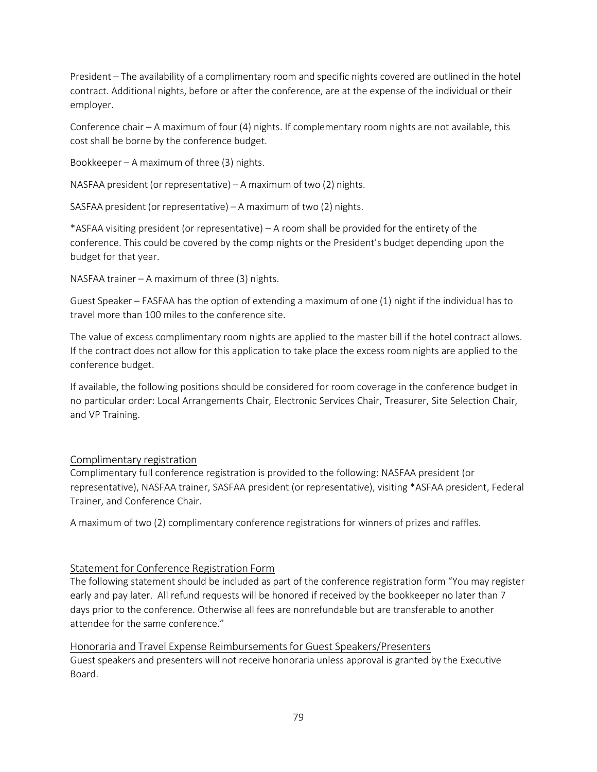President – The availability of a complimentary room and specific nights covered are outlined in the hotel contract. Additional nights, before or after the conference, are at the expense of the individual or their employer.

Conference chair – A maximum of four (4) nights. If complementary room nights are not available, this cost shall be borne by the conference budget.

Bookkeeper – A maximum of three (3) nights.

NASFAA president (or representative) – A maximum of two (2) nights.

SASFAA president (or representative) – A maximum of two (2) nights.

\*ASFAA visiting president (or representative) – A room shall be provided for the entirety of the conference. This could be covered by the comp nights or the President's budget depending upon the budget for that year.

NASFAA trainer – A maximum of three (3) nights.

Guest Speaker – FASFAA has the option of extending a maximum of one (1) night if the individual has to travel more than 100 miles to the conference site.

The value of excess complimentary room nights are applied to the master bill if the hotel contract allows. If the contract does not allow for this application to take place the excess room nights are applied to the conference budget.

If available, the following positions should be considered for room coverage in the conference budget in no particular order: Local Arrangements Chair, Electronic Services Chair, Treasurer, Site Selection Chair, and VP Training.

# Complimentary registration

Complimentary full conference registration is provided to the following: NASFAA president (or representative), NASFAA trainer, SASFAA president (or representative), visiting \*ASFAA president, Federal Trainer, and Conference Chair.

A maximum of two (2) complimentary conference registrations for winners of prizes and raffles.

# Statement for Conference Registration Form

The following statement should be included as part of the conference registration form "You may register early and pay later. All refund requests will be honored if received by the bookkeeper no later than 7 days prior to the conference. Otherwise all fees are nonrefundable but are transferable to another attendee for the same conference."

Honoraria and Travel Expense Reimbursementsfor Guest Speakers/Presenters Guest speakers and presenters will not receive honoraria unless approval is granted by the Executive Board.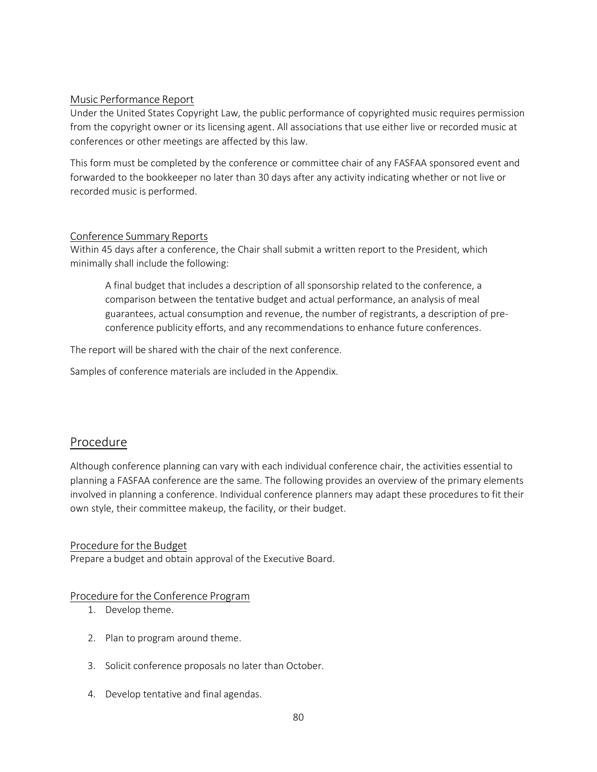### Music Performance Report

Under the United States Copyright Law, the public performance of copyrighted music requires permission from the copyright owner or its licensing agent. All associations that use either live or recorded music at conferences or other meetings are affected by this law.

This form must be completed by the conference or committee chair of any FASFAA sponsored event and forwarded to the bookkeeper no later than 30 days after any activity indicating whether or not live or recorded music is performed.

#### Conference Summary Reports

Within 45 days after a conference, the Chair shall submit a written report to the President, which minimally shall include the following:

A final budget that includes a description of all sponsorship related to the conference, a comparison between the tentative budget and actual performance, an analysis of meal guarantees, actual consumption and revenue, the number of registrants, a description of preconference publicity efforts, and any recommendations to enhance future conferences.

The report will be shared with the chair of the next conference.

Samples of conference materials are included in the Appendix.

# Procedure

Although conference planning can vary with each individual conference chair, the activities essential to planning a FASFAA conference are the same. The following provides an overview of the primary elements involved in planning a conference. Individual conference planners may adapt these procedures to fit their own style, their committee makeup, the facility, or their budget.

# Procedure forthe Budget

Prepare a budget and obtain approval of the Executive Board.

#### Procedure for the Conference Program

- 1. Develop theme.
- 2. Plan to program around theme.
- 3. Solicit conference proposals no later than October.
- 4. Develop tentative and final agendas.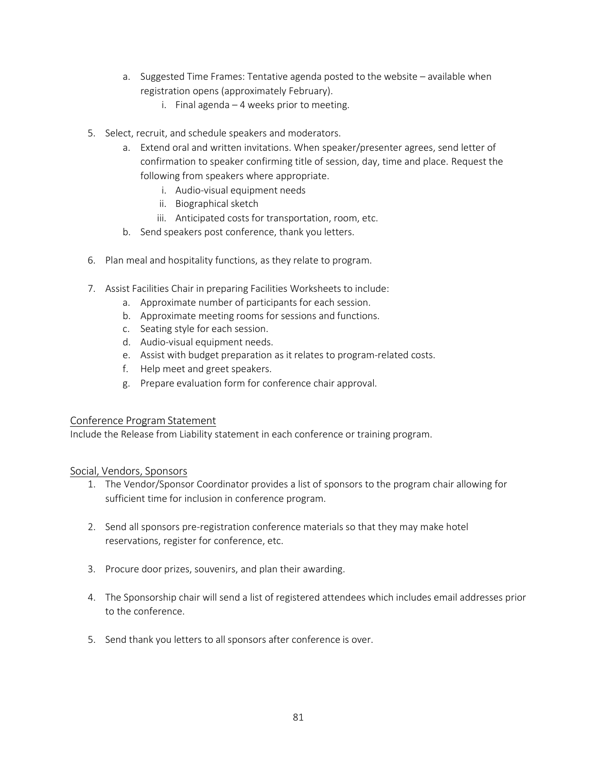- a. Suggested Time Frames: Tentative agenda posted to the website available when registration opens (approximately February).
	- i. Final agenda 4 weeks prior to meeting.
- 5. Select, recruit, and schedule speakers and moderators.
	- a. Extend oral and written invitations. When speaker/presenter agrees, send letter of confirmation to speaker confirming title of session, day, time and place. Request the following from speakers where appropriate.
		- i. Audio-visual equipment needs
		- ii. Biographical sketch
		- iii. Anticipated costs for transportation, room, etc.
	- b. Send speakers post conference, thank you letters.
- 6. Plan meal and hospitality functions, as they relate to program.
- 7. Assist Facilities Chair in preparing Facilities Worksheets to include:
	- a. Approximate number of participants for each session.
	- b. Approximate meeting rooms for sessions and functions.
	- c. Seating style for each session.
	- d. Audio-visual equipment needs.
	- e. Assist with budget preparation as it relates to program-related costs.
	- f. Help meet and greet speakers.
	- g. Prepare evaluation form for conference chair approval.

#### Conference Program Statement

Include the Release from Liability statement in each conference or training program.

#### Social, Vendors, Sponsors

- 1. The Vendor/Sponsor Coordinator provides a list of sponsors to the program chair allowing for sufficient time for inclusion in conference program.
- 2. Send all sponsors pre-registration conference materials so that they may make hotel reservations, register for conference, etc.
- 3. Procure door prizes, souvenirs, and plan their awarding.
- 4. The Sponsorship chair will send a list of registered attendees which includes email addresses prior to the conference.
- 5. Send thank you letters to all sponsors after conference is over.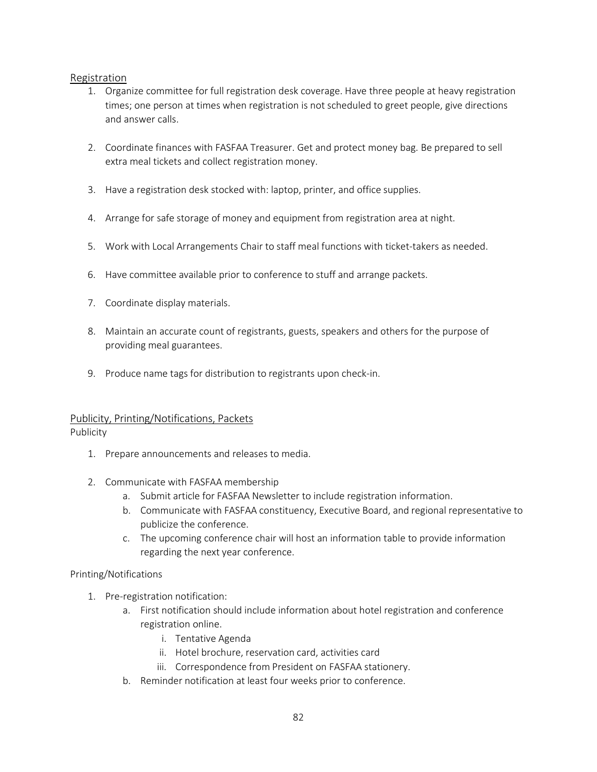# Registration

- 1. Organize committee for full registration desk coverage. Have three people at heavy registration times; one person at times when registration is not scheduled to greet people, give directions and answer calls.
- 2. Coordinate finances with FASFAA Treasurer. Get and protect money bag. Be prepared to sell extra meal tickets and collect registration money.
- 3. Have a registration desk stocked with: laptop, printer, and office supplies.
- 4. Arrange for safe storage of money and equipment from registration area at night.
- 5. Work with Local Arrangements Chair to staff meal functions with ticket-takers as needed.
- 6. Have committee available prior to conference to stuff and arrange packets.
- 7. Coordinate display materials.
- 8. Maintain an accurate count of registrants, guests, speakers and others for the purpose of providing meal guarantees.
- 9. Produce name tags for distribution to registrants upon check-in.

# Publicity, Printing/Notifications, Packets

Publicity

- 1. Prepare announcements and releases to media.
- 2. Communicate with FASFAA membership
	- a. Submit article for FASFAA Newsletter to include registration information.
	- b. Communicate with FASFAA constituency, Executive Board, and regional representative to publicize the conference.
	- c. The upcoming conference chair will host an information table to provide information regarding the next year conference.

#### Printing/Notifications

- 1. Pre-registration notification:
	- a. First notification should include information about hotel registration and conference registration online.
		- i. Tentative Agenda
		- ii. Hotel brochure, reservation card, activities card
		- iii. Correspondence from President on FASFAA stationery.
	- b. Reminder notification at least four weeks prior to conference.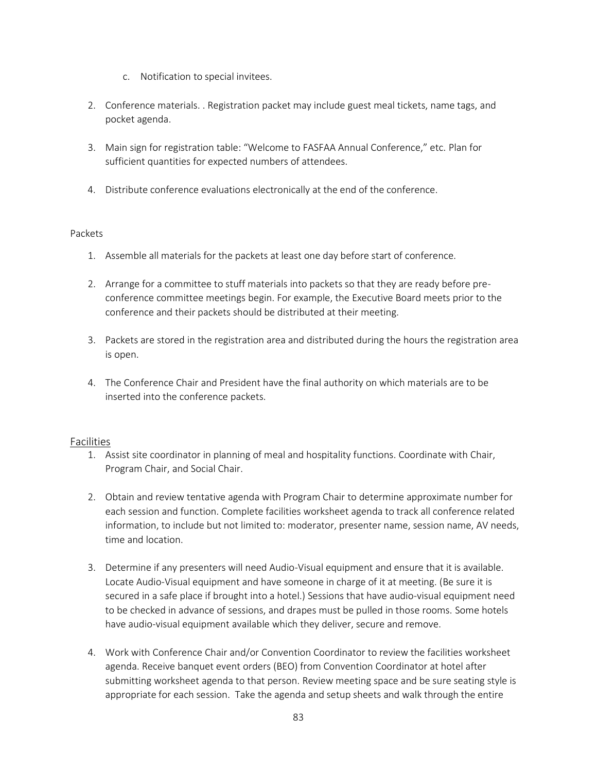- c. Notification to special invitees.
- 2. Conference materials. . Registration packet may include guest meal tickets, name tags, and pocket agenda.
- 3. Main sign for registration table: "Welcome to FASFAA Annual Conference," etc. Plan for sufficient quantities for expected numbers of attendees.
- 4. Distribute conference evaluations electronically at the end of the conference.

#### Packets

- 1. Assemble all materials for the packets at least one day before start of conference.
- 2. Arrange for a committee to stuff materials into packets so that they are ready before preconference committee meetings begin. For example, the Executive Board meets prior to the conference and their packets should be distributed at their meeting.
- 3. Packets are stored in the registration area and distributed during the hours the registration area is open.
- 4. The Conference Chair and President have the final authority on which materials are to be inserted into the conference packets.

# Facilities

- 1. Assist site coordinator in planning of meal and hospitality functions. Coordinate with Chair, Program Chair, and Social Chair.
- 2. Obtain and review tentative agenda with Program Chair to determine approximate number for each session and function. Complete facilities worksheet agenda to track all conference related information, to include but not limited to: moderator, presenter name, session name, AV needs, time and location.
- 3. Determine if any presenters will need Audio-Visual equipment and ensure that it is available. Locate Audio-Visual equipment and have someone in charge of it at meeting. (Be sure it is secured in a safe place if brought into a hotel.) Sessions that have audio-visual equipment need to be checked in advance of sessions, and drapes must be pulled in those rooms. Some hotels have audio-visual equipment available which they deliver, secure and remove.
- 4. Work with Conference Chair and/or Convention Coordinator to review the facilities worksheet agenda. Receive banquet event orders (BEO) from Convention Coordinator at hotel after submitting worksheet agenda to that person. Review meeting space and be sure seating style is appropriate for each session. Take the agenda and setup sheets and walk through the entire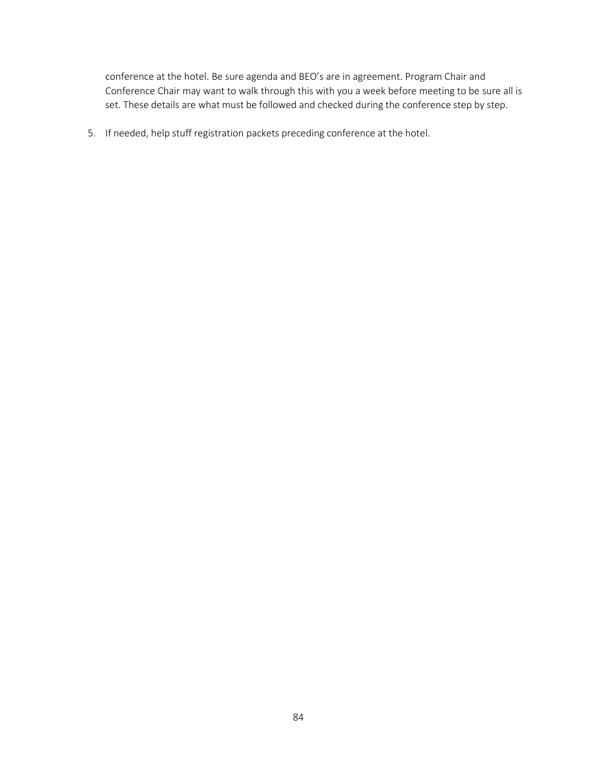conference at the hotel. Be sure agenda and BEO's are in agreement. Program Chair and Conference Chair may want to walk through this with you a week before meeting to be sure all is set. These details are what must be followed and checked during the conference step by step.

5. If needed, help stuff registration packets preceding conference at the hotel.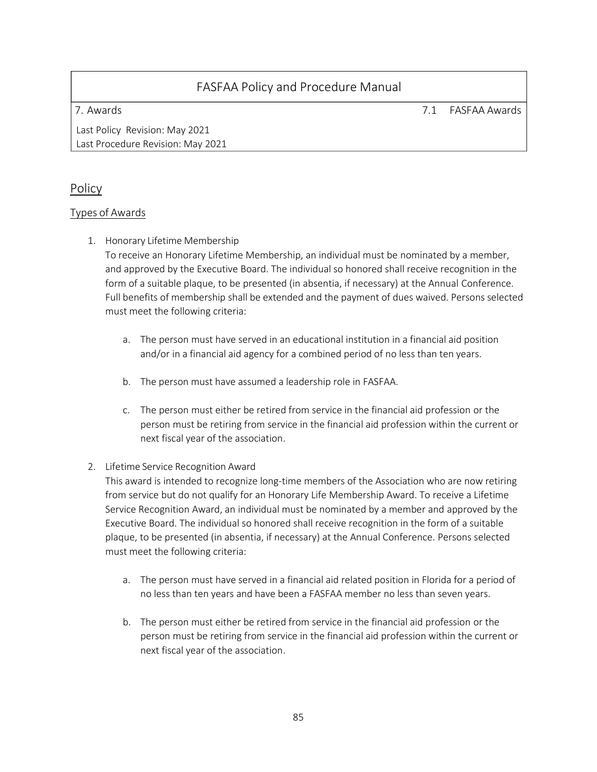7. Awards 7.1 FASFAA Awards

Last Policy Revision: May 2021 Last Procedure Revision: May 2021

# Policy

# Types of Awards

1. Honorary Lifetime Membership

To receive an Honorary Lifetime Membership, an individual must be nominated by a member, and approved by the Executive Board. The individual so honored shall receive recognition in the form of a suitable plaque, to be presented (in absentia, if necessary) at the Annual Conference. Full benefits of membership shall be extended and the payment of dues waived. Persons selected must meet the following criteria:

- a. The person must have served in an educational institution in a financial aid position and/or in a financial aid agency for a combined period of no less than ten years.
- b. The person must have assumed a leadership role in FASFAA.
- c. The person must either be retired from service in the financial aid profession or the person must be retiring from service in the financial aid profession within the current or next fiscal year of the association.

# 2. Lifetime Service Recognition Award

This award is intended to recognize long-time members of the Association who are now retiring from service but do not qualify for an Honorary Life Membership Award. To receive a Lifetime Service Recognition Award, an individual must be nominated by a member and approved by the Executive Board. The individual so honored shall receive recognition in the form of a suitable plaque, to be presented (in absentia, if necessary) at the Annual Conference. Persons selected must meet the following criteria:

- a. The person must have served in a financial aid related position in Florida for a period of no less than ten years and have been a FASFAA member no less than seven years.
- b. The person must either be retired from service in the financial aid profession or the person must be retiring from service in the financial aid profession within the current or next fiscal year of the association.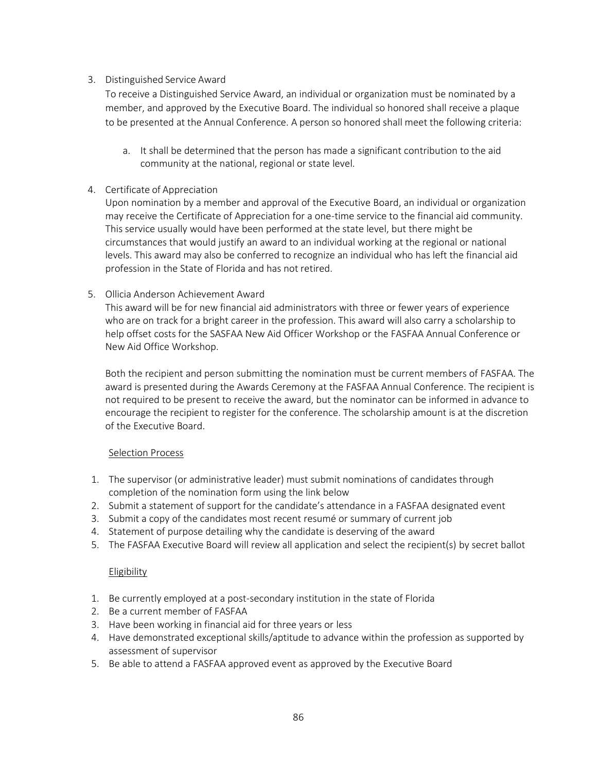### 3. Distinguished Service Award

To receive a Distinguished Service Award, an individual or organization must be nominated by a member, and approved by the Executive Board. The individual so honored shall receive a plaque to be presented at the Annual Conference. A person so honored shall meet the following criteria:

a. It shall be determined that the person has made a significant contribution to the aid community at the national, regional or state level.

#### 4. Certificate of Appreciation

Upon nomination by a member and approval of the Executive Board, an individual or organization may receive the Certificate of Appreciation for a one-time service to the financial aid community. This service usually would have been performed at the state level, but there might be circumstances that would justify an award to an individual working at the regional or national levels. This award may also be conferred to recognize an individual who has left the financial aid profession in the State of Florida and has not retired.

#### 5. Ollicia Anderson Achievement Award

This award will be for new financial aid administrators with three or fewer years of experience who are on track for a bright career in the profession. This award will also carry a scholarship to help offset costs for the SASFAA New Aid Officer Workshop or the FASFAA Annual Conference or New Aid Office Workshop.

Both the recipient and person submitting the nomination must be current members of FASFAA. The award is presented during the Awards Ceremony at the FASFAA Annual Conference. The recipient is not required to be present to receive the award, but the nominator can be informed in advance to encourage the recipient to register for the conference. The scholarship amount is at the discretion of the Executive Board.

#### Selection Process

- 1. The supervisor (or administrative leader) must submit nominations of candidates through completion of the nomination form using the link below
- 2. Submit a statement of support for the candidate's attendance in a FASFAA designated event
- 3. Submit a copy of the candidates most recent resumé or summary of current job
- 4. Statement of purpose detailing why the candidate is deserving of the award
- 5. The FASFAA Executive Board will review all application and select the recipient(s) by secret ballot

#### **Eligibility**

- 1. Be currently employed at a post-secondary institution in the state of Florida
- 2. Be a current member of FASFAA
- 3. Have been working in financial aid for three years or less
- 4. Have demonstrated exceptional skills/aptitude to advance within the profession as supported by assessment of supervisor
- 5. Be able to attend a FASFAA approved event as approved by the Executive Board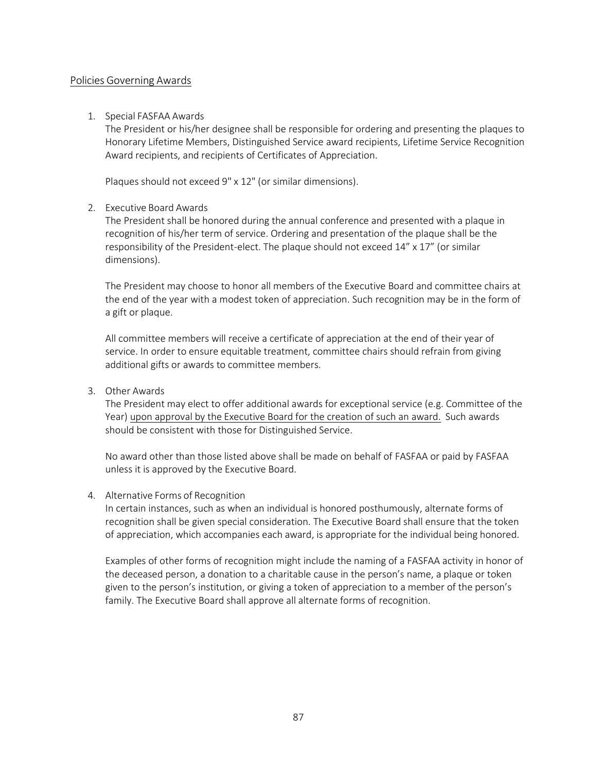#### Policies Governing Awards

#### 1. Special FASFAA Awards

The President or his/her designee shall be responsible for ordering and presenting the plaques to Honorary Lifetime Members, Distinguished Service award recipients, Lifetime Service Recognition Award recipients, and recipients of Certificates of Appreciation.

Plaques should not exceed 9" x 12" (or similar dimensions).

#### 2. Executive Board Awards

The President shall be honored during the annual conference and presented with a plaque in recognition of his/her term of service. Ordering and presentation of the plaque shall be the responsibility of the President-elect. The plaque should not exceed 14" x 17" (or similar dimensions).

The President may choose to honor all members of the Executive Board and committee chairs at the end of the year with a modest token of appreciation. Such recognition may be in the form of a gift or plaque.

All committee members will receive a certificate of appreciation at the end of their year of service. In order to ensure equitable treatment, committee chairs should refrain from giving additional gifts or awards to committee members.

3. Other Awards

The President may elect to offer additional awards for exceptional service (e.g. Committee of the Year) upon approval by the Executive Board for the creation of such an award. Such awards should be consistent with those for Distinguished Service.

No award other than those listed above shall be made on behalf of FASFAA or paid by FASFAA unless it is approved by the Executive Board.

#### 4. Alternative Forms of Recognition

In certain instances, such as when an individual is honored posthumously, alternate forms of recognition shall be given special consideration. The Executive Board shall ensure that the token of appreciation, which accompanies each award, is appropriate for the individual being honored.

Examples of other forms of recognition might include the naming of a FASFAA activity in honor of the deceased person, a donation to a charitable cause in the person's name, a plaque or token given to the person's institution, or giving a token of appreciation to a member of the person's family. The Executive Board shall approve all alternate forms of recognition.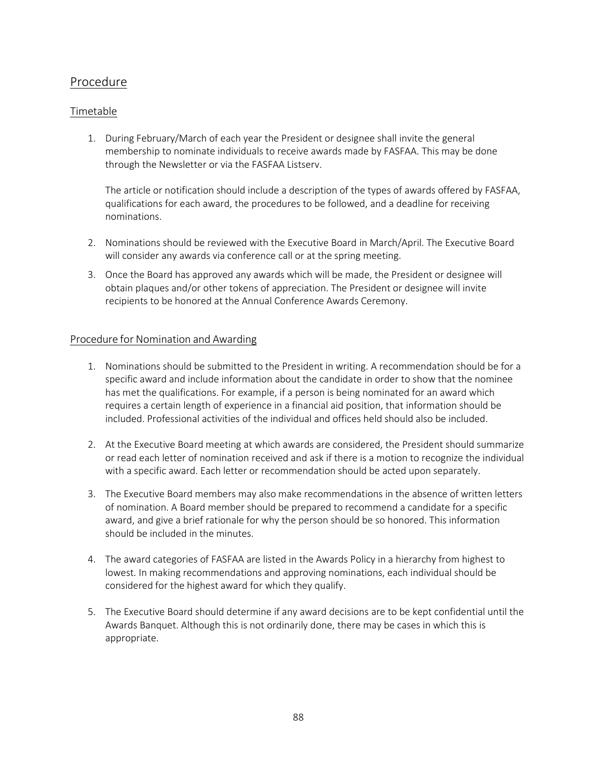# Procedure

# Timetable

1. During February/March of each year the President or designee shall invite the general membership to nominate individuals to receive awards made by FASFAA. This may be done through the Newsletter or via the FASFAA Listserv.

The article or notification should include a description of the types of awards offered by FASFAA, qualifications for each award, the procedures to be followed, and a deadline for receiving nominations.

- 2. Nominations should be reviewed with the Executive Board in March/April. The Executive Board will consider any awards via conference call or at the spring meeting.
- 3. Once the Board has approved any awards which will be made, the President or designee will obtain plaques and/or other tokens of appreciation. The President or designee will invite recipients to be honored at the Annual Conference Awards Ceremony.

#### Procedure for Nomination and Awarding

- 1. Nominations should be submitted to the President in writing. A recommendation should be for a specific award and include information about the candidate in order to show that the nominee has met the qualifications. For example, if a person is being nominated for an award which requires a certain length of experience in a financial aid position, that information should be included. Professional activities of the individual and offices held should also be included.
- 2. At the Executive Board meeting at which awards are considered, the President should summarize or read each letter of nomination received and ask if there is a motion to recognize the individual with a specific award. Each letter or recommendation should be acted upon separately.
- 3. The Executive Board members may also make recommendations in the absence of written letters of nomination. A Board member should be prepared to recommend a candidate for a specific award, and give a brief rationale for why the person should be so honored. This information should be included in the minutes.
- 4. The award categories of FASFAA are listed in the Awards Policy in a hierarchy from highest to lowest. In making recommendations and approving nominations, each individual should be considered for the highest award for which they qualify.
- 5. The Executive Board should determine if any award decisions are to be kept confidential until the Awards Banquet. Although this is not ordinarily done, there may be cases in which this is appropriate.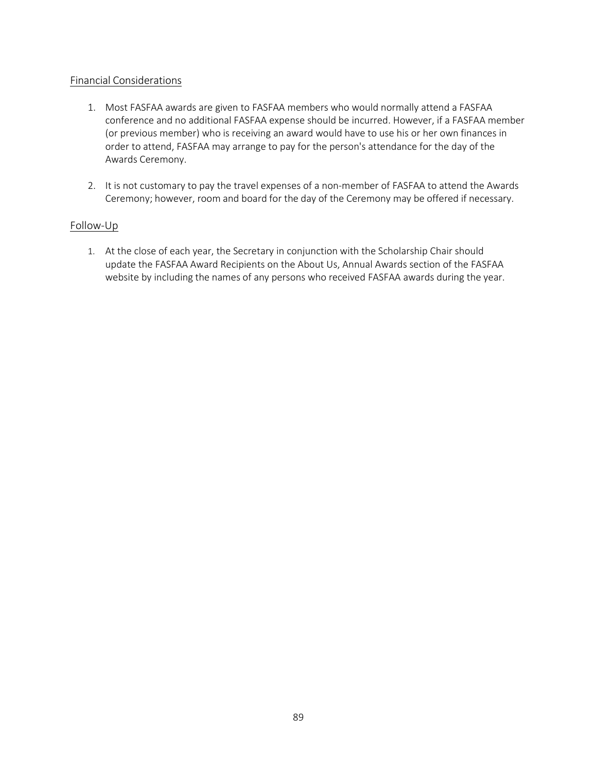# Financial Considerations

- 1. Most FASFAA awards are given to FASFAA members who would normally attend a FASFAA conference and no additional FASFAA expense should be incurred. However, if a FASFAA member (or previous member) who is receiving an award would have to use his or her own finances in order to attend, FASFAA may arrange to pay for the person's attendance for the day of the Awards Ceremony.
- 2. It is not customary to pay the travel expenses of a non-member of FASFAA to attend the Awards Ceremony; however, room and board for the day of the Ceremony may be offered if necessary.

#### Follow-Up

1. At the close of each year, the Secretary in conjunction with the Scholarship Chair should update the FASFAA Award Recipients on the About Us, Annual Awards section of the FASFAA website by including the names of any persons who received FASFAA awards during the year.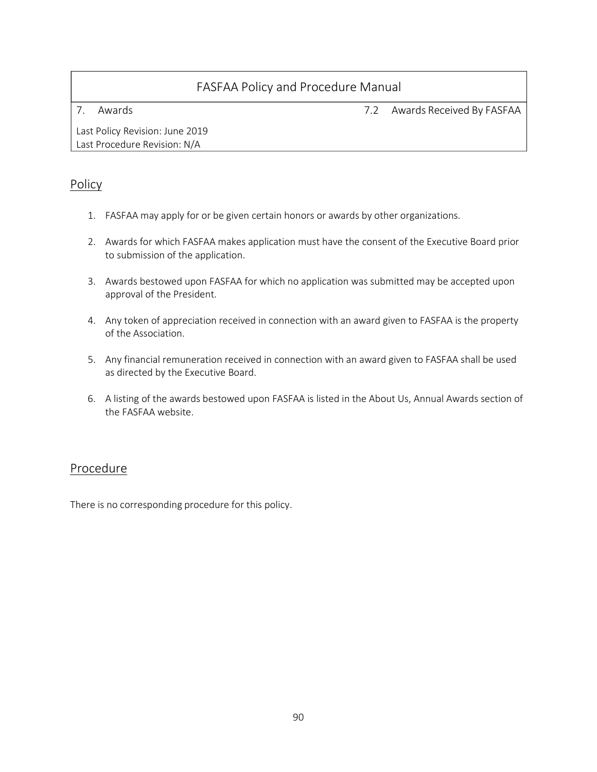7. Awards 7.2 Awards Received By FASFAA

Last Policy Revision: June 2019 Last Procedure Revision: N/A

# Policy

- 1. FASFAA may apply for or be given certain honors or awards by other organizations.
- 2. Awards for which FASFAA makes application must have the consent of the Executive Board prior to submission of the application.
- 3. Awards bestowed upon FASFAA for which no application was submitted may be accepted upon approval of the President.
- 4. Any token of appreciation received in connection with an award given to FASFAA is the property of the Association.
- 5. Any financial remuneration received in connection with an award given to FASFAA shall be used as directed by the Executive Board.
- 6. A listing of the awards bestowed upon FASFAA is listed in the About Us, Annual Awards section of the FASFAA website.

# Procedure

There is no corresponding procedure for this policy.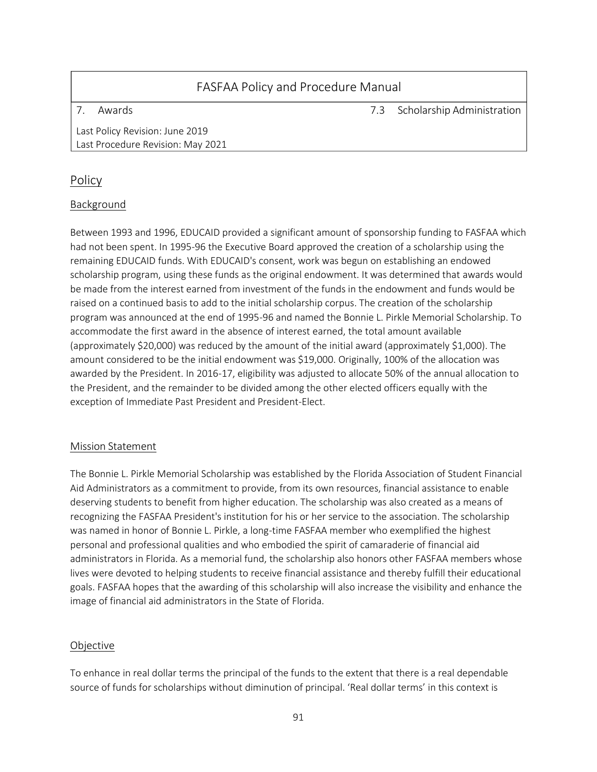7. Awards 7.3 Scholarship Administration

Last Policy Revision: June 2019 Last Procedure Revision: May 2021

# Policy

# Background

Between 1993 and 1996, EDUCAID provided a significant amount of sponsorship funding to FASFAA which had not been spent. In 1995-96 the Executive Board approved the creation of a scholarship using the remaining EDUCAID funds. With EDUCAID's consent, work was begun on establishing an endowed scholarship program, using these funds as the original endowment. It was determined that awards would be made from the interest earned from investment of the funds in the endowment and funds would be raised on a continued basis to add to the initial scholarship corpus. The creation of the scholarship program was announced at the end of 1995-96 and named the Bonnie L. Pirkle Memorial Scholarship. To accommodate the first award in the absence of interest earned, the total amount available (approximately \$20,000) was reduced by the amount of the initial award (approximately \$1,000). The amount considered to be the initial endowment was \$19,000. Originally, 100% of the allocation was awarded by the President. In 2016-17, eligibility was adjusted to allocate 50% of the annual allocation to the President, and the remainder to be divided among the other elected officers equally with the exception of Immediate Past President and President-Elect.

# Mission Statement

The Bonnie L. Pirkle Memorial Scholarship was established by the Florida Association of Student Financial Aid Administrators as a commitment to provide, from its own resources, financial assistance to enable deserving students to benefit from higher education. The scholarship was also created as a means of recognizing the FASFAA President's institution for his or her service to the association. The scholarship was named in honor of Bonnie L. Pirkle, a long-time FASFAA member who exemplified the highest personal and professional qualities and who embodied the spirit of camaraderie of financial aid administrators in Florida. As a memorial fund, the scholarship also honors other FASFAA members whose lives were devoted to helping students to receive financial assistance and thereby fulfill their educational goals. FASFAA hopes that the awarding of this scholarship will also increase the visibility and enhance the image of financial aid administrators in the State of Florida.

# Objective

To enhance in real dollar terms the principal of the funds to the extent that there is a real dependable source of funds for scholarships without diminution of principal. 'Real dollar terms' in this context is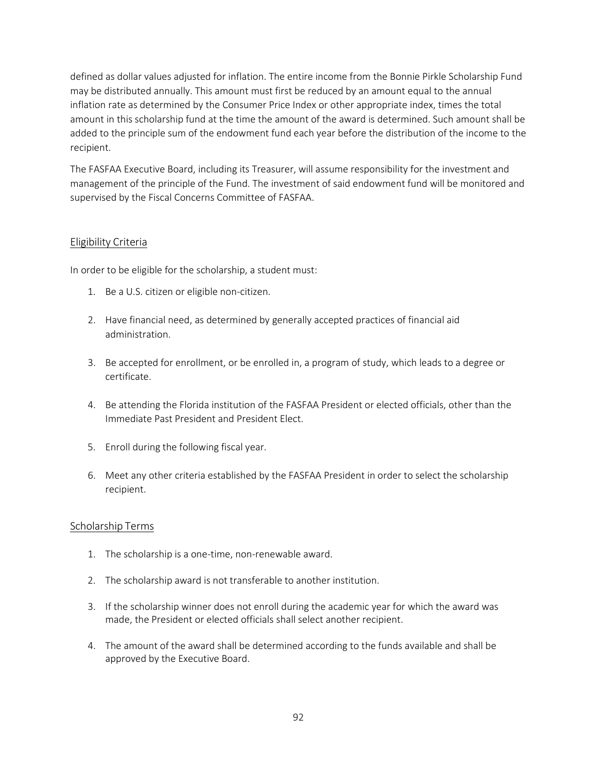defined as dollar values adjusted for inflation. The entire income from the Bonnie Pirkle Scholarship Fund may be distributed annually. This amount must first be reduced by an amount equal to the annual inflation rate as determined by the Consumer Price Index or other appropriate index, times the total amount in this scholarship fund at the time the amount of the award is determined. Such amount shall be added to the principle sum of the endowment fund each year before the distribution of the income to the recipient.

The FASFAA Executive Board, including its Treasurer, will assume responsibility for the investment and management of the principle of the Fund. The investment of said endowment fund will be monitored and supervised by the Fiscal Concerns Committee of FASFAA.

# Eligibility Criteria

In order to be eligible for the scholarship, a student must:

- 1. Be a U.S. citizen or eligible non-citizen.
- 2. Have financial need, as determined by generally accepted practices of financial aid administration.
- 3. Be accepted for enrollment, or be enrolled in, a program of study, which leads to a degree or certificate.
- 4. Be attending the Florida institution of the FASFAA President or elected officials, other than the Immediate Past President and President Elect.
- 5. Enroll during the following fiscal year.
- 6. Meet any other criteria established by the FASFAA President in order to select the scholarship recipient.

#### Scholarship Terms

- 1. The scholarship is a one-time, non-renewable award.
- 2. The scholarship award is not transferable to another institution.
- 3. If the scholarship winner does not enroll during the academic year for which the award was made, the President or elected officials shall select another recipient.
- 4. The amount of the award shall be determined according to the funds available and shall be approved by the Executive Board.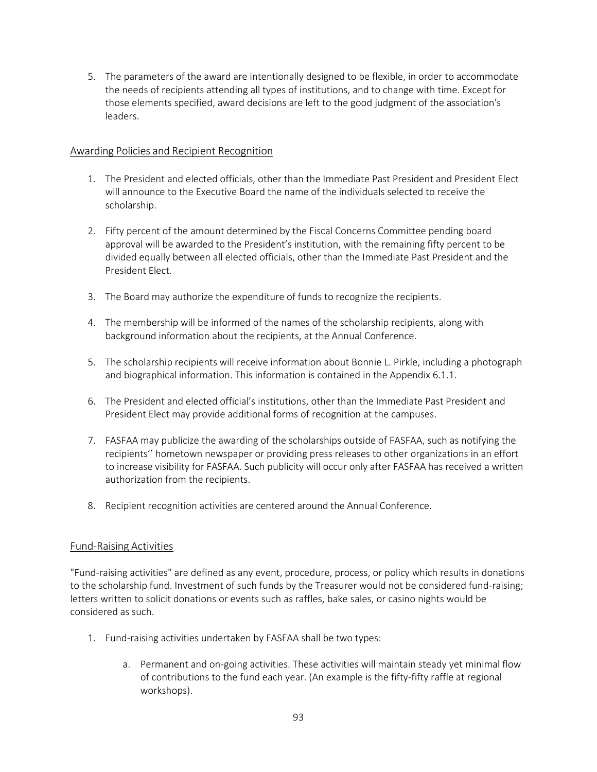5. The parameters of the award are intentionally designed to be flexible, in order to accommodate the needs of recipients attending all types of institutions, and to change with time. Except for those elements specified, award decisions are left to the good judgment of the association's leaders.

#### Awarding Policies and Recipient Recognition

- 1. The President and elected officials, other than the Immediate Past President and President Elect will announce to the Executive Board the name of the individuals selected to receive the scholarship.
- 2. Fifty percent of the amount determined by the Fiscal Concerns Committee pending board approval will be awarded to the President's institution, with the remaining fifty percent to be divided equally between all elected officials, other than the Immediate Past President and the President Elect.
- 3. The Board may authorize the expenditure of funds to recognize the recipients.
- 4. The membership will be informed of the names of the scholarship recipients, along with background information about the recipients, at the Annual Conference.
- 5. The scholarship recipients will receive information about Bonnie L. Pirkle, including a photograph and biographical information. This information is contained in the Appendix 6.1.1.
- 6. The President and elected official's institutions, other than the Immediate Past President and President Elect may provide additional forms of recognition at the campuses.
- 7. FASFAA may publicize the awarding of the scholarships outside of FASFAA, such as notifying the recipients'' hometown newspaper or providing press releases to other organizations in an effort to increase visibility for FASFAA. Such publicity will occur only after FASFAA has received a written authorization from the recipients.
- 8. Recipient recognition activities are centered around the Annual Conference.

# Fund-Raising Activities

"Fund-raising activities" are defined as any event, procedure, process, or policy which results in donations to the scholarship fund. Investment of such funds by the Treasurer would not be considered fund-raising; letters written to solicit donations or events such as raffles, bake sales, or casino nights would be considered as such.

- 1. Fund-raising activities undertaken by FASFAA shall be two types:
	- a. Permanent and on-going activities. These activities will maintain steady yet minimal flow of contributions to the fund each year. (An example is the fifty-fifty raffle at regional workshops).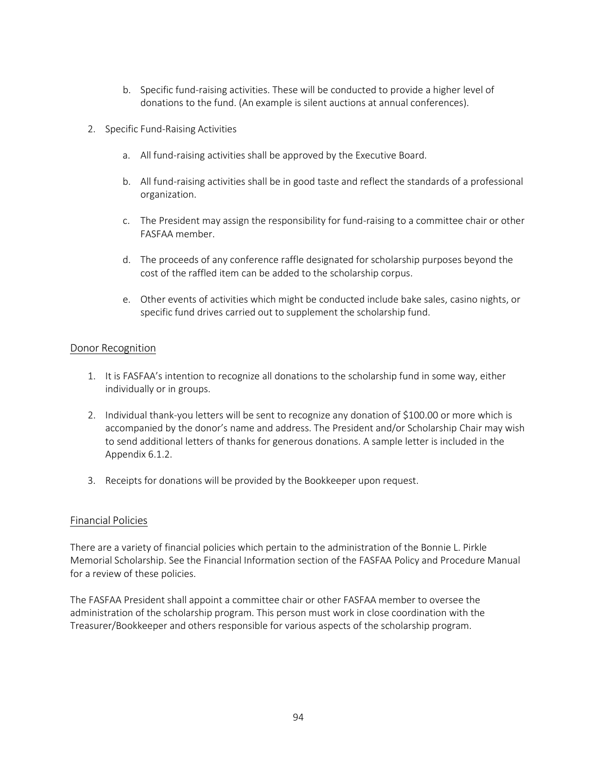- b. Specific fund-raising activities. These will be conducted to provide a higher level of donations to the fund. (An example is silent auctions at annual conferences).
- 2. Specific Fund-Raising Activities
	- a. All fund-raising activities shall be approved by the Executive Board.
	- b. All fund-raising activities shall be in good taste and reflect the standards of a professional organization.
	- c. The President may assign the responsibility for fund-raising to a committee chair or other FASFAA member.
	- d. The proceeds of any conference raffle designated for scholarship purposes beyond the cost of the raffled item can be added to the scholarship corpus.
	- e. Other events of activities which might be conducted include bake sales, casino nights, or specific fund drives carried out to supplement the scholarship fund.

#### Donor Recognition

- 1. It is FASFAA's intention to recognize all donations to the scholarship fund in some way, either individually or in groups.
- 2. Individual thank-you letters will be sent to recognize any donation of \$100.00 or more which is accompanied by the donor's name and address. The President and/or Scholarship Chair may wish to send additional letters of thanks for generous donations. A sample letter is included in the Appendix 6.1.2.
- 3. Receipts for donations will be provided by the Bookkeeper upon request.

#### Financial Policies

There are a variety of financial policies which pertain to the administration of the Bonnie L. Pirkle Memorial Scholarship. See the Financial Information section of the FASFAA Policy and Procedure Manual for a review of these policies.

The FASFAA President shall appoint a committee chair or other FASFAA member to oversee the administration of the scholarship program. This person must work in close coordination with the Treasurer/Bookkeeper and others responsible for various aspects of the scholarship program.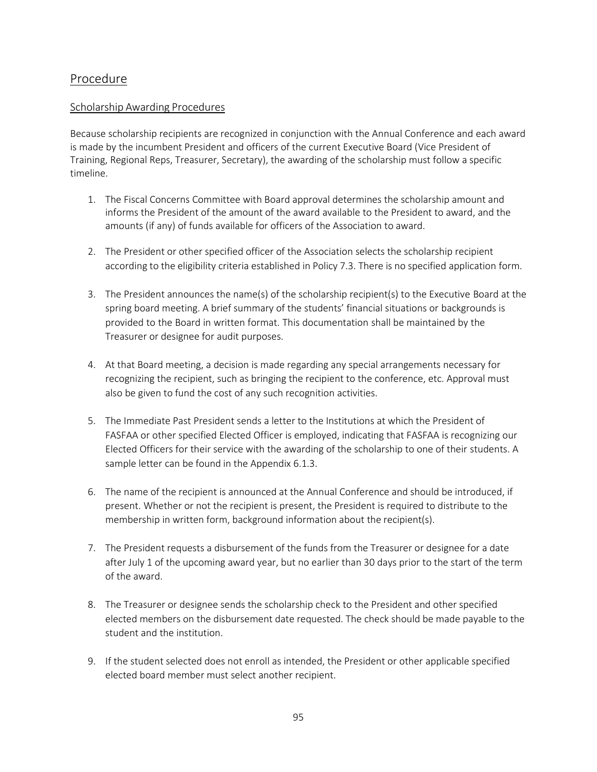# Procedure

### Scholarship Awarding Procedures

Because scholarship recipients are recognized in conjunction with the Annual Conference and each award is made by the incumbent President and officers of the current Executive Board (Vice President of Training, Regional Reps, Treasurer, Secretary), the awarding of the scholarship must follow a specific timeline.

- 1. The Fiscal Concerns Committee with Board approval determines the scholarship amount and informs the President of the amount of the award available to the President to award, and the amounts (if any) of funds available for officers of the Association to award.
- 2. The President or other specified officer of the Association selects the scholarship recipient according to the eligibility criteria established in Policy 7.3. There is no specified application form.
- 3. The President announces the name(s) of the scholarship recipient(s) to the Executive Board at the spring board meeting. A brief summary of the students' financial situations or backgrounds is provided to the Board in written format. This documentation shall be maintained by the Treasurer or designee for audit purposes.
- 4. At that Board meeting, a decision is made regarding any special arrangements necessary for recognizing the recipient, such as bringing the recipient to the conference, etc. Approval must also be given to fund the cost of any such recognition activities.
- 5. The Immediate Past President sends a letter to the Institutions at which the President of FASFAA or other specified Elected Officer is employed, indicating that FASFAA is recognizing our Elected Officers for their service with the awarding of the scholarship to one of their students. A sample letter can be found in the Appendix 6.1.3.
- 6. The name of the recipient is announced at the Annual Conference and should be introduced, if present. Whether or not the recipient is present, the President is required to distribute to the membership in written form, background information about the recipient(s).
- 7. The President requests a disbursement of the funds from the Treasurer or designee for a date after July 1 of the upcoming award year, but no earlier than 30 days prior to the start of the term of the award.
- 8. The Treasurer or designee sends the scholarship check to the President and other specified elected members on the disbursement date requested. The check should be made payable to the student and the institution.
- 9. If the student selected does not enroll as intended, the President or other applicable specified elected board member must select another recipient.